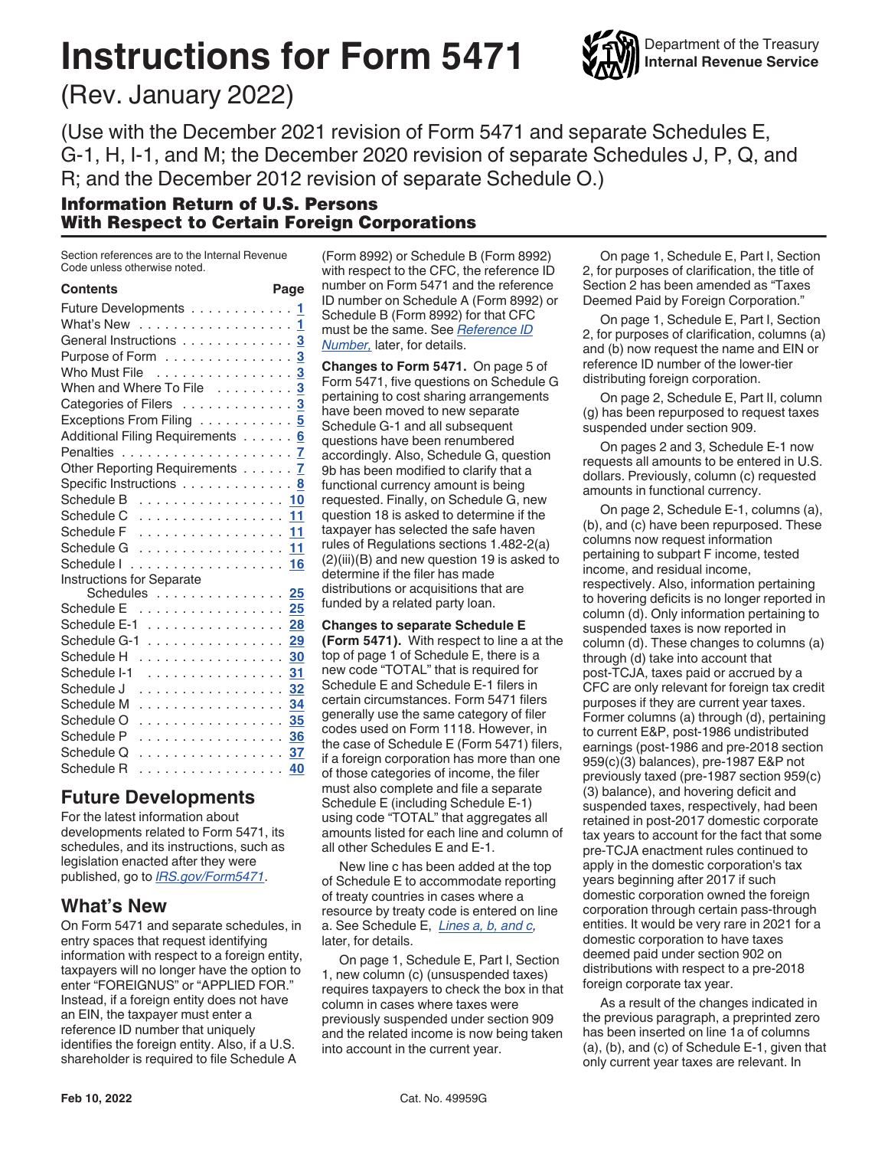# **Instructions for Form 5471**



(Rev. January 2022)

(Use with the December 2021 revision of Form 5471 and separate Schedules E, G-1, H, I-1, and M; the December 2020 revision of separate Schedules J, P, Q, and R; and the December 2012 revision of separate Schedule O.)

#### Information Return of U.S. Persons With Respect to Certain Foreign Corporations

Section references are to the Internal Revenue Code unless otherwise noted.

| <b>Contents</b>                                 | Page |
|-------------------------------------------------|------|
| Future Developments                             | 1    |
| What's New $\ldots \ldots \ldots \ldots \ldots$ | 1    |
| General Instructions 3                          |      |
| Purpose of Form 3                               |      |
| Who Must File 3                                 |      |
| When and Where To File  3                       |      |
| Categories of Filers 3                          |      |
| Exceptions From Filing 5                        |      |
| Additional Filing Requirements 6                |      |
|                                                 |      |
| Other Reporting Requirements 7                  |      |
| Specific Instructions 8                         |      |
| Schedule B 10                                   |      |
| Schedule C 11                                   |      |
| Schedule F 11                                   |      |
| Schedule G 11                                   |      |
|                                                 |      |
| <b>Instructions for Separate</b>                |      |
| Schedules 25                                    |      |
| Schedule E 25                                   |      |
| Schedule E-1                                    | 28   |
| Schedule G-1                                    | 29   |
| Schedule H                                      | 30   |
| Schedule I-1<br>.                               | 31   |
| Schedule J<br>.                                 | 32   |
| .<br>Schedule M                                 | 34   |
| Schedule O<br>. <b>35</b>                       |      |
| .<br>Schedule P                                 | 36   |
| . <mark>37</mark><br>Schedule Q                 |      |
| Schedule R<br>.                                 | 40   |

### **Future Developments**

For the latest information about developments related to Form 5471, its schedules, and its instructions, such as legislation enacted after they were published, go to *[IRS.gov/Form5471](https://www.irs.gov/form5471)*.

### **What's New**

On Form 5471 and separate schedules, in entry spaces that request identifying information with respect to a foreign entity, taxpayers will no longer have the option to enter "FOREIGNUS" or "APPLIED FOR." Instead, if a foreign entity does not have an EIN, the taxpayer must enter a reference ID number that uniquely identifies the foreign entity. Also, if a U.S. shareholder is required to file Schedule A

(Form 8992) or Schedule B (Form 8992) with respect to the CFC, the reference ID number on Form 5471 and the reference ID number on Schedule A (Form 8992) or Schedule B (Form 8992) for that CFC must be the same. See *[Reference ID](#page-9-0)  [Number,](#page-9-0)* later, for details.

**Changes to Form 5471.** On page 5 of Form 5471, five questions on Schedule G pertaining to cost sharing arrangements have been moved to new separate Schedule G-1 and all subsequent questions have been renumbered accordingly. Also, Schedule G, question 9b has been modified to clarify that a functional currency amount is being requested. Finally, on Schedule G, new question 18 is asked to determine if the taxpayer has selected the safe haven rules of Regulations sections 1.482-2(a) (2)(iii)(B) and new question 19 is asked to determine if the filer has made distributions or acquisitions that are funded by a related party loan.

**Changes to separate Schedule E (Form 5471).** With respect to line a at the top of page 1 of Schedule E, there is a new code "TOTAL" that is required for Schedule E and Schedule E-1 filers in certain circumstances. Form 5471 filers generally use the same category of filer codes used on Form 1118. However, in the case of Schedule E (Form 5471) filers, if a foreign corporation has more than one of those categories of income, the filer must also complete and file a separate Schedule E (including Schedule E-1) using code "TOTAL" that aggregates all amounts listed for each line and column of all other Schedules E and E-1.

New line c has been added at the top of Schedule E to accommodate reporting of treaty countries in cases where a resource by treaty code is entered on line a. See Schedule E, *[Lines a, b, and c](#page-24-0),*  later, for details.

On page 1, Schedule E, Part I, Section 1, new column (c) (unsuspended taxes) requires taxpayers to check the box in that column in cases where taxes were previously suspended under section 909 and the related income is now being taken into account in the current year.

On page 1, Schedule E, Part I, Section 2, for purposes of clarification, the title of Section 2 has been amended as "Taxes Deemed Paid by Foreign Corporation."

On page 1, Schedule E, Part I, Section 2, for purposes of clarification, columns (a) and (b) now request the name and EIN or reference ID number of the lower-tier distributing foreign corporation.

On page 2, Schedule E, Part II, column (g) has been repurposed to request taxes suspended under section 909.

On pages 2 and 3, Schedule E-1 now requests all amounts to be entered in U.S. dollars. Previously, column (c) requested amounts in functional currency.

On page 2, Schedule E-1, columns (a), (b), and (c) have been repurposed. These columns now request information pertaining to subpart F income, tested income, and residual income, respectively. Also, information pertaining to hovering deficits is no longer reported in column (d). Only information pertaining to suspended taxes is now reported in column (d). These changes to columns (a) through (d) take into account that post-TCJA, taxes paid or accrued by a CFC are only relevant for foreign tax credit purposes if they are current year taxes. Former columns (a) through (d), pertaining to current E&P, post-1986 undistributed earnings (post-1986 and pre-2018 section 959(c)(3) balances), pre-1987 E&P not previously taxed (pre-1987 section 959(c) (3) balance), and hovering deficit and suspended taxes, respectively, had been retained in post-2017 domestic corporate tax years to account for the fact that some pre-TCJA enactment rules continued to apply in the domestic corporation's tax years beginning after 2017 if such domestic corporation owned the foreign corporation through certain pass-through entities. It would be very rare in 2021 for a domestic corporation to have taxes deemed paid under section 902 on distributions with respect to a pre-2018 foreign corporate tax year.

As a result of the changes indicated in the previous paragraph, a preprinted zero has been inserted on line 1a of columns (a), (b), and (c) of Schedule E-1, given that only current year taxes are relevant. In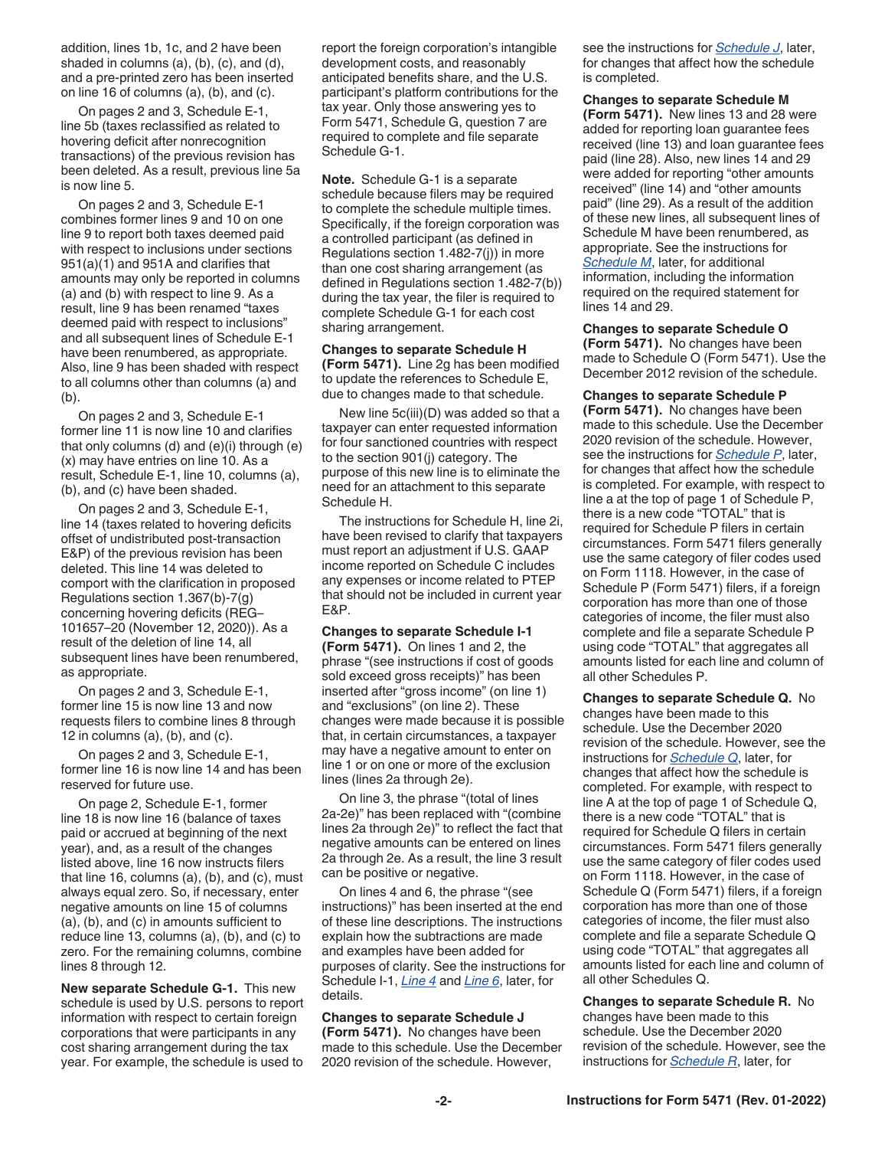addition, lines 1b, 1c, and 2 have been shaded in columns (a), (b), (c), and (d), and a pre-printed zero has been inserted on line 16 of columns (a), (b), and (c).

On pages 2 and 3, Schedule E-1, line 5b (taxes reclassified as related to hovering deficit after nonrecognition transactions) of the previous revision has been deleted. As a result, previous line 5a is now line 5.

On pages 2 and 3, Schedule E-1 combines former lines 9 and 10 on one line 9 to report both taxes deemed paid with respect to inclusions under sections 951(a)(1) and 951A and clarifies that amounts may only be reported in columns (a) and (b) with respect to line 9. As a result, line 9 has been renamed "taxes deemed paid with respect to inclusions" and all subsequent lines of Schedule E-1 have been renumbered, as appropriate. Also, line 9 has been shaded with respect to all columns other than columns (a) and (b).

On pages 2 and 3, Schedule E-1 former line 11 is now line 10 and clarifies that only columns (d) and (e)(i) through (e) (x) may have entries on line 10. As a result, Schedule E-1, line 10, columns (a), (b), and (c) have been shaded.

On pages 2 and 3, Schedule E-1, line 14 (taxes related to hovering deficits offset of undistributed post-transaction E&P) of the previous revision has been deleted. This line 14 was deleted to comport with the clarification in proposed Regulations section 1.367(b)-7(g) concerning hovering deficits (REG– 101657–20 (November 12, 2020)). As a result of the deletion of line 14, all subsequent lines have been renumbered, as appropriate.

On pages 2 and 3, Schedule E-1, former line 15 is now line 13 and now requests filers to combine lines 8 through 12 in columns  $(a)$ ,  $(b)$ , and  $(c)$ .

On pages 2 and 3, Schedule E-1, former line 16 is now line 14 and has been reserved for future use.

On page 2, Schedule E-1, former line 18 is now line 16 (balance of taxes paid or accrued at beginning of the next year), and, as a result of the changes listed above, line 16 now instructs filers that line 16, columns (a), (b), and (c), must always equal zero. So, if necessary, enter negative amounts on line 15 of columns (a), (b), and (c) in amounts sufficient to reduce line 13, columns (a), (b), and (c) to zero. For the remaining columns, combine lines 8 through 12.

**New separate Schedule G-1.** This new schedule is used by U.S. persons to report information with respect to certain foreign corporations that were participants in any cost sharing arrangement during the tax year. For example, the schedule is used to

report the foreign corporation's intangible development costs, and reasonably anticipated benefits share, and the U.S. participant's platform contributions for the tax year. Only those answering yes to Form 5471, Schedule G, question 7 are required to complete and file separate Schedule G-1.

**Note.** Schedule G-1 is a separate schedule because filers may be required to complete the schedule multiple times. Specifically, if the foreign corporation was a controlled participant (as defined in Regulations section 1.482-7(j)) in more than one cost sharing arrangement (as defined in Regulations section 1.482-7(b)) during the tax year, the filer is required to complete Schedule G-1 for each cost sharing arrangement.

**Changes to separate Schedule H (Form 5471).** Line 2g has been modified to update the references to Schedule E, due to changes made to that schedule.

New line 5c(iii)(D) was added so that a taxpayer can enter requested information for four sanctioned countries with respect to the section 901(j) category. The purpose of this new line is to eliminate the need for an attachment to this separate Schedule H.

The instructions for Schedule H, line 2i, have been revised to clarify that taxpayers must report an adjustment if U.S. GAAP income reported on Schedule C includes any expenses or income related to PTEP that should not be included in current year E&P.

#### **Changes to separate Schedule I-1**

**(Form 5471).** On lines 1 and 2, the phrase "(see instructions if cost of goods sold exceed gross receipts)" has been inserted after "gross income" (on line 1) and "exclusions" (on line 2). These changes were made because it is possible that, in certain circumstances, a taxpayer may have a negative amount to enter on line 1 or on one or more of the exclusion lines (lines 2a through 2e).

On line 3, the phrase "(total of lines 2a-2e)" has been replaced with "(combine lines 2a through 2e)" to reflect the fact that negative amounts can be entered on lines 2a through 2e. As a result, the line 3 result can be positive or negative.

On lines 4 and 6, the phrase "(see instructions)" has been inserted at the end of these line descriptions. The instructions explain how the subtractions are made and examples have been added for purposes of clarity. See the instructions for Schedule I-1, *[Line 4](#page-30-0)* and *[Line 6](#page-30-0)*, later, for details.

**Changes to separate Schedule J (Form 5471).** No changes have been made to this schedule. Use the December 2020 revision of the schedule. However,

see the instructions for *[Schedule J](#page-31-0)*, later, for changes that affect how the schedule is completed.

**Changes to separate Schedule M (Form 5471).** New lines 13 and 28 were added for reporting loan guarantee fees received (line 13) and loan guarantee fees paid (line 28). Also, new lines 14 and 29 were added for reporting "other amounts received" (line 14) and "other amounts paid" (line 29). As a result of the addition of these new lines, all subsequent lines of Schedule M have been renumbered, as appropriate. See the instructions for *[Schedule M](#page-33-0)*, later, for additional information, including the information required on the required statement for lines 14 and 29.

**Changes to separate Schedule O (Form 5471).** No changes have been made to Schedule O (Form 5471). Use the December 2012 revision of the schedule.

**Changes to separate Schedule P (Form 5471).** No changes have been made to this schedule. Use the December 2020 revision of the schedule. However, see the instructions for *[Schedule P](#page-35-0)*, later, for changes that affect how the schedule is completed. For example, with respect to line a at the top of page 1 of Schedule P, there is a new code "TOTAL" that is required for Schedule P filers in certain circumstances. Form 5471 filers generally use the same category of filer codes used on Form 1118. However, in the case of Schedule P (Form 5471) filers, if a foreign corporation has more than one of those categories of income, the filer must also complete and file a separate Schedule P using code "TOTAL" that aggregates all amounts listed for each line and column of all other Schedules P.

**Changes to separate Schedule Q.** No changes have been made to this schedule. Use the December 2020 revision of the schedule. However, see the instructions for *[Schedule Q](#page-36-0)*, later, for changes that affect how the schedule is completed. For example, with respect to line A at the top of page 1 of Schedule Q, there is a new code "TOTAL" that is required for Schedule Q filers in certain circumstances. Form 5471 filers generally use the same category of filer codes used on Form 1118. However, in the case of Schedule Q (Form 5471) filers, if a foreign corporation has more than one of those categories of income, the filer must also complete and file a separate Schedule Q using code "TOTAL" that aggregates all amounts listed for each line and column of all other Schedules Q.

**Changes to separate Schedule R.** No changes have been made to this schedule. Use the December 2020 revision of the schedule. However, see the instructions for *[Schedule R](#page-39-0)*, later, for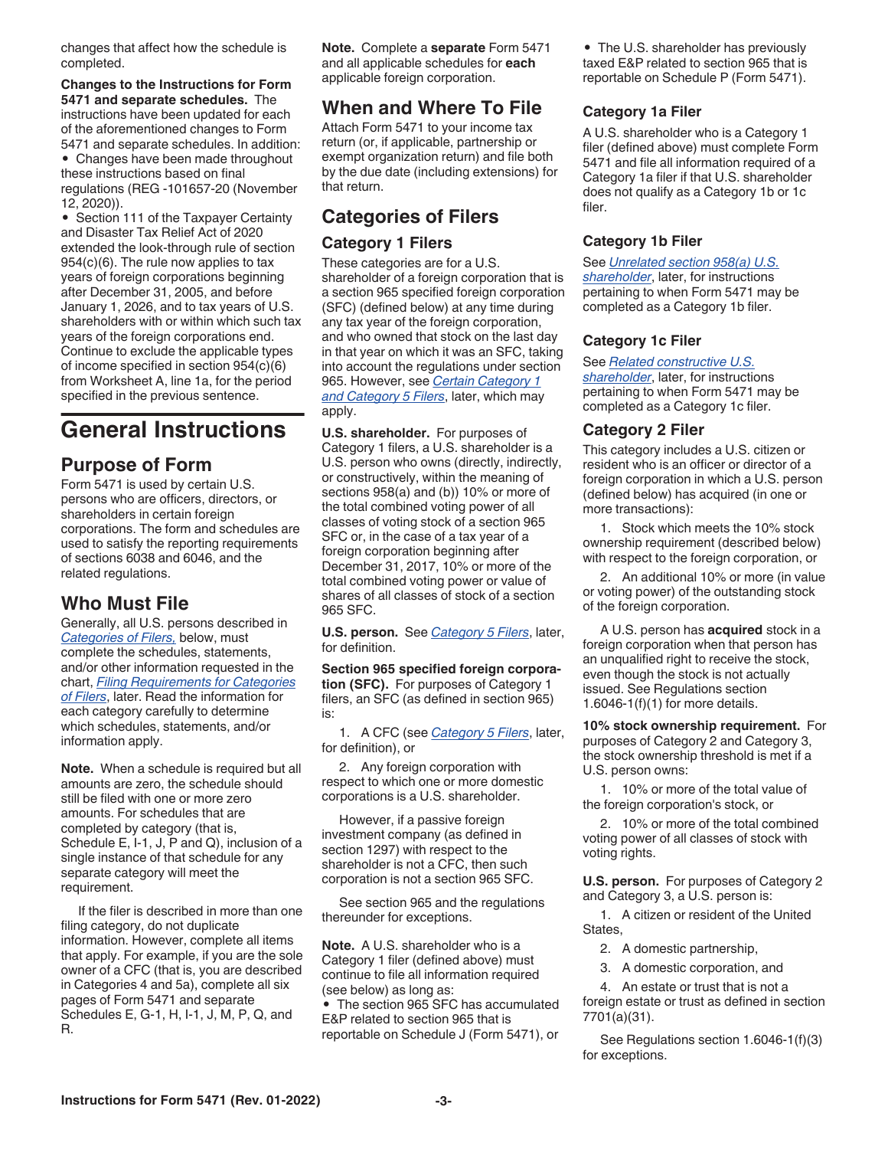<span id="page-2-0"></span>changes that affect how the schedule is completed.

### **Changes to the Instructions for Form 5471 and separate schedules.** The

instructions have been updated for each of the aforementioned changes to Form 5471 and separate schedules. In addition: • Changes have been made throughout

these instructions based on final regulations (REG -101657-20 (November 12, 2020)).

• Section 111 of the Taxpayer Certainty and Disaster Tax Relief Act of 2020 extended the look-through rule of section 954(c)(6). The rule now applies to tax years of foreign corporations beginning after December 31, 2005, and before January 1, 2026, and to tax years of U.S. shareholders with or within which such tax years of the foreign corporations end. Continue to exclude the applicable types of income specified in section 954(c)(6) from Worksheet A, line 1a, for the period specified in the previous sentence.

### **General Instructions**

### **Purpose of Form**

Form 5471 is used by certain U.S. persons who are officers, directors, or shareholders in certain foreign corporations. The form and schedules are used to satisfy the reporting requirements of sections 6038 and 6046, and the related regulations.

### **Who Must File**

Generally, all U.S. persons described in *Categories of Filers,* below, must complete the schedules, statements, and/or other information requested in the chart, *[Filing Requirements for Categories](#page-4-0) [of Filers](#page-4-0)*, later. Read the information for each category carefully to determine which schedules, statements, and/or information apply.

**Note.** When a schedule is required but all amounts are zero, the schedule should still be filed with one or more zero amounts. For schedules that are completed by category (that is, Schedule E, I-1, J, P and Q), inclusion of a single instance of that schedule for any separate category will meet the requirement.

If the filer is described in more than one filing category, do not duplicate information. However, complete all items that apply. For example, if you are the sole owner of a CFC (that is, you are described in Categories 4 and 5a), complete all six pages of Form 5471 and separate Schedules E, G-1, H, I-1, J, M, P, Q, and R.

**Note.** Complete a **separate** Form 5471 and all applicable schedules for **each**  applicable foreign corporation.

### **When and Where To File**

Attach Form 5471 to your income tax return (or, if applicable, partnership or exempt organization return) and file both by the due date (including extensions) for that return.

### **Categories of Filers Category 1 Filers**

These categories are for a U.S. shareholder of a foreign corporation that is a section 965 specified foreign corporation (SFC) (defined below) at any time during any tax year of the foreign corporation, and who owned that stock on the last day in that year on which it was an SFC, taking into account the regulations under section 965. However, see *[Certain Category 1](#page-3-0) [and Category 5 Filers](#page-3-0)*, later, which may apply.

**U.S. shareholder.** For purposes of Category 1 filers, a U.S. shareholder is a U.S. person who owns (directly, indirectly, or constructively, within the meaning of sections 958(a) and (b)) 10% or more of the total combined voting power of all classes of voting stock of a section 965 SFC or, in the case of a tax year of a foreign corporation beginning after December 31, 2017, 10% or more of the total combined voting power or value of shares of all classes of stock of a section 965 SFC.

**U.S. person.** See *[Category 5 Filers](#page-3-0)*, later, for definition.

**Section 965 specified foreign corporation (SFC).** For purposes of Category 1 filers, an SFC (as defined in section 965) is:

1. A CFC (see *[Category 5 Filers](#page-3-0)*, later, for definition), or

2. Any foreign corporation with respect to which one or more domestic corporations is a U.S. shareholder.

However, if a passive foreign investment company (as defined in section 1297) with respect to the shareholder is not a CFC, then such corporation is not a section 965 SFC.

See section 965 and the regulations thereunder for exceptions.

**Note.** A U.S. shareholder who is a Category 1 filer (defined above) must continue to file all information required (see below) as long as:

• The section 965 SFC has accumulated E&P related to section 965 that is reportable on Schedule J (Form 5471), or

• The U.S. shareholder has previously taxed E&P related to section 965 that is reportable on Schedule P (Form 5471).

#### **Category 1a Filer**

A U.S. shareholder who is a Category 1 filer (defined above) must complete Form 5471 and file all information required of a Category 1a filer if that U.S. shareholder does not qualify as a Category 1b or 1c filer.

#### **Category 1b Filer**

See *[Unrelated section 958\(a\) U.S.](#page-3-0)* 

*[shareholder](#page-3-0)*, later, for instructions pertaining to when Form 5471 may be completed as a Category 1b filer.

#### **Category 1c Filer**

See *[Related constructive U.S.](#page-4-0)* 

*[shareholder](#page-4-0)*, later, for instructions pertaining to when Form 5471 may be completed as a Category 1c filer.

#### **Category 2 Filer**

This category includes a U.S. citizen or resident who is an officer or director of a foreign corporation in which a U.S. person (defined below) has acquired (in one or more transactions):

1. Stock which meets the 10% stock ownership requirement (described below) with respect to the foreign corporation, or

2. An additional 10% or more (in value or voting power) of the outstanding stock of the foreign corporation.

A U.S. person has **acquired** stock in a foreign corporation when that person has an unqualified right to receive the stock, even though the stock is not actually issued. See Regulations section 1.6046-1(f)(1) for more details.

**10% stock ownership requirement.** For purposes of Category 2 and Category 3, the stock ownership threshold is met if a U.S. person owns:

1. 10% or more of the total value of the foreign corporation's stock, or

2. 10% or more of the total combined voting power of all classes of stock with voting rights.

**U.S. person.** For purposes of Category 2 and Category 3, a U.S. person is:

1. A citizen or resident of the United States,

2. A domestic partnership,

3. A domestic corporation, and

4. An estate or trust that is not a foreign estate or trust as defined in section 7701(a)(31).

See Regulations section 1.6046-1(f)(3) for exceptions.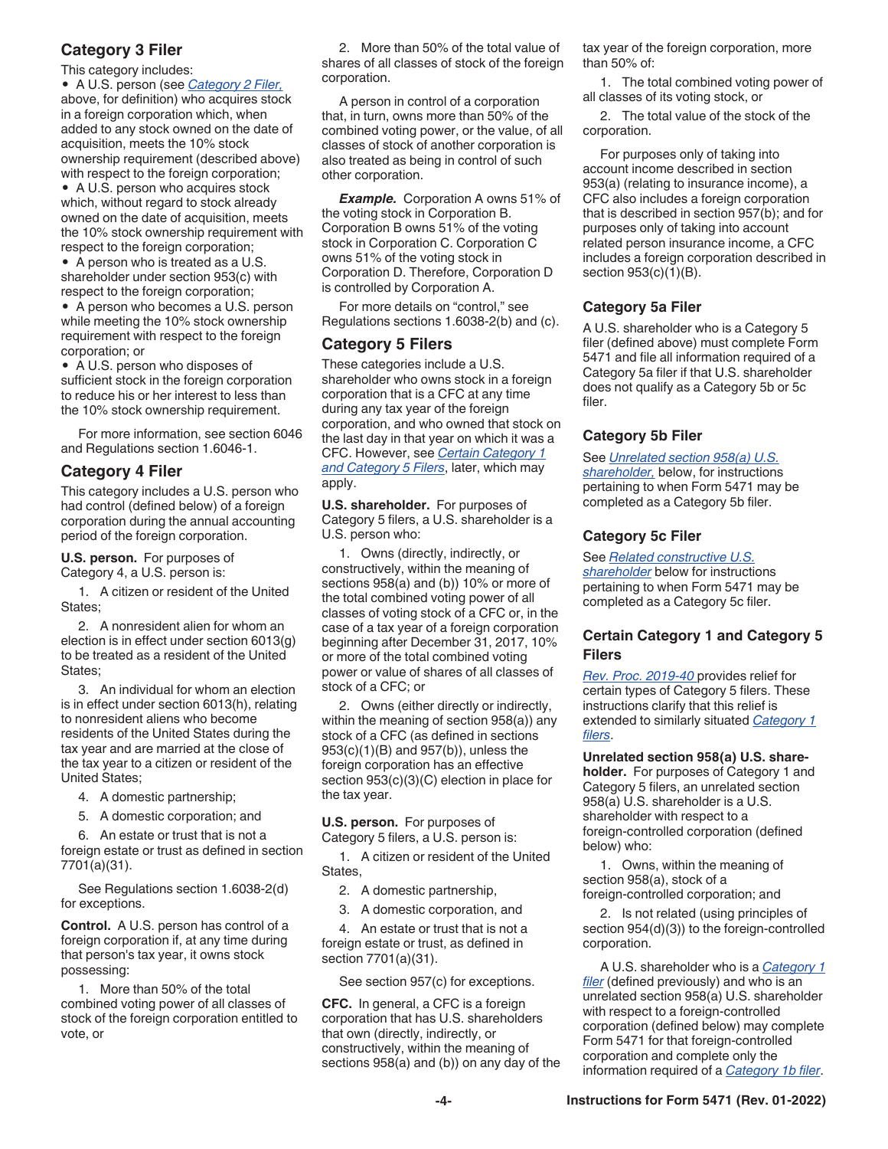#### <span id="page-3-0"></span>**Category 3 Filer**

This category includes:

• A U.S. person (see *[Category 2 Filer,](#page-2-0)*  above, for definition) who acquires stock in a foreign corporation which, when added to any stock owned on the date of acquisition, meets the 10% stock ownership requirement (described above) with respect to the foreign corporation;

• A U.S. person who acquires stock which, without regard to stock already owned on the date of acquisition, meets the 10% stock ownership requirement with respect to the foreign corporation;

• A person who is treated as a U.S. shareholder under section 953(c) with respect to the foreign corporation;

• A person who becomes a U.S. person while meeting the 10% stock ownership requirement with respect to the foreign corporation; or

• A U.S. person who disposes of sufficient stock in the foreign corporation to reduce his or her interest to less than the 10% stock ownership requirement.

For more information, see section 6046 and Regulations section 1.6046-1.

#### **Category 4 Filer**

This category includes a U.S. person who had control (defined below) of a foreign corporation during the annual accounting period of the foreign corporation.

**U.S. person.** For purposes of Category 4, a U.S. person is:

1. A citizen or resident of the United States;

2. A nonresident alien for whom an election is in effect under section 6013(g) to be treated as a resident of the United States;

3. An individual for whom an election is in effect under section 6013(h), relating to nonresident aliens who become residents of the United States during the tax year and are married at the close of the tax year to a citizen or resident of the United States;

4. A domestic partnership;

5. A domestic corporation; and

6. An estate or trust that is not a foreign estate or trust as defined in section 7701(a)(31).

See Regulations section 1.6038-2(d) for exceptions.

**Control.** A U.S. person has control of a foreign corporation if, at any time during that person's tax year, it owns stock possessing:

1. More than 50% of the total combined voting power of all classes of stock of the foreign corporation entitled to vote, or

2. More than 50% of the total value of shares of all classes of stock of the foreign corporation.

A person in control of a corporation that, in turn, owns more than 50% of the combined voting power, or the value, of all classes of stock of another corporation is also treated as being in control of such other corporation.

**Example.** Corporation A owns 51% of the voting stock in Corporation B. Corporation B owns 51% of the voting stock in Corporation C. Corporation C owns 51% of the voting stock in Corporation D. Therefore, Corporation D is controlled by Corporation A.

For more details on "control," see Regulations sections 1.6038-2(b) and (c).

#### **Category 5 Filers**

These categories include a U.S. shareholder who owns stock in a foreign corporation that is a CFC at any time during any tax year of the foreign corporation, and who owned that stock on the last day in that year on which it was a CFC. However, see *Certain Category 1 and Category 5 Filers*, later, which may apply.

**U.S. shareholder.** For purposes of Category 5 filers, a U.S. shareholder is a U.S. person who:

1. Owns (directly, indirectly, or constructively, within the meaning of sections 958(a) and (b)) 10% or more of the total combined voting power of all classes of voting stock of a CFC or, in the case of a tax year of a foreign corporation beginning after December 31, 2017, 10% or more of the total combined voting power or value of shares of all classes of stock of a CFC; or

2. Owns (either directly or indirectly, within the meaning of section 958(a)) any stock of a CFC (as defined in sections 953(c)(1)(B) and 957(b)), unless the foreign corporation has an effective section 953(c)(3)(C) election in place for the tax year.

**U.S. person.** For purposes of Category 5 filers, a U.S. person is:

1. A citizen or resident of the United States,

2. A domestic partnership,

3. A domestic corporation, and

4. An estate or trust that is not a foreign estate or trust, as defined in section 7701(a)(31).

See section 957(c) for exceptions.

**CFC.** In general, a CFC is a foreign corporation that has U.S. shareholders that own (directly, indirectly, or constructively, within the meaning of sections 958(a) and (b)) on any day of the tax year of the foreign corporation, more than 50% of:

1. The total combined voting power of all classes of its voting stock, or

2. The total value of the stock of the corporation.

For purposes only of taking into account income described in section 953(a) (relating to insurance income), a CFC also includes a foreign corporation that is described in section 957(b); and for purposes only of taking into account related person insurance income, a CFC includes a foreign corporation described in section 953(c)(1)(B).

#### **Category 5a Filer**

A U.S. shareholder who is a Category 5 filer (defined above) must complete Form 5471 and file all information required of a Category 5a filer if that U.S. shareholder does not qualify as a Category 5b or 5c filer.

#### **Category 5b Filer**

See *Unrelated section 958(a) U.S. shareholder,* below, for instructions pertaining to when Form 5471 may be completed as a Category 5b filer.

#### **Category 5c Filer**

See *[Related constructive U.S.](#page-4-0)  [shareholder](#page-4-0)* below for instructions

pertaining to when Form 5471 may be completed as a Category 5c filer.

#### **Certain Category 1 and Category 5 Filers**

*[Rev. Proc. 2019-40](https://www.irs.gov/irb/2019-43_IRB#Rev-Proc-2019-40)* provides relief for certain types of Category 5 filers. These instructions clarify that this relief is extended to similarly situated *[Category 1](#page-2-0)  [filers](#page-2-0)*.

**Unrelated section 958(a) U.S. shareholder.** For purposes of Category 1 and Category 5 filers, an unrelated section 958(a) U.S. shareholder is a U.S. shareholder with respect to a foreign-controlled corporation (defined below) who:

1. Owns, within the meaning of section 958(a), stock of a foreign-controlled corporation; and

2. Is not related (using principles of section 954(d)(3)) to the foreign-controlled corporation.

A U.S. shareholder who is a *[Category 1](#page-2-0) [filer](#page-2-0)* (defined previously) and who is an unrelated section 958(a) U.S. shareholder with respect to a foreign-controlled corporation (defined below) may complete Form 5471 for that foreign-controlled corporation and complete only the information required of a *[Category 1b filer](#page-2-0)*.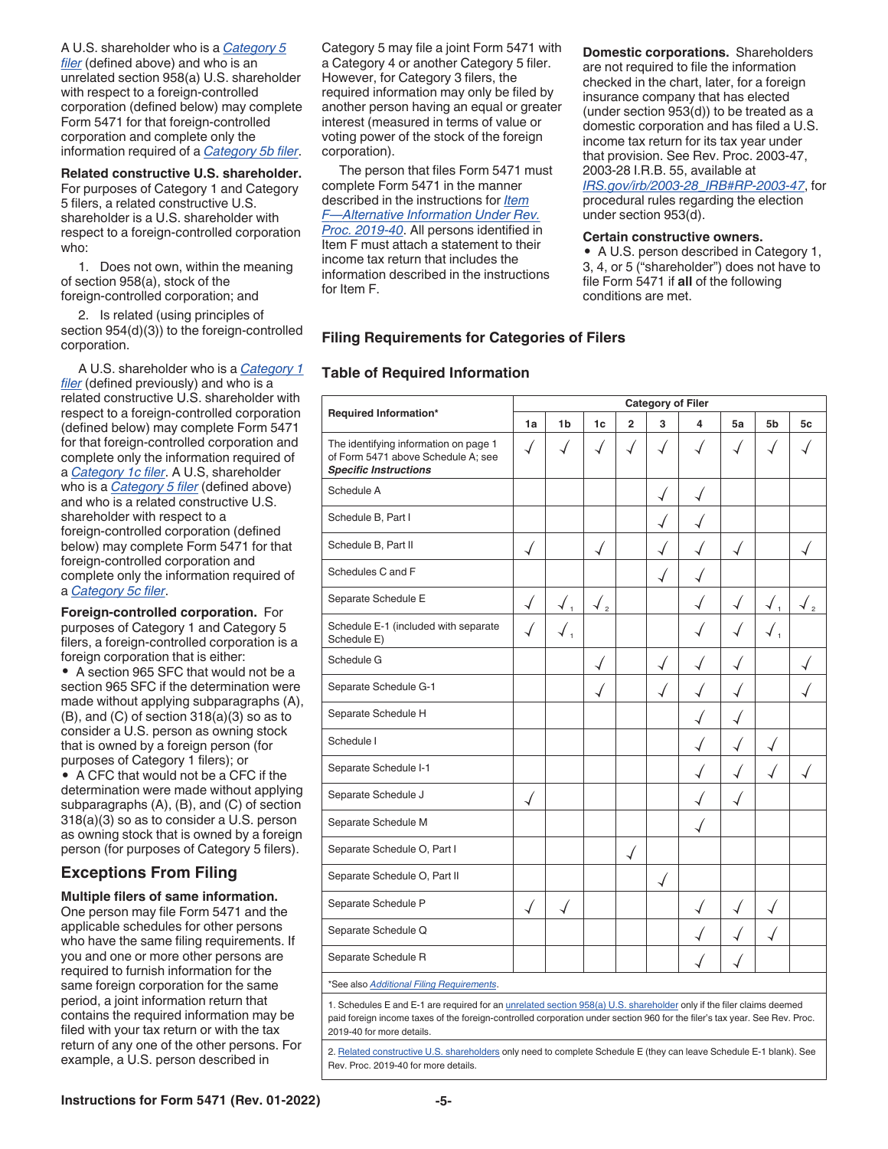<span id="page-4-0"></span>A U.S. shareholder who is a *[Category 5](#page-3-0) [filer](#page-3-0)* (defined above) and who is an unrelated section 958(a) U.S. shareholder with respect to a foreign-controlled corporation (defined below) may complete Form 5471 for that foreign-controlled corporation and complete only the information required of a *[Category 5b filer](#page-3-0)*.

**Related constructive U.S. shareholder.**  For purposes of Category 1 and Category 5 filers, a related constructive U.S. shareholder is a U.S. shareholder with respect to a foreign-controlled corporation who:

1. Does not own, within the meaning of section 958(a), stock of the foreign-controlled corporation; and

2. Is related (using principles of section 954(d)(3)) to the foreign-controlled corporation.

A U.S. shareholder who is a *[Category 1](#page-2-0) [filer](#page-2-0)* (defined previously) and who is a related constructive U.S. shareholder with respect to a foreign-controlled corporation (defined below) may complete Form 5471 for that foreign-controlled corporation and complete only the information required of a *[Category 1c filer](#page-2-0)*. A U.S, shareholder who is a *[Category 5 filer](#page-3-0)* (defined above) and who is a related constructive U.S. shareholder with respect to a foreign-controlled corporation (defined below) may complete Form 5471 for that foreign-controlled corporation and complete only the information required of a *[Category 5c filer](#page-3-0)*.

**Foreign-controlled corporation.** For purposes of Category 1 and Category 5 filers, a foreign-controlled corporation is a foreign corporation that is either:

• A section 965 SFC that would not be a section 965 SFC if the determination were made without applying subparagraphs (A), (B), and (C) of section 318(a)(3) so as to consider a U.S. person as owning stock that is owned by a foreign person (for purposes of Category 1 filers); or • A CFC that would not be a CFC if the determination were made without applying subparagraphs (A), (B), and (C) of section 318(a)(3) so as to consider a U.S. person as owning stock that is owned by a foreign person (for purposes of Category 5 filers).

#### **Exceptions From Filing**

#### **Multiple filers of same information.**

One person may file Form 5471 and the applicable schedules for other persons who have the same filing requirements. If you and one or more other persons are required to furnish information for the same foreign corporation for the same period, a joint information return that contains the required information may be filed with your tax return or with the tax return of any one of the other persons. For example, a U.S. person described in

Category 5 may file a joint Form 5471 with a Category 4 or another Category 5 filer. However, for Category 3 filers, the required information may only be filed by another person having an equal or greater interest (measured in terms of value or voting power of the stock of the foreign corporation).

The person that files Form 5471 must complete Form 5471 in the manner described in the instructions for *[Item](#page-8-0)  [F—Alternative Information Under Rev.](#page-8-0)  [Proc. 2019-40](#page-8-0)*. All persons identified in Item F must attach a statement to their income tax return that includes the information described in the instructions for Item F.

**Domestic corporations.** Shareholders are not required to file the information checked in the chart, later, for a foreign insurance company that has elected (under section 953(d)) to be treated as a domestic corporation and has filed a U.S. income tax return for its tax year under that provision. See Rev. Proc. 2003-47, 2003-28 I.R.B. 55, available at *[IRS.gov/irb/2003-28\\_IRB#RP-2003-47](https://www.irs.gov/irb/2003-28_IRB#RP-2003-47)*, for

procedural rules regarding the election under section 953(d).

#### **Certain constructive owners.**

• A U.S. person described in Category 1, 3, 4, or 5 ("shareholder") does not have to file Form 5471 if **all** of the following conditions are met.

#### **Filing Requirements for Categories of Filers**

#### **Table of Required Information**

| Required Information*                                                                                       | <b>Category of Filer</b> |                |                |                          |              |   |              |                |    |
|-------------------------------------------------------------------------------------------------------------|--------------------------|----------------|----------------|--------------------------|--------------|---|--------------|----------------|----|
|                                                                                                             | 1a                       | 1 <sub>b</sub> | 1 <sub>c</sub> | $\overline{2}$           | 3            | 4 | 5a           | 5 <sub>b</sub> | 5c |
| The identifying information on page 1<br>of Form 5471 above Schedule A; see<br><b>Specific Instructions</b> | √                        |                |                |                          |              |   |              |                |    |
| Schedule A                                                                                                  |                          |                |                |                          |              |   |              |                |    |
| Schedule B, Part I                                                                                          |                          |                |                |                          |              |   |              |                |    |
| Schedule B, Part II                                                                                         | $\checkmark$             |                |                |                          | √            |   | $\checkmark$ |                |    |
| Schedules C and F                                                                                           |                          |                |                |                          | $\checkmark$ |   |              |                |    |
| Separate Schedule E                                                                                         | $\overline{\mathcal{A}}$ | $\overline{1}$ | $\sqrt{2}$     |                          |              |   | √            | $\overline{1}$ |    |
| Schedule E-1 (included with separate<br>Schedule E)                                                         |                          | ✔」             |                |                          |              |   |              |                |    |
| Schedule G                                                                                                  |                          |                | ┙              |                          | $\checkmark$ |   |              |                |    |
| Separate Schedule G-1                                                                                       |                          |                |                |                          | √            |   |              |                |    |
| Separate Schedule H                                                                                         |                          |                |                |                          |              |   |              |                |    |
| Schedule I                                                                                                  |                          |                |                |                          |              |   |              |                |    |
| Separate Schedule I-1                                                                                       |                          |                |                |                          |              |   |              |                |    |
| Separate Schedule J                                                                                         | √                        |                |                |                          |              |   |              |                |    |
| Separate Schedule M                                                                                         |                          |                |                |                          |              |   |              |                |    |
| Separate Schedule O, Part I                                                                                 |                          |                |                | $\overline{\mathcal{A}}$ |              |   |              |                |    |
| Separate Schedule O, Part II                                                                                |                          |                |                |                          |              |   |              |                |    |
| Separate Schedule P                                                                                         | √                        |                |                |                          |              |   |              |                |    |
| Separate Schedule Q                                                                                         |                          |                |                |                          |              |   |              |                |    |
| Separate Schedule R                                                                                         |                          |                |                |                          |              |   |              |                |    |
| *See also Additional Filing Requirements.                                                                   |                          |                |                |                          |              |   |              |                |    |
|                                                                                                             |                          |                |                |                          |              |   |              |                |    |

1. Schedules E and E-1 are required for an *[unrelated section 958\(a\) U.S. shareholder](#page-3-0) only if the filer claims deemed* paid foreign income taxes of the foreign-controlled corporation under section 960 for the filer's tax year. See Rev. Proc. 2019-40 for more details.

2. Related constructive U.S. shareholders only need to complete Schedule E (they can leave Schedule E-1 blank). See Rev. Proc. 2019-40 for more details.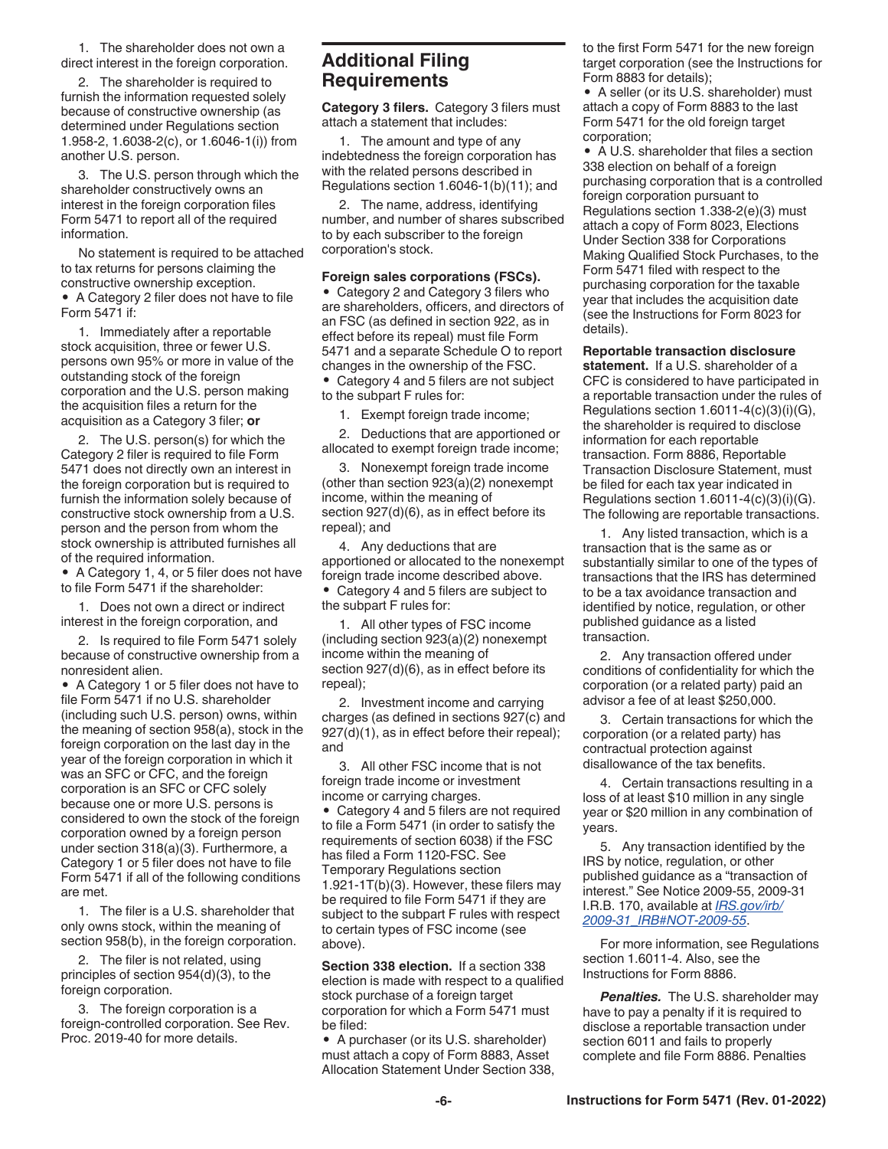<span id="page-5-0"></span>1. The shareholder does not own a direct interest in the foreign corporation.

2. The shareholder is required to furnish the information requested solely because of constructive ownership (as determined under Regulations section 1.958-2, 1.6038-2(c), or 1.6046-1(i)) from another U.S. person.

3. The U.S. person through which the shareholder constructively owns an interest in the foreign corporation files Form 5471 to report all of the required information.

No statement is required to be attached to tax returns for persons claiming the constructive ownership exception.

• A Category 2 filer does not have to file Form 5471 if:

1. Immediately after a reportable stock acquisition, three or fewer U.S. persons own 95% or more in value of the outstanding stock of the foreign corporation and the U.S. person making the acquisition files a return for the acquisition as a Category 3 filer; **or**

2. The U.S. person(s) for which the Category 2 filer is required to file Form 5471 does not directly own an interest in the foreign corporation but is required to furnish the information solely because of constructive stock ownership from a U.S. person and the person from whom the stock ownership is attributed furnishes all of the required information.

• A Category 1, 4, or 5 filer does not have to file Form 5471 if the shareholder:

1. Does not own a direct or indirect interest in the foreign corporation, and

2. Is required to file Form 5471 solely because of constructive ownership from a nonresident alien.

• A Category 1 or 5 filer does not have to file Form 5471 if no U.S. shareholder (including such U.S. person) owns, within the meaning of section 958(a), stock in the foreign corporation on the last day in the year of the foreign corporation in which it was an SFC or CFC, and the foreign corporation is an SFC or CFC solely because one or more U.S. persons is considered to own the stock of the foreign corporation owned by a foreign person under section 318(a)(3). Furthermore, a Category 1 or 5 filer does not have to file Form 5471 if all of the following conditions are met.

1. The filer is a U.S. shareholder that only owns stock, within the meaning of section 958(b), in the foreign corporation.

2. The filer is not related, using principles of section 954(d)(3), to the foreign corporation.

3. The foreign corporation is a foreign-controlled corporation. See Rev. Proc. 2019-40 for more details.

#### **Additional Filing Requirements**

**Category 3 filers.** Category 3 filers must attach a statement that includes:

1. The amount and type of any indebtedness the foreign corporation has with the related persons described in Regulations section 1.6046-1(b)(11); and

2. The name, address, identifying number, and number of shares subscribed to by each subscriber to the foreign corporation's stock.

#### **Foreign sales corporations (FSCs).**

• Category 2 and Category 3 filers who are shareholders, officers, and directors of an FSC (as defined in section 922, as in effect before its repeal) must file Form 5471 and a separate Schedule O to report changes in the ownership of the FSC.

• Category 4 and 5 filers are not subject to the subpart F rules for:

1. Exempt foreign trade income;

2. Deductions that are apportioned or allocated to exempt foreign trade income;

3. Nonexempt foreign trade income (other than section 923(a)(2) nonexempt income, within the meaning of section  $927(d)(6)$ , as in effect before its repeal); and

4. Any deductions that are apportioned or allocated to the nonexempt foreign trade income described above.

• Category 4 and 5 filers are subject to the subpart F rules for:

1. All other types of FSC income (including section 923(a)(2) nonexempt income within the meaning of section 927(d)(6), as in effect before its repeal);

2. Investment income and carrying charges (as defined in sections 927(c) and 927(d)(1), as in effect before their repeal); and

3. All other FSC income that is not foreign trade income or investment income or carrying charges.

• Category 4 and 5 filers are not required to file a Form 5471 (in order to satisfy the requirements of section 6038) if the FSC has filed a Form 1120-FSC. See Temporary Regulations section 1.921-1T(b)(3). However, these filers may be required to file Form 5471 if they are subject to the subpart F rules with respect to certain types of FSC income (see above).

**Section 338 election.** If a section 338 election is made with respect to a qualified stock purchase of a foreign target corporation for which a Form 5471 must be filed:

• A purchaser (or its U.S. shareholder) must attach a copy of Form 8883, Asset Allocation Statement Under Section 338, to the first Form 5471 for the new foreign target corporation (see the Instructions for Form 8883 for details);

• A seller (or its U.S. shareholder) must attach a copy of Form 8883 to the last Form 5471 for the old foreign target corporation;

• A U.S. shareholder that files a section 338 election on behalf of a foreign purchasing corporation that is a controlled foreign corporation pursuant to Regulations section 1.338-2(e)(3) must attach a copy of Form 8023, Elections Under Section 338 for Corporations Making Qualified Stock Purchases, to the Form 5471 filed with respect to the purchasing corporation for the taxable year that includes the acquisition date (see the Instructions for Form 8023 for details).

**Reportable transaction disclosure statement.** If a U.S. shareholder of a CFC is considered to have participated in a reportable transaction under the rules of Regulations section 1.6011-4(c)(3)(i)(G), the shareholder is required to disclose information for each reportable transaction. Form 8886, Reportable Transaction Disclosure Statement, must be filed for each tax year indicated in Regulations section  $1.6011-4(c)(3)(i)(G)$ . The following are reportable transactions.

1. Any listed transaction, which is a transaction that is the same as or substantially similar to one of the types of transactions that the IRS has determined to be a tax avoidance transaction and identified by notice, regulation, or other published guidance as a listed transaction.

2. Any transaction offered under conditions of confidentiality for which the corporation (or a related party) paid an advisor a fee of at least \$250,000.

3. Certain transactions for which the corporation (or a related party) has contractual protection against disallowance of the tax benefits.

4. Certain transactions resulting in a loss of at least \$10 million in any single year or \$20 million in any combination of years.

5. Any transaction identified by the IRS by notice, regulation, or other published guidance as a "transaction of interest." See Notice 2009-55, 2009-31 I.R.B. 170, available at *[IRS.gov/irb/](https://www.irs.gov/irb/2009-31_IRB#NOT-2009-55) [2009-31\\_IRB#NOT-2009-55](https://www.irs.gov/irb/2009-31_IRB#NOT-2009-55)*.

For more information, see Regulations section 1.6011-4. Also, see the Instructions for Form 8886.

*Penalties.* The U.S. shareholder may have to pay a penalty if it is required to disclose a reportable transaction under section 6011 and fails to properly complete and file Form 8886. Penalties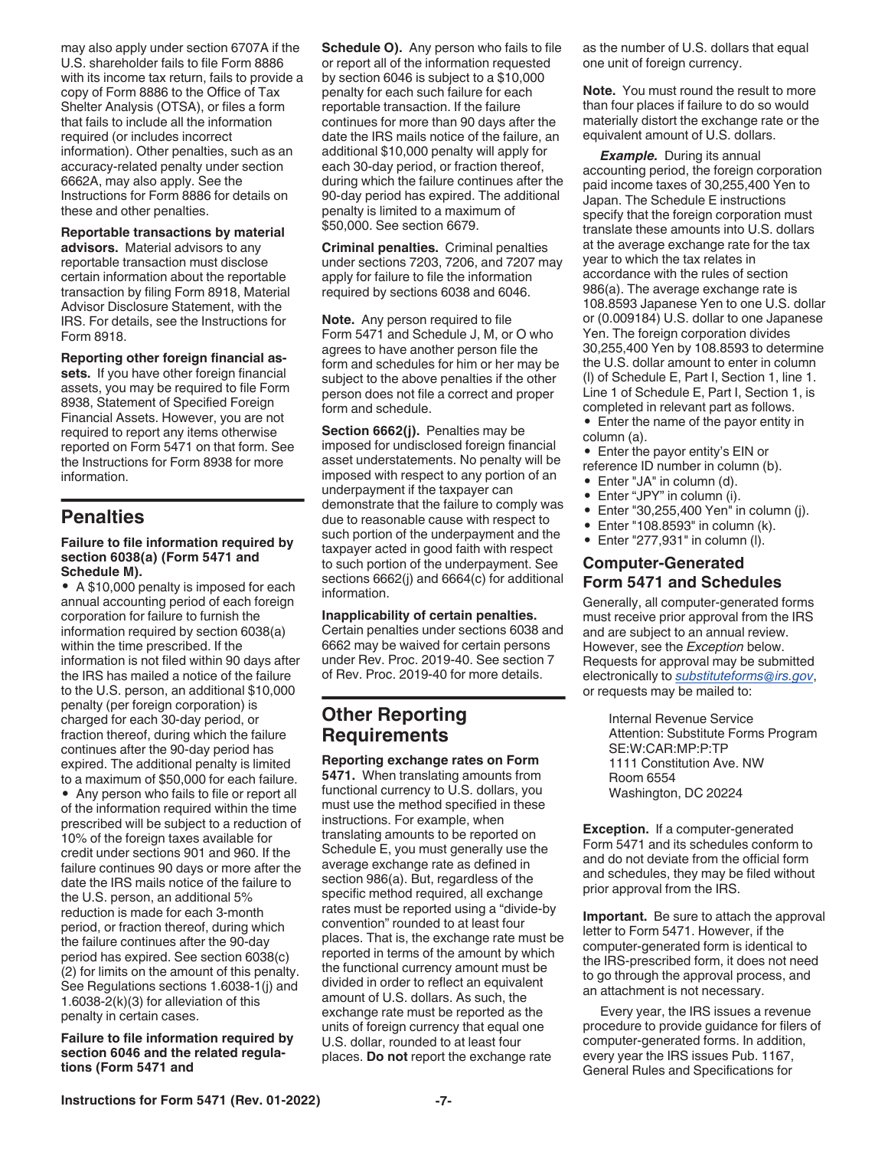<span id="page-6-0"></span>may also apply under section 6707A if the U.S. shareholder fails to file Form 8886 with its income tax return, fails to provide a copy of Form 8886 to the Office of Tax Shelter Analysis (OTSA), or files a form that fails to include all the information required (or includes incorrect information). Other penalties, such as an accuracy-related penalty under section 6662A, may also apply. See the Instructions for Form 8886 for details on these and other penalties.

#### **Reportable transactions by material**

**advisors.** Material advisors to any reportable transaction must disclose certain information about the reportable transaction by filing Form 8918, Material Advisor Disclosure Statement, with the IRS. For details, see the Instructions for Form 8918.

**Reporting other foreign financial assets.** If you have other foreign financial assets, you may be required to file Form 8938, Statement of Specified Foreign Financial Assets. However, you are not required to report any items otherwise reported on Form 5471 on that form. See the Instructions for Form 8938 for more information.

#### **Penalties**

#### **Failure to file information required by section 6038(a) (Form 5471 and Schedule M).**

• A \$10,000 penalty is imposed for each annual accounting period of each foreign corporation for failure to furnish the information required by section 6038(a) within the time prescribed. If the information is not filed within 90 days after the IRS has mailed a notice of the failure to the U.S. person, an additional \$10,000 penalty (per foreign corporation) is charged for each 30-day period, or fraction thereof, during which the failure continues after the 90-day period has expired. The additional penalty is limited to a maximum of \$50,000 for each failure. • Any person who fails to file or report all of the information required within the time prescribed will be subject to a reduction of 10% of the foreign taxes available for credit under sections 901 and 960. If the failure continues 90 days or more after the date the IRS mails notice of the failure to the U.S. person, an additional 5% reduction is made for each 3-month period, or fraction thereof, during which the failure continues after the 90-day period has expired. See section 6038(c) (2) for limits on the amount of this penalty. See Regulations sections 1.6038-1(j) and 1.6038-2(k)(3) for alleviation of this penalty in certain cases.

**Failure to file information required by section 6046 and the related regulations (Form 5471 and**

**Schedule O).** Any person who fails to file or report all of the information requested by section 6046 is subject to a \$10,000 penalty for each such failure for each reportable transaction. If the failure continues for more than 90 days after the date the IRS mails notice of the failure, an additional \$10,000 penalty will apply for each 30-day period, or fraction thereof, during which the failure continues after the 90-day period has expired. The additional penalty is limited to a maximum of \$50,000. See section 6679.

**Criminal penalties.** Criminal penalties under sections 7203, 7206, and 7207 may apply for failure to file the information required by sections 6038 and 6046.

**Note.** Any person required to file Form 5471 and Schedule J, M, or O who agrees to have another person file the form and schedules for him or her may be subject to the above penalties if the other person does not file a correct and proper form and schedule.

**Section 6662(j).** Penalties may be imposed for undisclosed foreign financial asset understatements. No penalty will be imposed with respect to any portion of an underpayment if the taxpayer can demonstrate that the failure to comply was due to reasonable cause with respect to such portion of the underpayment and the taxpayer acted in good faith with respect to such portion of the underpayment. See sections 6662(j) and 6664(c) for additional information.

#### **Inapplicability of certain penalties.**

Certain penalties under sections 6038 and 6662 may be waived for certain persons under Rev. Proc. 2019-40. See section 7 of Rev. Proc. 2019-40 for more details.

### **Other Reporting Requirements**

**Reporting exchange rates on Form 5471.** When translating amounts from functional currency to U.S. dollars, you must use the method specified in these instructions. For example, when translating amounts to be reported on Schedule E, you must generally use the average exchange rate as defined in section 986(a). But, regardless of the specific method required, all exchange rates must be reported using a "divide-by convention" rounded to at least four places. That is, the exchange rate must be reported in terms of the amount by which the functional currency amount must be divided in order to reflect an equivalent amount of U.S. dollars. As such, the exchange rate must be reported as the units of foreign currency that equal one U.S. dollar, rounded to at least four places. **Do not** report the exchange rate

as the number of U.S. dollars that equal one unit of foreign currency.

**Note.** You must round the result to more than four places if failure to do so would materially distort the exchange rate or the equivalent amount of U.S. dollars.

*Example.* During its annual accounting period, the foreign corporation paid income taxes of 30,255,400 Yen to Japan. The Schedule E instructions specify that the foreign corporation must translate these amounts into U.S. dollars at the average exchange rate for the tax year to which the tax relates in accordance with the rules of section 986(a). The average exchange rate is 108.8593 Japanese Yen to one U.S. dollar or (0.009184) U.S. dollar to one Japanese Yen. The foreign corporation divides 30,255,400 Yen by 108.8593 to determine the U.S. dollar amount to enter in column (l) of Schedule E, Part I, Section 1, line 1. Line 1 of Schedule E, Part I, Section 1, is completed in relevant part as follows.

- Enter the name of the payor entity in column (a).
- Enter the payor entity's EIN or
- reference ID number in column (b).
- Enter "JA" in column (d).
- Enter "JPY" in column (i).<br>• Enter "30 255 400 Yen" in
- Enter "30,255,400 Yen" in column (j).
- Enter "108.8593" in column (k).
- Enter "277,931" in column (l).

#### **Computer-Generated Form 5471 and Schedules**

Generally, all computer-generated forms must receive prior approval from the IRS and are subject to an annual review. However, see the *Exception* below. Requests for approval may be submitted electronically to *[substituteforms@irs.gov](mailto:substituteforms@irs.gov)*, or requests may be mailed to:

> Internal Revenue Service Attention: Substitute Forms Program SE:W:CAR:MP:P:TP 1111 Constitution Ave. NW Room 6554 Washington, DC 20224

**Exception.** If a computer-generated Form 5471 and its schedules conform to and do not deviate from the official form and schedules, they may be filed without prior approval from the IRS.

**Important.** Be sure to attach the approval letter to Form 5471. However, if the computer-generated form is identical to the IRS-prescribed form, it does not need to go through the approval process, and an attachment is not necessary.

Every year, the IRS issues a revenue procedure to provide guidance for filers of computer-generated forms. In addition, every year the IRS issues Pub. 1167, General Rules and Specifications for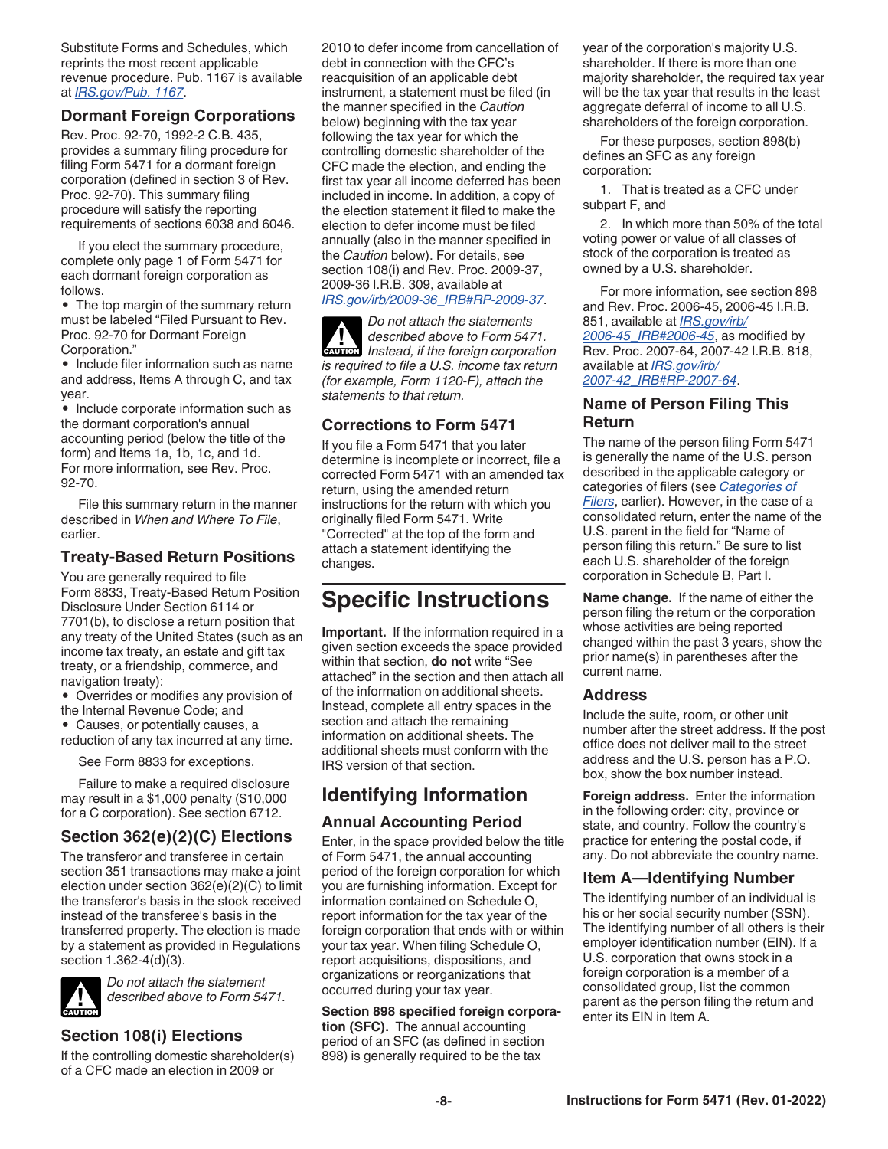<span id="page-7-0"></span>Substitute Forms and Schedules, which reprints the most recent applicable revenue procedure. Pub. 1167 is available at *[IRS.gov/Pub. 1167](https://www.irs.gov/Pub1167)*.

#### **Dormant Foreign Corporations**

Rev. Proc. 92-70, 1992-2 C.B. 435, provides a summary filing procedure for filing Form 5471 for a dormant foreign corporation (defined in section 3 of Rev. Proc. 92-70). This summary filing procedure will satisfy the reporting requirements of sections 6038 and 6046.

If you elect the summary procedure, complete only page 1 of Form 5471 for each dormant foreign corporation as follows.

• The top margin of the summary return must be labeled "Filed Pursuant to Rev. Proc. 92-70 for Dormant Foreign Corporation."

• Include filer information such as name and address, Items A through C, and tax year.

• Include corporate information such as the dormant corporation's annual accounting period (below the title of the form) and Items 1a, 1b, 1c, and 1d. For more information, see Rev. Proc. 92-70.

File this summary return in the manner described in *When and Where To File*, earlier.

#### **Treaty-Based Return Positions**

You are generally required to file Form 8833, Treaty-Based Return Position Disclosure Under Section 6114 or 7701(b), to disclose a return position that any treaty of the United States (such as an income tax treaty, an estate and gift tax treaty, or a friendship, commerce, and navigation treaty):

• Overrides or modifies any provision of the Internal Revenue Code; and

• Causes, or potentially causes, a reduction of any tax incurred at any time.

See Form 8833 for exceptions.

Failure to make a required disclosure may result in a \$1,000 penalty (\$10,000 for a C corporation). See section 6712.

#### **Section 362(e)(2)(C) Elections**

The transferor and transferee in certain section 351 transactions may make a joint election under section 362(e)(2)(C) to limit the transferor's basis in the stock received instead of the transferee's basis in the transferred property. The election is made by a statement as provided in Regulations section 1.362-4(d)(3).



*Do not attach the statement described above to Form 5471.*

#### **Section 108(i) Elections**

If the controlling domestic shareholder(s) of a CFC made an election in 2009 or

2010 to defer income from cancellation of debt in connection with the CFC's reacquisition of an applicable debt instrument, a statement must be filed (in the manner specified in the *Caution*  below) beginning with the tax year following the tax year for which the controlling domestic shareholder of the CFC made the election, and ending the first tax year all income deferred has been included in income. In addition, a copy of the election statement it filed to make the election to defer income must be filed annually (also in the manner specified in the *Caution* below). For details, see section 108(i) and Rev. Proc. 2009-37, 2009-36 I.R.B. 309, available at *[IRS.gov/irb/2009-36\\_IRB#RP-2009-37](https://www.irs.gov/irb/2009-36_IRB#RP-2009-37)*.

*Do not attach the statements described above to Form 5471. Instead, if the foreign corporation is required to file a U.S. income tax return (for example, Form 1120-F), attach the statements to that return.* **CAUTION !**

#### **Corrections to Form 5471**

If you file a Form 5471 that you later determine is incomplete or incorrect, file a corrected Form 5471 with an amended tax return, using the amended return instructions for the return with which you originally filed Form 5471. Write "Corrected" at the top of the form and attach a statement identifying the changes.

### **Specific Instructions**

**Important.** If the information required in a given section exceeds the space provided within that section, **do not** write "See attached" in the section and then attach all of the information on additional sheets. Instead, complete all entry spaces in the section and attach the remaining information on additional sheets. The additional sheets must conform with the IRS version of that section.

## **Identifying Information**

#### **Annual Accounting Period**

Enter, in the space provided below the title of Form 5471, the annual accounting period of the foreign corporation for which you are furnishing information. Except for information contained on Schedule O, report information for the tax year of the foreign corporation that ends with or within your tax year. When filing Schedule O, report acquisitions, dispositions, and organizations or reorganizations that occurred during your tax year.

**Section 898 specified foreign corporation (SFC).** The annual accounting period of an SFC (as defined in section 898) is generally required to be the tax

year of the corporation's majority U.S. shareholder. If there is more than one majority shareholder, the required tax year will be the tax year that results in the least aggregate deferral of income to all U.S. shareholders of the foreign corporation.

For these purposes, section 898(b) defines an SFC as any foreign corporation:

1. That is treated as a CFC under subpart F, and

2. In which more than 50% of the total voting power or value of all classes of stock of the corporation is treated as owned by a U.S. shareholder.

For more information, see section 898 and Rev. Proc. 2006-45, 2006-45 I.R.B. 851, available at *[IRS.gov/irb/](https://www.irs.gov/irb/2006-45_IRB#RP-2006-45) [2006-45\\_IRB#2006-45](https://www.irs.gov/irb/2006-45_IRB#RP-2006-45)*, as modified by Rev. Proc. 2007-64, 2007-42 I.R.B. 818, available at *[IRS.gov/irb/](https://www.irs.gov/irb/2007-42_IRB#RP-2007-64) [2007-42\\_IRB#RP-2007-64](https://www.irs.gov/irb/2007-42_IRB#RP-2007-64)*.

#### **Name of Person Filing This Return**

The name of the person filing Form 5471 is generally the name of the U.S. person described in the applicable category or categories of filers (see *[Categories of](#page-2-0) [Filers](#page-2-0)*, earlier). However, in the case of a consolidated return, enter the name of the U.S. parent in the field for "Name of person filing this return." Be sure to list each U.S. shareholder of the foreign corporation in Schedule B, Part I.

**Name change.** If the name of either the person filing the return or the corporation whose activities are being reported changed within the past 3 years, show the prior name(s) in parentheses after the current name.

#### **Address**

Include the suite, room, or other unit number after the street address. If the post office does not deliver mail to the street address and the U.S. person has a P.O. box, show the box number instead.

**Foreign address.** Enter the information in the following order: city, province or state, and country. Follow the country's practice for entering the postal code, if any. Do not abbreviate the country name.

#### **Item A—Identifying Number**

The identifying number of an individual is his or her social security number (SSN). The identifying number of all others is their employer identification number (EIN). If a U.S. corporation that owns stock in a foreign corporation is a member of a consolidated group, list the common parent as the person filing the return and enter its EIN in Item A.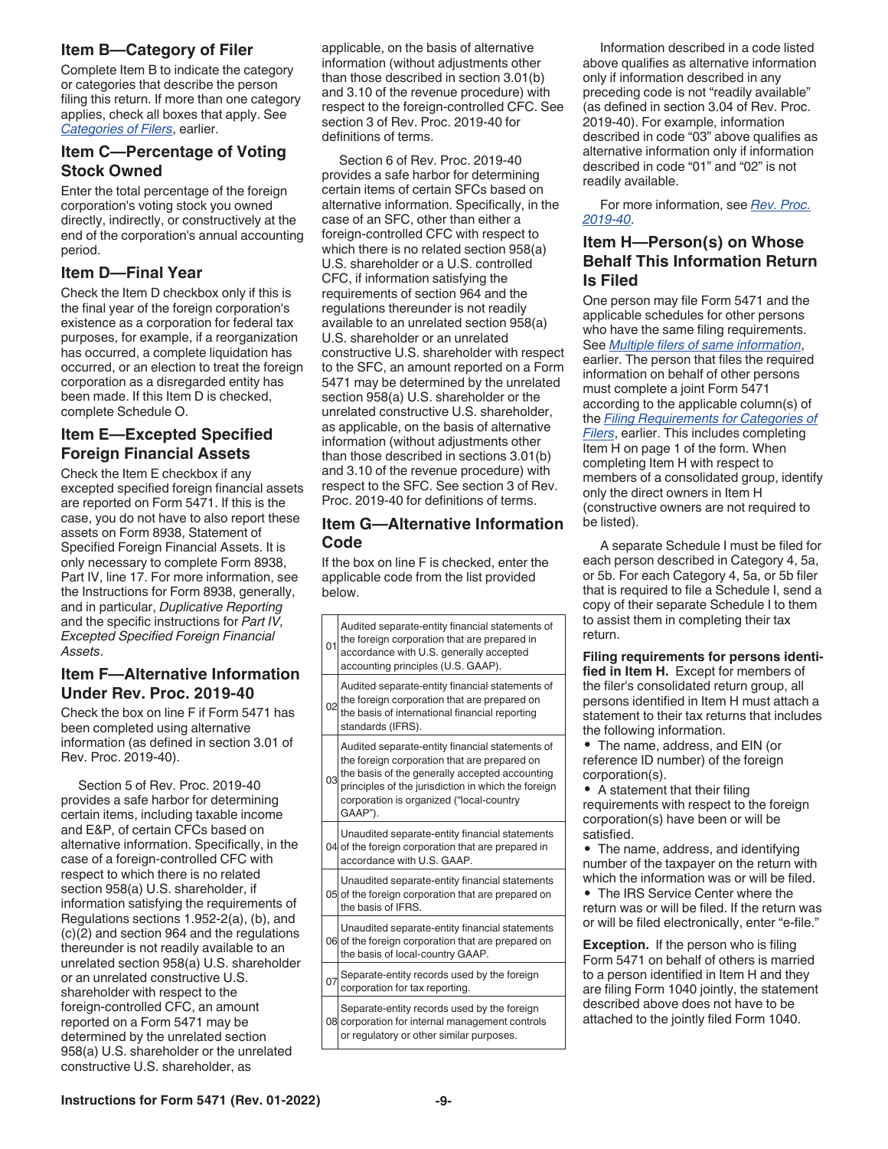#### <span id="page-8-0"></span>**Item B—Category of Filer**

Complete Item B to indicate the category or categories that describe the person filing this return. If more than one category applies, check all boxes that apply. See *[Categories of Filers](#page-2-0)*, earlier.

#### **Item C—Percentage of Voting Stock Owned**

Enter the total percentage of the foreign corporation's voting stock you owned directly, indirectly, or constructively at the end of the corporation's annual accounting period.

#### **Item D—Final Year**

Check the Item D checkbox only if this is the final year of the foreign corporation's existence as a corporation for federal tax purposes, for example, if a reorganization has occurred, a complete liquidation has occurred, or an election to treat the foreign corporation as a disregarded entity has been made. If this Item D is checked, complete Schedule O.

#### **Item E—Excepted Specified Foreign Financial Assets**

Check the Item E checkbox if any excepted specified foreign financial assets are reported on Form 5471. If this is the case, you do not have to also report these assets on Form 8938, Statement of Specified Foreign Financial Assets. It is only necessary to complete Form 8938, Part IV, line 17. For more information, see the Instructions for Form 8938, generally, and in particular, *Duplicative Reporting*  and the specific instructions for *Part IV, Excepted Specified Foreign Financial Assets*.

#### **Item F—Alternative Information Under Rev. Proc. 2019-40**

Check the box on line F if Form 5471 has been completed using alternative information (as defined in section 3.01 of Rev. Proc. 2019-40).

Section 5 of Rev. Proc. 2019-40 provides a safe harbor for determining certain items, including taxable income and E&P, of certain CFCs based on alternative information. Specifically, in the case of a foreign-controlled CFC with respect to which there is no related section 958(a) U.S. shareholder, if information satisfying the requirements of Regulations sections 1.952-2(a), (b), and (c)(2) and section 964 and the regulations thereunder is not readily available to an unrelated section 958(a) U.S. shareholder or an unrelated constructive U.S. shareholder with respect to the foreign-controlled CFC, an amount reported on a Form 5471 may be determined by the unrelated section 958(a) U.S. shareholder or the unrelated constructive U.S. shareholder, as

applicable, on the basis of alternative information (without adjustments other than those described in section 3.01(b) and 3.10 of the revenue procedure) with respect to the foreign-controlled CFC. See section 3 of Rev. Proc. 2019-40 for definitions of terms.

Section 6 of Rev. Proc. 2019-40 provides a safe harbor for determining certain items of certain SFCs based on alternative information. Specifically, in the case of an SFC, other than either a foreign-controlled CFC with respect to which there is no related section 958(a) U.S. shareholder or a U.S. controlled CFC, if information satisfying the requirements of section 964 and the regulations thereunder is not readily available to an unrelated section 958(a) U.S. shareholder or an unrelated constructive U.S. shareholder with respect to the SFC, an amount reported on a Form 5471 may be determined by the unrelated section 958(a) U.S. shareholder or the unrelated constructive U.S. shareholder, as applicable, on the basis of alternative information (without adjustments other than those described in sections 3.01(b) and 3.10 of the revenue procedure) with respect to the SFC. See section 3 of Rev. Proc. 2019-40 for definitions of terms.

#### **Item G—Alternative Information Code**

If the box on line F is checked, enter the applicable code from the list provided below.

| 01             | Audited separate-entity financial statements of<br>the foreign corporation that are prepared in<br>accordance with U.S. generally accepted<br>accounting principles (U.S. GAAP).                                                                                |
|----------------|-----------------------------------------------------------------------------------------------------------------------------------------------------------------------------------------------------------------------------------------------------------------|
| 0 <sub>2</sub> | Audited separate-entity financial statements of<br>the foreign corporation that are prepared on<br>the basis of international financial reporting<br>standards (IFRS).                                                                                          |
| 03             | Audited separate-entity financial statements of<br>the foreign corporation that are prepared on<br>the basis of the generally accepted accounting<br>principles of the jurisdiction in which the foreign<br>corporation is organized ("local-country<br>GAAP"). |
|                | Unaudited separate-entity financial statements<br>04 of the foreign corporation that are prepared in<br>accordance with U.S. GAAP.                                                                                                                              |
|                | Unaudited separate-entity financial statements<br>05 of the foreign corporation that are prepared on<br>the basis of IFRS.                                                                                                                                      |
|                | Unaudited separate-entity financial statements<br>06 of the foreign corporation that are prepared on<br>the basis of local-country GAAP.                                                                                                                        |
|                | 07 Separate-entity records used by the foreign<br>corporation for tax reporting.                                                                                                                                                                                |
|                | Separate-entity records used by the foreign<br>08 corporation for internal management controls<br>or regulatory or other similar purposes.                                                                                                                      |

Information described in a code listed above qualifies as alternative information only if information described in any preceding code is not "readily available" (as defined in section 3.04 of Rev. Proc. 2019-40). For example, information described in code "03" above qualifies as alternative information only if information described in code "01" and "02" is not readily available.

For more information, see *[Rev. Proc.](https://www.irs.gov/irb/2019-43_IRB#Rev-Proc-2019-40) [2019-40](https://www.irs.gov/irb/2019-43_IRB#Rev-Proc-2019-40)*.

#### **Item H—Person(s) on Whose Behalf This Information Return Is Filed**

One person may file Form 5471 and the applicable schedules for other persons who have the same filing requirements. See *[Multiple filers of same information](#page-4-0)*, earlier. The person that files the required information on behalf of other persons must complete a joint Form 5471 according to the applicable column(s) of the *[Filing Requirements for Categories of](#page-4-0)  [Filers](#page-4-0)*, earlier. This includes completing Item H on page 1 of the form. When completing Item H with respect to members of a consolidated group, identify only the direct owners in Item H (constructive owners are not required to be listed).

A separate Schedule I must be filed for each person described in Category 4, 5a, or 5b. For each Category 4, 5a, or 5b filer that is required to file a Schedule I, send a copy of their separate Schedule I to them to assist them in completing their tax return.

**Filing requirements for persons identified in Item H.** Except for members of the filer's consolidated return group, all persons identified in Item H must attach a statement to their tax returns that includes the following information.

• The name, address, and EIN (or reference ID number) of the foreign corporation(s).

• A statement that their filing requirements with respect to the foreign corporation(s) have been or will be satisfied.

• The name, address, and identifying number of the taxpayer on the return with which the information was or will be filed.

• The IRS Service Center where the return was or will be filed. If the return was or will be filed electronically, enter "e-file."

**Exception.** If the person who is filing Form 5471 on behalf of others is married to a person identified in Item H and they are filing Form 1040 jointly, the statement described above does not have to be attached to the jointly filed Form 1040.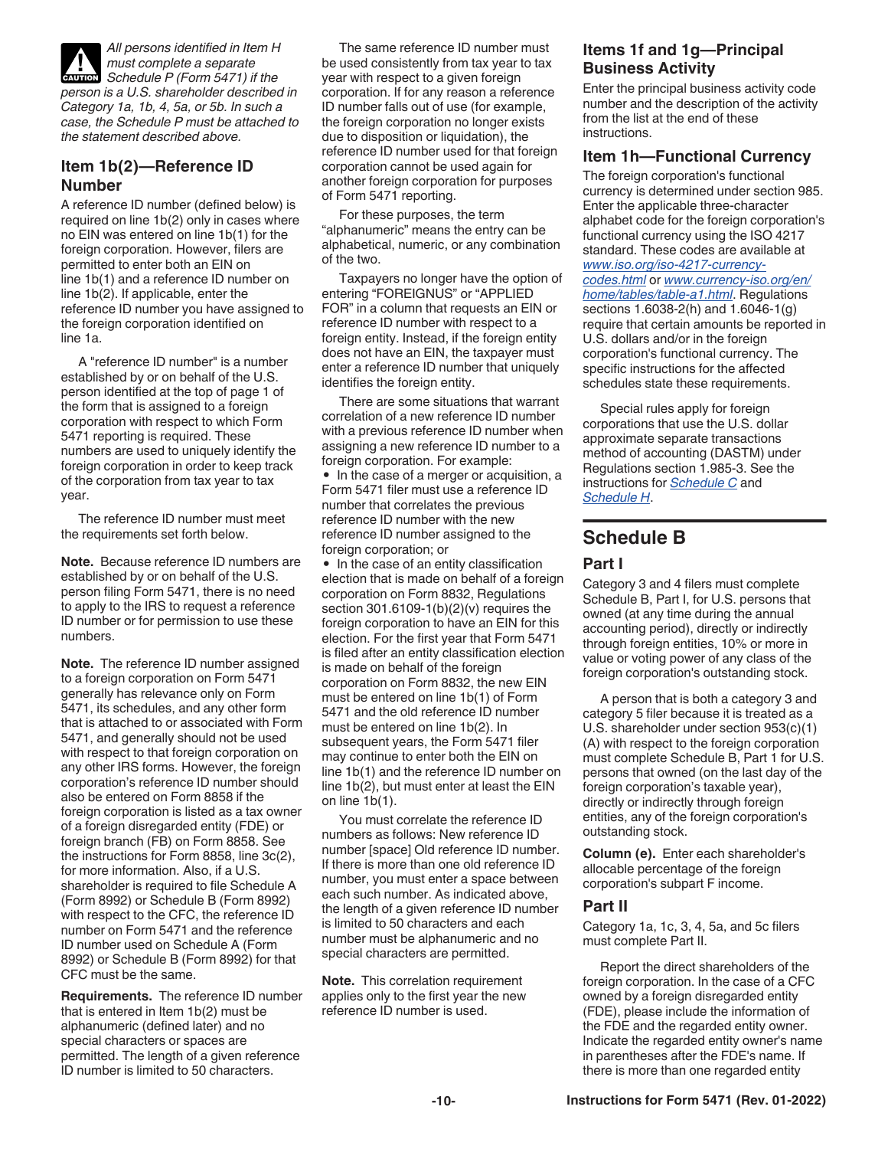<span id="page-9-0"></span>*All persons identified in Item H must complete a separate Schedule P (Form 5471) if the person is a U.S. shareholder described in Category 1a, 1b, 4, 5a, or 5b. In such a case, the Schedule P must be attached to the statement described above.* **CAUTION !**

#### **Item 1b(2)—Reference ID Number**

A reference ID number (defined below) is required on line 1b(2) only in cases where no EIN was entered on line 1b(1) for the foreign corporation. However, filers are permitted to enter both an EIN on line 1b(1) and a reference ID number on line 1b(2). If applicable, enter the reference ID number you have assigned to the foreign corporation identified on line 1a.

A "reference ID number" is a number established by or on behalf of the U.S. person identified at the top of page 1 of the form that is assigned to a foreign corporation with respect to which Form 5471 reporting is required. These numbers are used to uniquely identify the foreign corporation in order to keep track of the corporation from tax year to tax year.

The reference ID number must meet the requirements set forth below.

**Note.** Because reference ID numbers are established by or on behalf of the U.S. person filing Form 5471, there is no need to apply to the IRS to request a reference ID number or for permission to use these numbers.

**Note.** The reference ID number assigned to a foreign corporation on Form 5471 generally has relevance only on Form 5471, its schedules, and any other form that is attached to or associated with Form 5471, and generally should not be used with respect to that foreign corporation on any other IRS forms. However, the foreign corporation's reference ID number should also be entered on Form 8858 if the foreign corporation is listed as a tax owner of a foreign disregarded entity (FDE) or foreign branch (FB) on Form 8858. See the instructions for Form 8858, line 3c(2), for more information. Also, if a U.S. shareholder is required to file Schedule A (Form 8992) or Schedule B (Form 8992) with respect to the CFC, the reference ID number on Form 5471 and the reference ID number used on Schedule A (Form 8992) or Schedule B (Form 8992) for that CFC must be the same.

**Requirements.** The reference ID number that is entered in Item 1b(2) must be alphanumeric (defined later) and no special characters or spaces are permitted. The length of a given reference ID number is limited to 50 characters.

The same reference ID number must be used consistently from tax year to tax year with respect to a given foreign corporation. If for any reason a reference ID number falls out of use (for example, the foreign corporation no longer exists due to disposition or liquidation), the reference ID number used for that foreign corporation cannot be used again for another foreign corporation for purposes of Form 5471 reporting.

For these purposes, the term "alphanumeric" means the entry can be alphabetical, numeric, or any combination of the two.

Taxpayers no longer have the option of entering "FOREIGNUS" or "APPLIED FOR" in a column that requests an EIN or reference ID number with respect to a foreign entity. Instead, if the foreign entity does not have an EIN, the taxpayer must enter a reference ID number that uniquely identifies the foreign entity.

There are some situations that warrant correlation of a new reference ID number with a previous reference ID number when assigning a new reference ID number to a foreign corporation. For example:

• In the case of a merger or acquisition, a Form 5471 filer must use a reference ID number that correlates the previous reference ID number with the new reference ID number assigned to the foreign corporation; or

• In the case of an entity classification election that is made on behalf of a foreign corporation on Form 8832, Regulations section 301.6109-1(b)(2)(v) requires the foreign corporation to have an EIN for this election. For the first year that Form 5471 is filed after an entity classification election is made on behalf of the foreign corporation on Form 8832, the new EIN must be entered on line 1b(1) of Form 5471 and the old reference ID number must be entered on line 1b(2). In subsequent years, the Form 5471 filer may continue to enter both the EIN on line 1b(1) and the reference ID number on line 1b(2), but must enter at least the EIN on line 1b(1).

You must correlate the reference ID numbers as follows: New reference ID number [space] Old reference ID number. If there is more than one old reference ID number, you must enter a space between each such number. As indicated above, the length of a given reference ID number is limited to 50 characters and each number must be alphanumeric and no special characters are permitted.

**Note.** This correlation requirement applies only to the first year the new reference ID number is used.

#### **Items 1f and 1g—Principal Business Activity**

Enter the principal business activity code number and the description of the activity from the list at the end of these instructions.

#### **Item 1h—Functional Currency**

The foreign corporation's functional currency is determined under section 985. Enter the applicable three-character alphabet code for the foreign corporation's functional currency using the ISO 4217 standard. These codes are available at *[www.iso.org/iso-4217-currency](https://www.iso.org/iso-4217-currency-codes.html)[codes.html](https://www.iso.org/iso-4217-currency-codes.html)* or *[www.currency-iso.org/en/](https://www.currency-iso.org/en/home/tables/table-a1.html) [home/tables/table-a1.html](https://www.currency-iso.org/en/home/tables/table-a1.html)*. Regulations sections 1.6038-2(h) and 1.6046-1(g) require that certain amounts be reported in U.S. dollars and/or in the foreign corporation's functional currency. The specific instructions for the affected schedules state these requirements.

Special rules apply for foreign corporations that use the U.S. dollar approximate separate transactions method of accounting (DASTM) under Regulations section 1.985-3. See the instructions for *[Schedule C](#page-10-0)* and *[Schedule H](#page-29-0)*.

### **Schedule B**

#### **Part I**

Category 3 and 4 filers must complete Schedule B, Part I, for U.S. persons that owned (at any time during the annual accounting period), directly or indirectly through foreign entities, 10% or more in value or voting power of any class of the foreign corporation's outstanding stock.

A person that is both a category 3 and category 5 filer because it is treated as a U.S. shareholder under section 953(c)(1) (A) with respect to the foreign corporation must complete Schedule B, Part 1 for U.S. persons that owned (on the last day of the foreign corporation's taxable year), directly or indirectly through foreign entities, any of the foreign corporation's outstanding stock.

**Column (e).** Enter each shareholder's allocable percentage of the foreign corporation's subpart F income.

#### **Part II**

Category 1a, 1c, 3, 4, 5a, and 5c filers must complete Part II.

Report the direct shareholders of the foreign corporation. In the case of a CFC owned by a foreign disregarded entity (FDE), please include the information of the FDE and the regarded entity owner. Indicate the regarded entity owner's name in parentheses after the FDE's name. If there is more than one regarded entity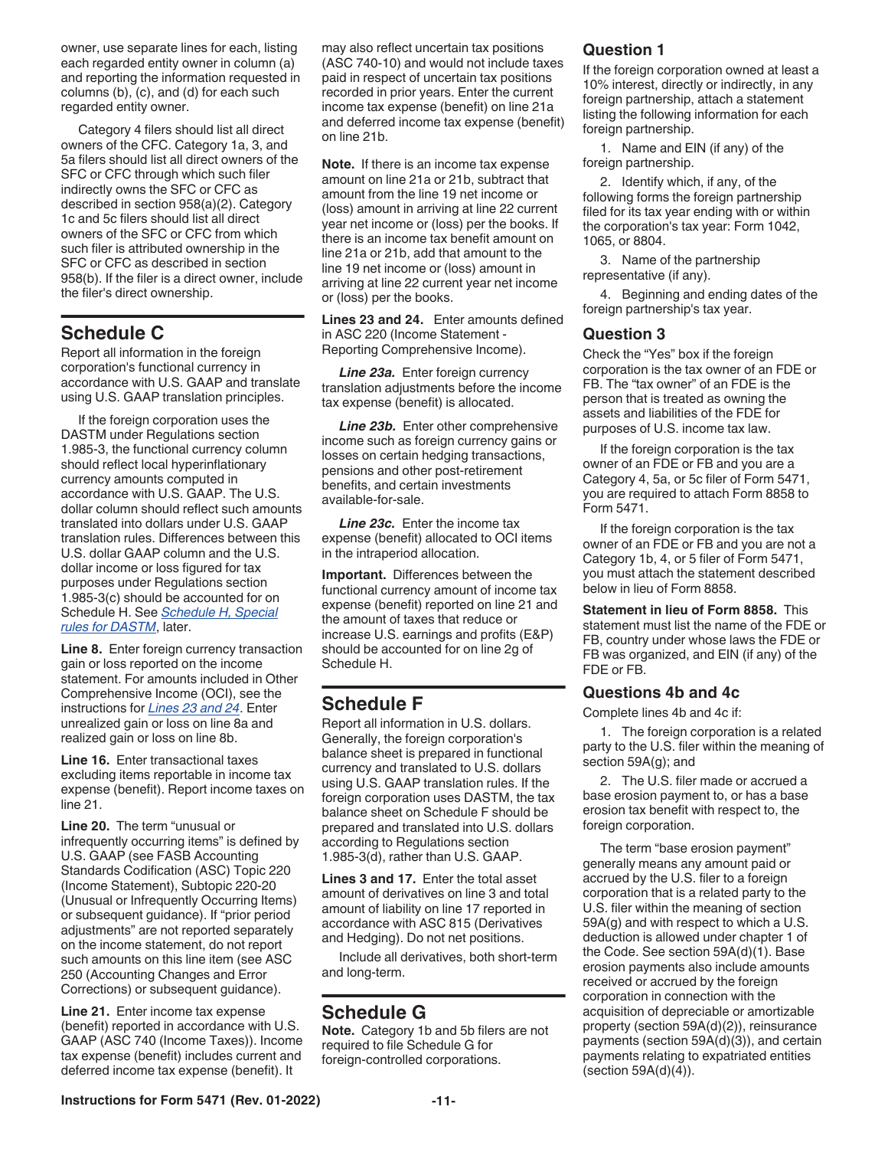<span id="page-10-0"></span>owner, use separate lines for each, listing each regarded entity owner in column (a) and reporting the information requested in columns (b), (c), and (d) for each such regarded entity owner.

Category 4 filers should list all direct owners of the CFC. Category 1a, 3, and 5a filers should list all direct owners of the SFC or CFC through which such filer indirectly owns the SFC or CFC as described in section 958(a)(2). Category 1c and 5c filers should list all direct owners of the SFC or CFC from which such filer is attributed ownership in the SFC or CFC as described in section 958(b). If the filer is a direct owner, include the filer's direct ownership.

### **Schedule C**

Report all information in the foreign corporation's functional currency in accordance with U.S. GAAP and translate using U.S. GAAP translation principles.

If the foreign corporation uses the DASTM under Regulations section 1.985-3, the functional currency column should reflect local hyperinflationary currency amounts computed in accordance with U.S. GAAP. The U.S. dollar column should reflect such amounts translated into dollars under U.S. GAAP translation rules. Differences between this U.S. dollar GAAP column and the U.S. dollar income or loss figured for tax purposes under Regulations section 1.985-3(c) should be accounted for on Schedule H. See *[Schedule H, Special](#page-29-0)  [rules for DASTM](#page-29-0)*, later.

**Line 8.** Enter foreign currency transaction gain or loss reported on the income statement. For amounts included in Other Comprehensive Income (OCI), see the instructions for *Lines 23 and 24*. Enter unrealized gain or loss on line 8a and realized gain or loss on line 8b.

**Line 16.** Enter transactional taxes excluding items reportable in income tax expense (benefit). Report income taxes on line 21.

**Line 20.** The term "unusual or infrequently occurring items" is defined by U.S. GAAP (see FASB Accounting Standards Codification (ASC) Topic 220 (Income Statement), Subtopic 220-20 (Unusual or Infrequently Occurring Items) or subsequent guidance). If "prior period adjustments" are not reported separately on the income statement, do not report such amounts on this line item (see ASC 250 (Accounting Changes and Error Corrections) or subsequent guidance).

**Line 21.** Enter income tax expense (benefit) reported in accordance with U.S. GAAP (ASC 740 (Income Taxes)). Income tax expense (benefit) includes current and deferred income tax expense (benefit). It

may also reflect uncertain tax positions (ASC 740-10) and would not include taxes paid in respect of uncertain tax positions recorded in prior years. Enter the current income tax expense (benefit) on line 21a and deferred income tax expense (benefit) on line 21b.

**Note.** If there is an income tax expense amount on line 21a or 21b, subtract that amount from the line 19 net income or (loss) amount in arriving at line 22 current year net income or (loss) per the books. If there is an income tax benefit amount on line 21a or 21b, add that amount to the line 19 net income or (loss) amount in arriving at line 22 current year net income or (loss) per the books.

**Lines 23 and 24.** Enter amounts defined in ASC 220 (Income Statement - Reporting Comprehensive Income).

*Line 23a.* Enter foreign currency translation adjustments before the income tax expense (benefit) is allocated.

**Line 23b.** Enter other comprehensive income such as foreign currency gains or losses on certain hedging transactions, pensions and other post-retirement benefits, and certain investments available-for-sale.

*Line 23c.* Enter the income tax expense (benefit) allocated to OCI items in the intraperiod allocation.

**Important.** Differences between the functional currency amount of income tax expense (benefit) reported on line 21 and the amount of taxes that reduce or increase U.S. earnings and profits (E&P) should be accounted for on line 2g of Schedule H.

### **Schedule F**

Report all information in U.S. dollars. Generally, the foreign corporation's balance sheet is prepared in functional currency and translated to U.S. dollars using U.S. GAAP translation rules. If the foreign corporation uses DASTM, the tax balance sheet on Schedule F should be prepared and translated into U.S. dollars according to Regulations section 1.985-3(d), rather than U.S. GAAP.

**Lines 3 and 17.** Enter the total asset amount of derivatives on line 3 and total amount of liability on line 17 reported in accordance with ASC 815 (Derivatives and Hedging). Do not net positions.

Include all derivatives, both short-term and long-term.

### **Schedule G**

**Note.** Category 1b and 5b filers are not required to file Schedule G for foreign-controlled corporations.

#### **Question 1**

If the foreign corporation owned at least a 10% interest, directly or indirectly, in any foreign partnership, attach a statement listing the following information for each foreign partnership.

1. Name and EIN (if any) of the foreign partnership.

2. Identify which, if any, of the following forms the foreign partnership filed for its tax year ending with or within the corporation's tax year: Form 1042, 1065, or 8804.

3. Name of the partnership representative (if any).

4. Beginning and ending dates of the foreign partnership's tax year.

#### **Question 3**

Check the "Yes" box if the foreign corporation is the tax owner of an FDE or FB. The "tax owner" of an FDE is the person that is treated as owning the assets and liabilities of the FDE for purposes of U.S. income tax law.

If the foreign corporation is the tax owner of an FDE or FB and you are a Category 4, 5a, or 5c filer of Form 5471, you are required to attach Form 8858 to Form 5471.

If the foreign corporation is the tax owner of an FDE or FB and you are not a Category 1b, 4, or 5 filer of Form 5471, you must attach the statement described below in lieu of Form 8858.

**Statement in lieu of Form 8858.** This statement must list the name of the FDE or FB, country under whose laws the FDE or FB was organized, and EIN (if any) of the FDE or FB.

#### **Questions 4b and 4c**

Complete lines 4b and 4c if:

1. The foreign corporation is a related party to the U.S. filer within the meaning of section 59A(g); and

2. The U.S. filer made or accrued a base erosion payment to, or has a base erosion tax benefit with respect to, the foreign corporation.

The term "base erosion payment" generally means any amount paid or accrued by the U.S. filer to a foreign corporation that is a related party to the U.S. filer within the meaning of section 59A(g) and with respect to which a U.S. deduction is allowed under chapter 1 of the Code. See section 59A(d)(1). Base erosion payments also include amounts received or accrued by the foreign corporation in connection with the acquisition of depreciable or amortizable property (section 59A(d)(2)), reinsurance payments (section 59A(d)(3)), and certain payments relating to expatriated entities (section 59A(d)(4)).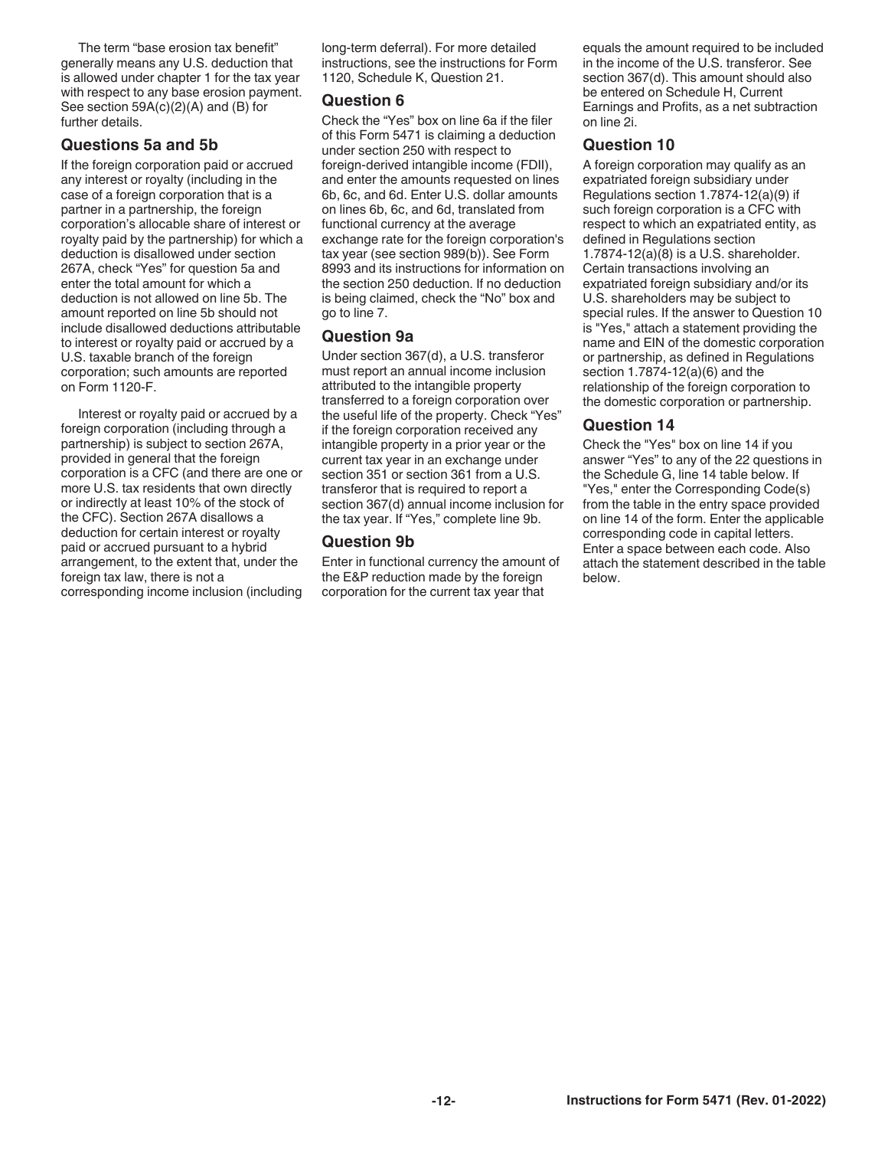The term "base erosion tax benefit" generally means any U.S. deduction that is allowed under chapter 1 for the tax year with respect to any base erosion payment. See section 59A(c)(2)(A) and (B) for further details.

#### **Questions 5a and 5b**

If the foreign corporation paid or accrued any interest or royalty (including in the case of a foreign corporation that is a partner in a partnership, the foreign corporation's allocable share of interest or royalty paid by the partnership) for which a deduction is disallowed under section 267A, check "Yes" for question 5a and enter the total amount for which a deduction is not allowed on line 5b. The amount reported on line 5b should not include disallowed deductions attributable to interest or royalty paid or accrued by a U.S. taxable branch of the foreign corporation; such amounts are reported on Form 1120-F.

Interest or royalty paid or accrued by a foreign corporation (including through a partnership) is subject to section 267A, provided in general that the foreign corporation is a CFC (and there are one or more U.S. tax residents that own directly or indirectly at least 10% of the stock of the CFC). Section 267A disallows a deduction for certain interest or royalty paid or accrued pursuant to a hybrid arrangement, to the extent that, under the foreign tax law, there is not a corresponding income inclusion (including long-term deferral). For more detailed instructions, see the instructions for Form 1120, Schedule K, Question 21.

#### **Question 6**

Check the "Yes" box on line 6a if the filer of this Form 5471 is claiming a deduction under section 250 with respect to foreign-derived intangible income (FDII), and enter the amounts requested on lines 6b, 6c, and 6d. Enter U.S. dollar amounts on lines 6b, 6c, and 6d, translated from functional currency at the average exchange rate for the foreign corporation's tax year (see section 989(b)). See Form 8993 and its instructions for information on the section 250 deduction. If no deduction is being claimed, check the "No" box and go to line 7.

#### **Question 9a**

Under section 367(d), a U.S. transferor must report an annual income inclusion attributed to the intangible property transferred to a foreign corporation over the useful life of the property. Check "Yes" if the foreign corporation received any intangible property in a prior year or the current tax year in an exchange under section 351 or section 361 from a U.S. transferor that is required to report a section 367(d) annual income inclusion for the tax year. If "Yes," complete line 9b.

#### **Question 9b**

Enter in functional currency the amount of the E&P reduction made by the foreign corporation for the current tax year that

equals the amount required to be included in the income of the U.S. transferor. See section 367(d). This amount should also be entered on Schedule H, Current Earnings and Profits, as a net subtraction on line 2i.

#### **Question 10**

A foreign corporation may qualify as an expatriated foreign subsidiary under Regulations section 1.7874-12(a)(9) if such foreign corporation is a CFC with respect to which an expatriated entity, as defined in Regulations section 1.7874-12(a)(8) is a U.S. shareholder. Certain transactions involving an expatriated foreign subsidiary and/or its U.S. shareholders may be subject to special rules. If the answer to Question 10 is "Yes," attach a statement providing the name and EIN of the domestic corporation or partnership, as defined in Regulations section 1.7874-12(a)(6) and the relationship of the foreign corporation to the domestic corporation or partnership.

#### **Question 14**

Check the "Yes" box on line 14 if you answer "Yes" to any of the 22 questions in the Schedule G, line 14 table below. If "Yes," enter the Corresponding Code(s) from the table in the entry space provided on line 14 of the form. Enter the applicable corresponding code in capital letters. Enter a space between each code. Also attach the statement described in the table below.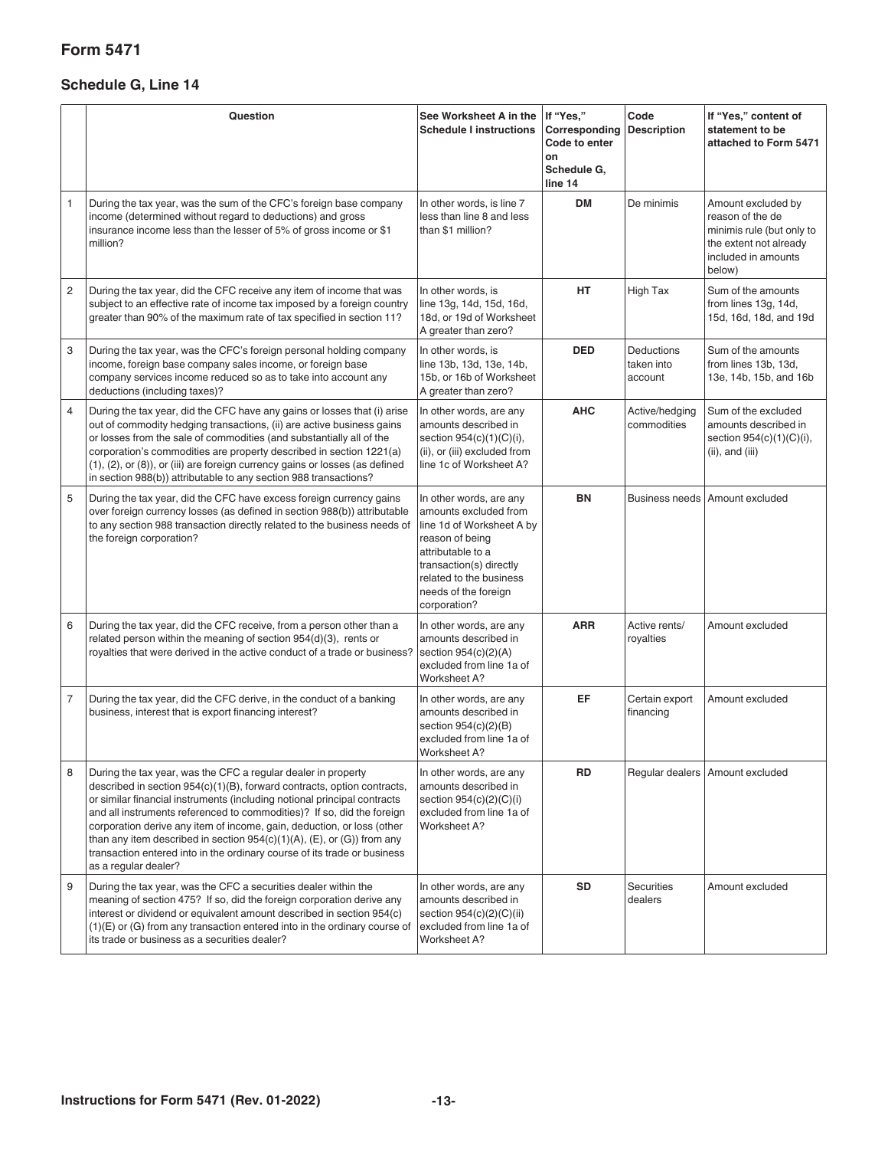### **Form 5471**

### **Schedule G, Line 14**

|                | Question                                                                                                                                                                                                                                                                                                                                                                                                                                                                                                                                               | See Worksheet A in the<br><b>Schedule I instructions</b>                                                                                                                                                            | If "Yes,"<br>Corresponding<br>Code to enter<br>on<br>Schedule G,<br>line 14 | Code<br><b>Description</b>          | If "Yes," content of<br>statement to be<br>attached to Form 5471                                                               |
|----------------|--------------------------------------------------------------------------------------------------------------------------------------------------------------------------------------------------------------------------------------------------------------------------------------------------------------------------------------------------------------------------------------------------------------------------------------------------------------------------------------------------------------------------------------------------------|---------------------------------------------------------------------------------------------------------------------------------------------------------------------------------------------------------------------|-----------------------------------------------------------------------------|-------------------------------------|--------------------------------------------------------------------------------------------------------------------------------|
| 1              | During the tax year, was the sum of the CFC's foreign base company<br>income (determined without regard to deductions) and gross<br>insurance income less than the lesser of 5% of gross income or \$1<br>million?                                                                                                                                                                                                                                                                                                                                     | In other words, is line 7<br>less than line 8 and less<br>than \$1 million?                                                                                                                                         | <b>DM</b>                                                                   | De minimis                          | Amount excluded by<br>reason of the de<br>minimis rule (but only to<br>the extent not already<br>included in amounts<br>below) |
| 2              | During the tax year, did the CFC receive any item of income that was<br>subject to an effective rate of income tax imposed by a foreign country<br>greater than 90% of the maximum rate of tax specified in section 11?                                                                                                                                                                                                                                                                                                                                | In other words, is<br>line 13g, 14d, 15d, 16d,<br>18d, or 19d of Worksheet<br>A greater than zero?                                                                                                                  | HT                                                                          | High Tax                            | Sum of the amounts<br>from lines 13g, 14d,<br>15d, 16d, 18d, and 19d                                                           |
| 3              | During the tax year, was the CFC's foreign personal holding company<br>income, foreign base company sales income, or foreign base<br>company services income reduced so as to take into account any<br>deductions (including taxes)?                                                                                                                                                                                                                                                                                                                   | In other words, is<br>line 13b, 13d, 13e, 14b,<br>15b, or 16b of Worksheet<br>A greater than zero?                                                                                                                  | <b>DED</b>                                                                  | Deductions<br>taken into<br>account | Sum of the amounts<br>from lines 13b, 13d,<br>13e, 14b, 15b, and 16b                                                           |
| 4              | During the tax year, did the CFC have any gains or losses that (i) arise<br>out of commodity hedging transactions, (ii) are active business gains<br>or losses from the sale of commodities (and substantially all of the<br>corporation's commodities are property described in section 1221(a)<br>(1), (2), or (8)), or (iii) are foreign currency gains or losses (as defined<br>in section 988(b)) attributable to any section 988 transactions?                                                                                                   | In other words, are any<br>amounts described in<br>section 954(c)(1)(C)(i),<br>(ii), or (iii) excluded from<br>line 1c of Worksheet A?                                                                              | <b>AHC</b>                                                                  | Active/hedging<br>commodities       | Sum of the excluded<br>amounts described in<br>section 954(c)(1)(C)(i),<br>(ii), and (iii)                                     |
| 5              | During the tax year, did the CFC have excess foreign currency gains<br>over foreign currency losses (as defined in section 988(b)) attributable<br>to any section 988 transaction directly related to the business needs of<br>the foreign corporation?                                                                                                                                                                                                                                                                                                | In other words, are any<br>amounts excluded from<br>line 1d of Worksheet A by<br>reason of being<br>attributable to a<br>transaction(s) directly<br>related to the business<br>needs of the foreign<br>corporation? | BN                                                                          | <b>Business needs</b>               | Amount excluded                                                                                                                |
| 6              | During the tax year, did the CFC receive, from a person other than a<br>related person within the meaning of section 954(d)(3), rents or<br>royalties that were derived in the active conduct of a trade or business?                                                                                                                                                                                                                                                                                                                                  | In other words, are any<br>amounts described in<br>section $954(c)(2)(A)$<br>excluded from line 1a of<br>Worksheet A?                                                                                               | <b>ARR</b>                                                                  | Active rents/<br>royalties          | Amount excluded                                                                                                                |
| $\overline{7}$ | During the tax year, did the CFC derive, in the conduct of a banking<br>business, interest that is export financing interest?                                                                                                                                                                                                                                                                                                                                                                                                                          | In other words, are any<br>amounts described in<br>section 954(c)(2)(B)<br>excluded from line 1a of<br>Worksheet A?                                                                                                 | EF                                                                          | Certain export<br>financing         | Amount excluded                                                                                                                |
| 8              | During the tax year, was the CFC a regular dealer in property<br>described in section 954(c)(1)(B), forward contracts, option contracts,<br>or similar financial instruments (including notional principal contracts<br>and all instruments referenced to commodities)? If so, did the foreign<br>corporation derive any item of income, gain, deduction, or loss (other<br>than any item described in section 954(c)(1)(A), (E), or (G)) from any<br>transaction entered into in the ordinary course of its trade or business<br>as a regular dealer? | In other words, are any<br>amounts described in<br>section 954(c)(2)(C)(i)<br>excluded from line 1a of<br>Worksheet A?                                                                                              | <b>RD</b>                                                                   |                                     | Regular dealers   Amount excluded                                                                                              |
| 9              | During the tax year, was the CFC a securities dealer within the<br>meaning of section 475? If so, did the foreign corporation derive any<br>interest or dividend or equivalent amount described in section 954(c)<br>(1)(E) or (G) from any transaction entered into in the ordinary course of<br>its trade or business as a securities dealer?                                                                                                                                                                                                        | In other words, are any<br>amounts described in<br>section 954(c)(2)(C)(ii)<br>excluded from line 1a of<br>Worksheet A?                                                                                             | <b>SD</b>                                                                   | <b>Securities</b><br>dealers        | Amount excluded                                                                                                                |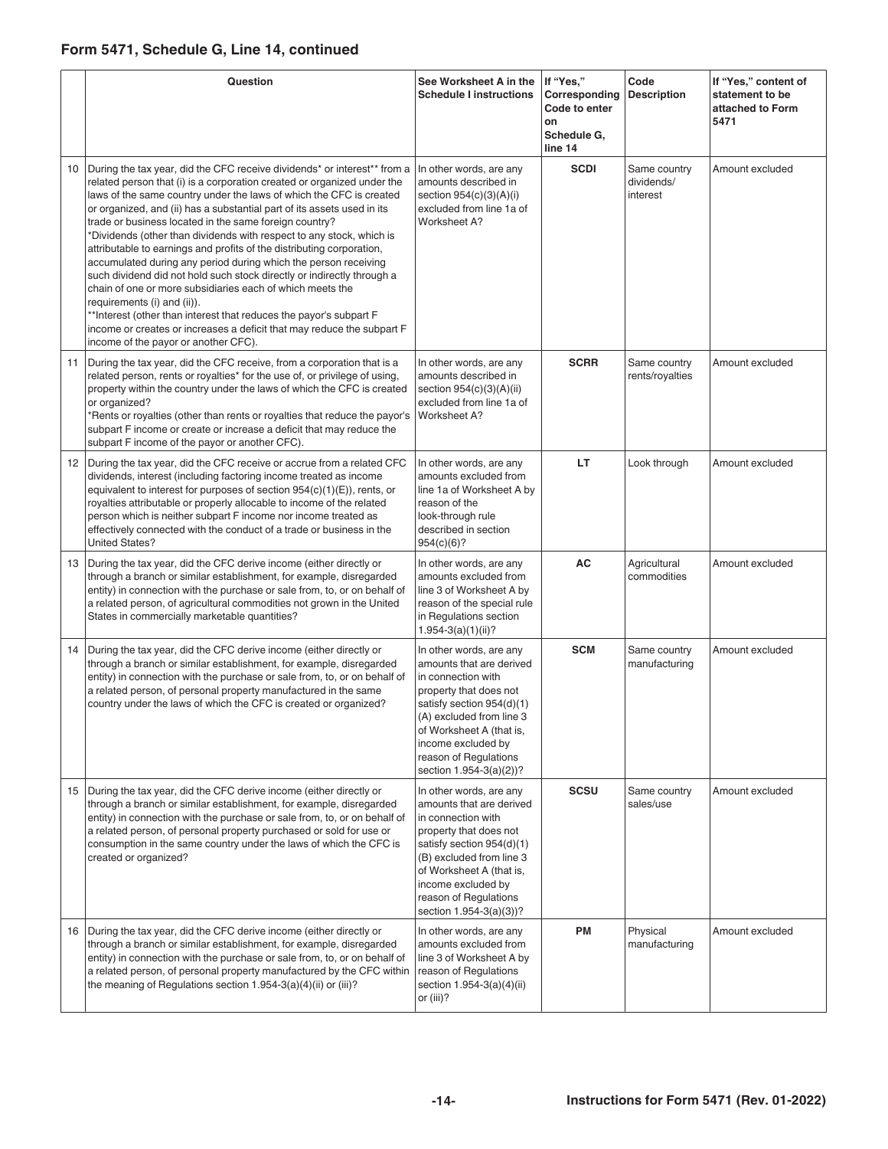### **Form 5471, Schedule G, Line 14, continued**

|    | Question                                                                                                                                                                                                                                                                                                                                                                                                                                                                                                                                                                                                                                                                                                                                                                                                                                                                                                                                          | See Worksheet A in the<br><b>Schedule I instructions</b>                                                                                                                                                                                                           | If "Yes,"<br>Corresponding<br>Code to enter<br>on<br>Schedule G,<br>line 14 | Code<br><b>Description</b>             | If "Yes," content of<br>statement to be<br>attached to Form<br>5471 |
|----|---------------------------------------------------------------------------------------------------------------------------------------------------------------------------------------------------------------------------------------------------------------------------------------------------------------------------------------------------------------------------------------------------------------------------------------------------------------------------------------------------------------------------------------------------------------------------------------------------------------------------------------------------------------------------------------------------------------------------------------------------------------------------------------------------------------------------------------------------------------------------------------------------------------------------------------------------|--------------------------------------------------------------------------------------------------------------------------------------------------------------------------------------------------------------------------------------------------------------------|-----------------------------------------------------------------------------|----------------------------------------|---------------------------------------------------------------------|
| 10 | During the tax year, did the CFC receive dividends* or interest** from a<br>related person that (i) is a corporation created or organized under the<br>laws of the same country under the laws of which the CFC is created<br>or organized, and (ii) has a substantial part of its assets used in its<br>trade or business located in the same foreign country?<br>*Dividends (other than dividends with respect to any stock, which is<br>attributable to earnings and profits of the distributing corporation,<br>accumulated during any period during which the person receiving<br>such dividend did not hold such stock directly or indirectly through a<br>chain of one or more subsidiaries each of which meets the<br>requirements (i) and (ii)).<br>**Interest (other than interest that reduces the payor's subpart F<br>income or creates or increases a deficit that may reduce the subpart F<br>income of the payor or another CFC). | In other words, are any<br>amounts described in<br>section $954(c)(3)(A)(i)$<br>excluded from line 1a of<br>Worksheet A?                                                                                                                                           | <b>SCDI</b>                                                                 | Same country<br>dividends/<br>interest | Amount excluded                                                     |
| 11 | During the tax year, did the CFC receive, from a corporation that is a<br>related person, rents or royalties* for the use of, or privilege of using,<br>property within the country under the laws of which the CFC is created<br>or organized?<br>*Rents or royalties (other than rents or royalties that reduce the payor's<br>subpart F income or create or increase a deficit that may reduce the<br>subpart F income of the payor or another CFC).                                                                                                                                                                                                                                                                                                                                                                                                                                                                                           | In other words, are any<br>amounts described in<br>section $954(c)(3)(A)(ii)$<br>excluded from line 1a of<br>Worksheet A?                                                                                                                                          | <b>SCRR</b>                                                                 | Same country<br>rents/royalties        | Amount excluded                                                     |
| 12 | During the tax year, did the CFC receive or accrue from a related CFC<br>dividends, interest (including factoring income treated as income<br>equivalent to interest for purposes of section $954(c)(1)(E)$ , rents, or<br>royalties attributable or properly allocable to income of the related<br>person which is neither subpart F income nor income treated as<br>effectively connected with the conduct of a trade or business in the<br><b>United States?</b>                                                                                                                                                                                                                                                                                                                                                                                                                                                                               | In other words, are any<br>amounts excluded from<br>line 1a of Worksheet A by<br>reason of the<br>look-through rule<br>described in section<br>954(c)(6)?                                                                                                          | LT.                                                                         | Look through                           | Amount excluded                                                     |
| 13 | During the tax year, did the CFC derive income (either directly or<br>through a branch or similar establishment, for example, disregarded<br>entity) in connection with the purchase or sale from, to, or on behalf of<br>a related person, of agricultural commodities not grown in the United<br>States in commercially marketable quantities?                                                                                                                                                                                                                                                                                                                                                                                                                                                                                                                                                                                                  | In other words, are any<br>amounts excluded from<br>line 3 of Worksheet A by<br>reason of the special rule<br>in Regulations section<br>$1.954 - 3(a)(1)(ii)?$                                                                                                     | AC                                                                          | Agricultural<br>commodities            | Amount excluded                                                     |
| 14 | During the tax year, did the CFC derive income (either directly or<br>through a branch or similar establishment, for example, disregarded<br>entity) in connection with the purchase or sale from, to, or on behalf of<br>a related person, of personal property manufactured in the same<br>country under the laws of which the CFC is created or organized?                                                                                                                                                                                                                                                                                                                                                                                                                                                                                                                                                                                     | In other words, are any<br>amounts that are derived<br>in connection with<br>property that does not<br>satisfy section 954(d)(1)<br>(A) excluded from line 3<br>of Worksheet A (that is,<br>income excluded by<br>reason of Regulations<br>section 1.954-3(a)(2))? | <b>SCM</b>                                                                  | Same country<br>manufacturing          | Amount excluded                                                     |
| 15 | During the tax year, did the CFC derive income (either directly or<br>through a branch or similar establishment, for example, disregarded<br>entity) in connection with the purchase or sale from, to, or on behalf of<br>a related person, of personal property purchased or sold for use or<br>consumption in the same country under the laws of which the CFC is<br>created or organized?                                                                                                                                                                                                                                                                                                                                                                                                                                                                                                                                                      | In other words, are any<br>amounts that are derived<br>in connection with<br>property that does not<br>satisfy section 954(d)(1)<br>(B) excluded from line 3<br>of Worksheet A (that is,<br>income excluded by<br>reason of Regulations<br>section 1.954-3(a)(3))? | <b>SCSU</b>                                                                 | Same country<br>sales/use              | Amount excluded                                                     |
| 16 | During the tax year, did the CFC derive income (either directly or<br>through a branch or similar establishment, for example, disregarded<br>entity) in connection with the purchase or sale from, to, or on behalf of<br>a related person, of personal property manufactured by the CFC within<br>the meaning of Regulations section 1.954-3(a)(4)(ii) or (iii)?                                                                                                                                                                                                                                                                                                                                                                                                                                                                                                                                                                                 | In other words, are any<br>amounts excluded from<br>line 3 of Worksheet A by<br>reason of Regulations<br>section 1.954-3(a)(4)(ii)<br>or (iii)?                                                                                                                    | PM                                                                          | Physical<br>manufacturing              | Amount excluded                                                     |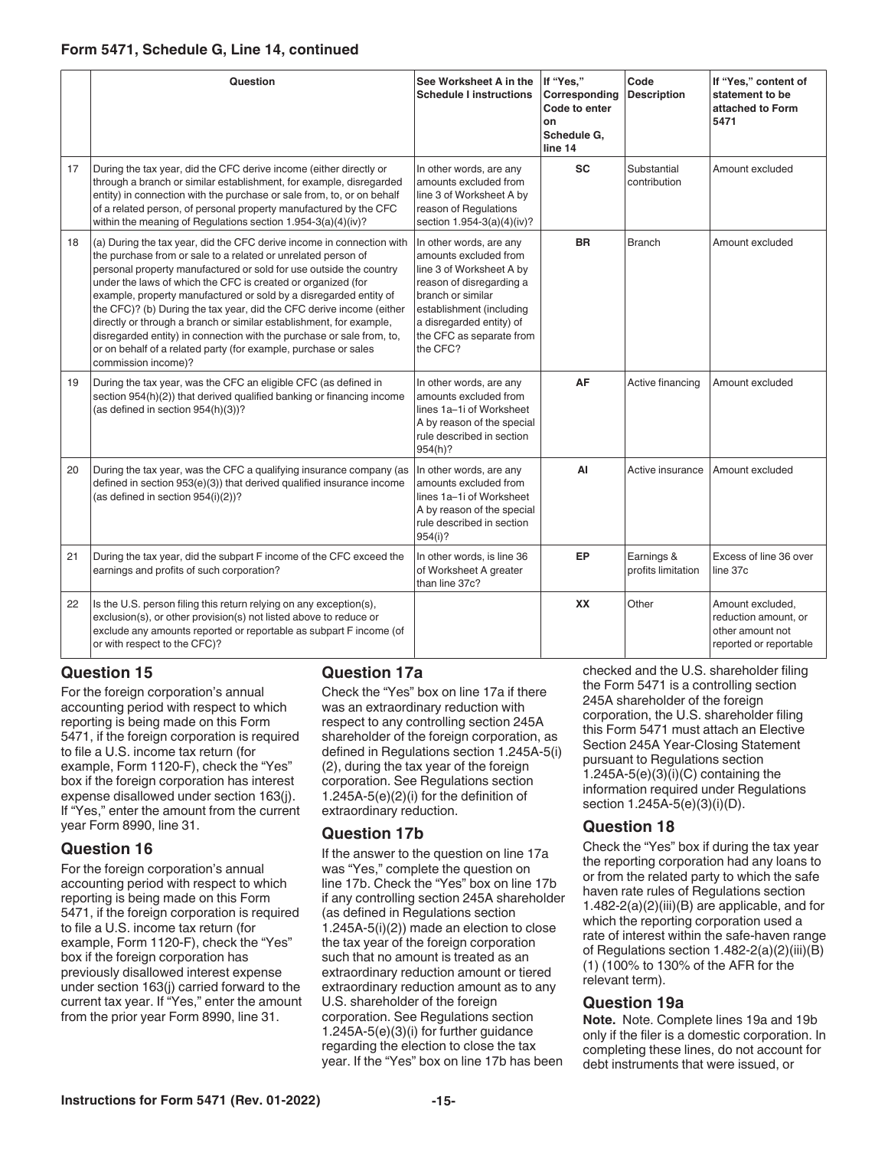#### **Form 5471, Schedule G, Line 14, continued**

|    | Question                                                                                                                                                                                                                                                                                                                                                                                                                                                                                                                                                                                                                                                            | See Worksheet A in the<br><b>Schedule I instructions</b>                                                                                                                                                                      | If "Yes,"<br>Corresponding<br>Code to enter<br>on<br>Schedule G.<br>line 14 | Code<br><b>Description</b>       | If "Yes," content of<br>statement to be<br>attached to Form<br>5471                    |
|----|---------------------------------------------------------------------------------------------------------------------------------------------------------------------------------------------------------------------------------------------------------------------------------------------------------------------------------------------------------------------------------------------------------------------------------------------------------------------------------------------------------------------------------------------------------------------------------------------------------------------------------------------------------------------|-------------------------------------------------------------------------------------------------------------------------------------------------------------------------------------------------------------------------------|-----------------------------------------------------------------------------|----------------------------------|----------------------------------------------------------------------------------------|
| 17 | During the tax year, did the CFC derive income (either directly or<br>through a branch or similar establishment, for example, disregarded<br>entity) in connection with the purchase or sale from, to, or on behalf<br>of a related person, of personal property manufactured by the CFC<br>within the meaning of Regulations section 1.954-3(a)(4)(iv)?                                                                                                                                                                                                                                                                                                            | In other words, are any<br>amounts excluded from<br>line 3 of Worksheet A by<br>reason of Regulations<br>section 1.954-3(a)(4)(iv)?                                                                                           | <b>SC</b>                                                                   | Substantial<br>contribution      | Amount excluded                                                                        |
| 18 | (a) During the tax year, did the CFC derive income in connection with<br>the purchase from or sale to a related or unrelated person of<br>personal property manufactured or sold for use outside the country<br>under the laws of which the CFC is created or organized (for<br>example, property manufactured or sold by a disregarded entity of<br>the CFC)? (b) During the tax year, did the CFC derive income (either<br>directly or through a branch or similar establishment, for example,<br>disregarded entity) in connection with the purchase or sale from, to,<br>or on behalf of a related party (for example, purchase or sales<br>commission income)? | In other words, are any<br>amounts excluded from<br>line 3 of Worksheet A by<br>reason of disregarding a<br>branch or similar<br>establishment (including<br>a disregarded entity) of<br>the CFC as separate from<br>the CFC? | <b>BR</b>                                                                   | <b>Branch</b>                    | Amount excluded                                                                        |
| 19 | During the tax year, was the CFC an eligible CFC (as defined in<br>section 954(h)(2)) that derived qualified banking or financing income<br>(as defined in section 954(h)(3))?                                                                                                                                                                                                                                                                                                                                                                                                                                                                                      | In other words, are any<br>amounts excluded from<br>lines 1a-1i of Worksheet<br>A by reason of the special<br>rule described in section<br>954(h)?                                                                            | AF                                                                          | Active financing                 | Amount excluded                                                                        |
| 20 | During the tax year, was the CFC a qualifying insurance company (as<br>defined in section 953(e)(3)) that derived qualified insurance income<br>(as defined in section 954(i)(2))?                                                                                                                                                                                                                                                                                                                                                                                                                                                                                  | In other words, are any<br>amounts excluded from<br>lines 1a-1i of Worksheet<br>A by reason of the special<br>rule described in section<br>954(i)?                                                                            | AI                                                                          |                                  | Active insurance Amount excluded                                                       |
| 21 | During the tax year, did the subpart F income of the CFC exceed the<br>earnings and profits of such corporation?                                                                                                                                                                                                                                                                                                                                                                                                                                                                                                                                                    | In other words, is line 36<br>of Worksheet A greater<br>than line 37c?                                                                                                                                                        | EP                                                                          | Earnings &<br>profits limitation | Excess of line 36 over<br>line 37c                                                     |
| 22 | Is the U.S. person filing this return relying on any exception(s),<br>exclusion(s), or other provision(s) not listed above to reduce or<br>exclude any amounts reported or reportable as subpart F income (of<br>or with respect to the CFC)?                                                                                                                                                                                                                                                                                                                                                                                                                       |                                                                                                                                                                                                                               | <b>XX</b>                                                                   | Other                            | Amount excluded,<br>reduction amount, or<br>other amount not<br>reported or reportable |

#### **Question 15**

For the foreign corporation's annual accounting period with respect to which reporting is being made on this Form 5471, if the foreign corporation is required to file a U.S. income tax return (for example, Form 1120-F), check the "Yes" box if the foreign corporation has interest expense disallowed under section 163(j). If "Yes," enter the amount from the current year Form 8990, line 31.

#### **Question 16**

For the foreign corporation's annual accounting period with respect to which reporting is being made on this Form 5471, if the foreign corporation is required to file a U.S. income tax return (for example, Form 1120-F), check the "Yes" box if the foreign corporation has previously disallowed interest expense under section 163(j) carried forward to the current tax year. If "Yes," enter the amount from the prior year Form 8990, line 31.

#### **Question 17a**

Check the "Yes" box on line 17a if there was an extraordinary reduction with respect to any controlling section 245A shareholder of the foreign corporation, as defined in Regulations section 1.245A-5(i) (2), during the tax year of the foreign corporation. See Regulations section 1.245A-5(e)(2)(i) for the definition of extraordinary reduction.

#### **Question 17b**

If the answer to the question on line 17a was "Yes," complete the question on line 17b. Check the "Yes" box on line 17b if any controlling section 245A shareholder (as defined in Regulations section 1.245A-5(i)(2)) made an election to close the tax year of the foreign corporation such that no amount is treated as an extraordinary reduction amount or tiered extraordinary reduction amount as to any U.S. shareholder of the foreign corporation. See Regulations section 1.245A-5(e)(3)(i) for further guidance regarding the election to close the tax year. If the "Yes" box on line 17b has been

checked and the U.S. shareholder filing the Form 5471 is a controlling section 245A shareholder of the foreign corporation, the U.S. shareholder filing this Form 5471 must attach an Elective Section 245A Year-Closing Statement pursuant to Regulations section 1.245A-5 $(e)(3)(i)(C)$  containing the information required under Regulations section 1.245A-5(e)(3)(i)(D).

#### **Question 18**

Check the "Yes" box if during the tax year the reporting corporation had any loans to or from the related party to which the safe haven rate rules of Regulations section 1.482-2(a)(2)(iii)(B) are applicable, and for which the reporting corporation used a rate of interest within the safe-haven range of Regulations section 1.482-2(a)(2)(iii)(B) (1) (100% to 130% of the AFR for the relevant term).

#### **Question 19a**

**Note.** Note. Complete lines 19a and 19b only if the filer is a domestic corporation. In completing these lines, do not account for debt instruments that were issued, or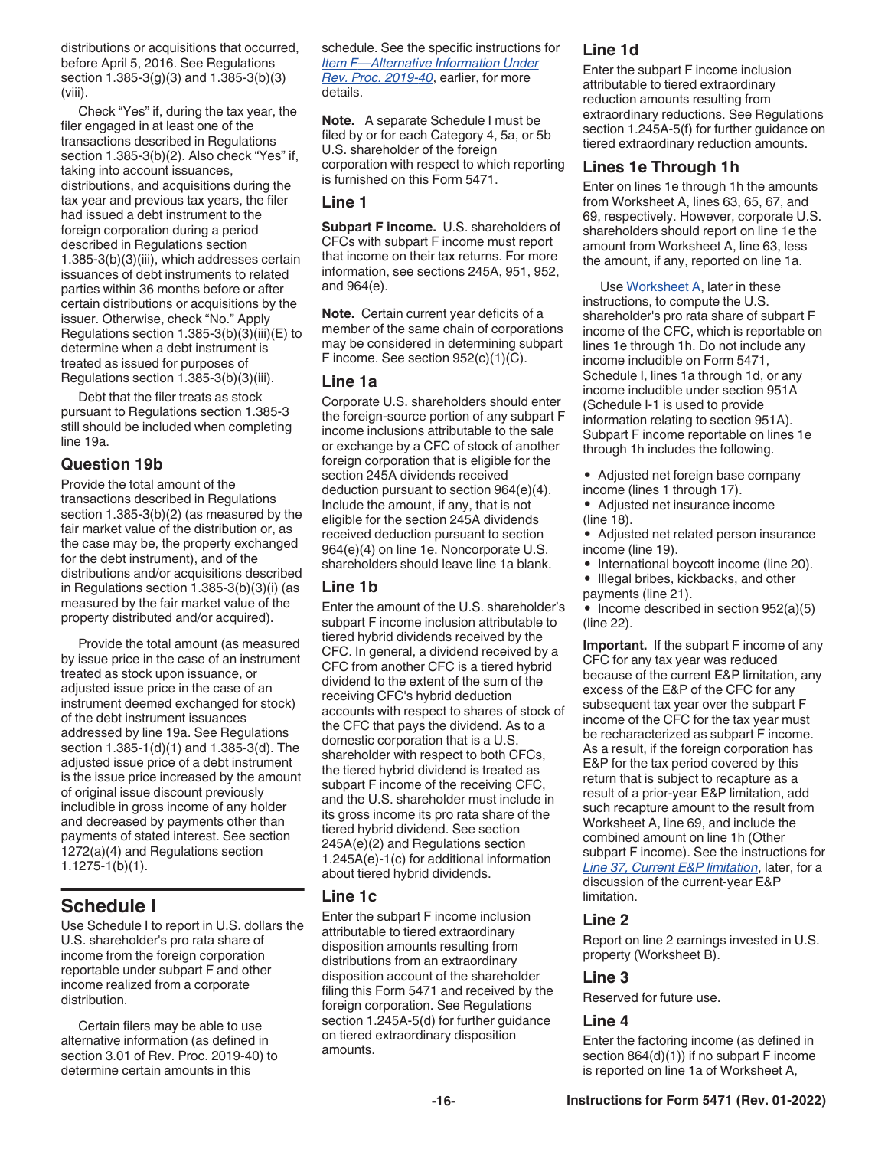<span id="page-15-0"></span>distributions or acquisitions that occurred, before April 5, 2016. See Regulations section 1.385-3(g)(3) and 1.385-3(b)(3) (viii).

Check "Yes" if, during the tax year, the filer engaged in at least one of the transactions described in Regulations section 1.385-3(b)(2). Also check "Yes" if, taking into account issuances, distributions, and acquisitions during the tax year and previous tax years, the filer had issued a debt instrument to the foreign corporation during a period described in Regulations section 1.385-3(b)(3)(iii), which addresses certain issuances of debt instruments to related parties within 36 months before or after certain distributions or acquisitions by the issuer. Otherwise, check "No." Apply Regulations section 1.385-3(b)(3)(iii)(E) to determine when a debt instrument is treated as issued for purposes of Regulations section 1.385-3(b)(3)(iii).

Debt that the filer treats as stock pursuant to Regulations section 1.385-3 still should be included when completing line 19a.

#### **Question 19b**

Provide the total amount of the transactions described in Regulations section 1.385-3(b)(2) (as measured by the fair market value of the distribution or, as the case may be, the property exchanged for the debt instrument), and of the distributions and/or acquisitions described in Regulations section 1.385-3(b)(3)(i) (as measured by the fair market value of the property distributed and/or acquired).

Provide the total amount (as measured by issue price in the case of an instrument treated as stock upon issuance, or adjusted issue price in the case of an instrument deemed exchanged for stock) of the debt instrument issuances addressed by line 19a. See Regulations section 1.385-1(d)(1) and 1.385-3(d). The adjusted issue price of a debt instrument is the issue price increased by the amount of original issue discount previously includible in gross income of any holder and decreased by payments other than payments of stated interest. See section 1272(a)(4) and Regulations section 1.1275-1(b)(1).

### **Schedule I**

Use Schedule I to report in U.S. dollars the U.S. shareholder's pro rata share of income from the foreign corporation reportable under subpart F and other income realized from a corporate distribution.

Certain filers may be able to use alternative information (as defined in section 3.01 of Rev. Proc. 2019-40) to determine certain amounts in this

schedule. See the specific instructions for *[Item F—Alternative Information Under](#page-8-0)  [Rev. Proc. 2019-40](#page-8-0)*, earlier, for more details.

**Note.** A separate Schedule I must be filed by or for each Category 4, 5a, or 5b U.S. shareholder of the foreign corporation with respect to which reporting is furnished on this Form 5471.

#### **Line 1**

**Subpart F income.** U.S. shareholders of CFCs with subpart F income must report that income on their tax returns. For more information, see sections 245A, 951, 952, and 964(e).

**Note.** Certain current year deficits of a member of the same chain of corporations may be considered in determining subpart F income. See section 952(c)(1)(C).

#### **Line 1a**

Corporate U.S. shareholders should enter the foreign-source portion of any subpart F income inclusions attributable to the sale or exchange by a CFC of stock of another foreign corporation that is eligible for the section 245A dividends received deduction pursuant to section 964(e)(4). Include the amount, if any, that is not eligible for the section 245A dividends received deduction pursuant to section 964(e)(4) on line 1e. Noncorporate U.S. shareholders should leave line 1a blank.

### **Line 1b**

Enter the amount of the U.S. shareholder's subpart F income inclusion attributable to tiered hybrid dividends received by the CFC. In general, a dividend received by a CFC from another CFC is a tiered hybrid dividend to the extent of the sum of the receiving CFC's hybrid deduction accounts with respect to shares of stock of the CFC that pays the dividend. As to a domestic corporation that is a U.S. shareholder with respect to both CFCs, the tiered hybrid dividend is treated as subpart F income of the receiving CFC, and the U.S. shareholder must include in its gross income its pro rata share of the tiered hybrid dividend. See section 245A(e)(2) and Regulations section 1.245A(e)-1(c) for additional information about tiered hybrid dividends.

#### **Line 1c**

Enter the subpart F income inclusion attributable to tiered extraordinary disposition amounts resulting from distributions from an extraordinary disposition account of the shareholder filing this Form 5471 and received by the foreign corporation. See Regulations section 1.245A-5(d) for further guidance on tiered extraordinary disposition amounts.

#### **Line 1d**

Enter the subpart F income inclusion attributable to tiered extraordinary reduction amounts resulting from extraordinary reductions. See Regulations section 1.245A-5(f) for further guidance on tiered extraordinary reduction amounts.

#### **Lines 1e Through 1h**

Enter on lines 1e through 1h the amounts from Worksheet A, lines 63, 65, 67, and 69, respectively. However, corporate U.S. shareholders should report on line 1e the amount from Worksheet A, line 63, less the amount, if any, reported on line 1a.

Use [Worksheet A](#page-18-0), later in these instructions, to compute the U.S. shareholder's pro rata share of subpart F income of the CFC, which is reportable on lines 1e through 1h. Do not include any income includible on Form 5471, Schedule I, lines 1a through 1d, or any income includible under section 951A (Schedule I-1 is used to provide information relating to section 951A). Subpart F income reportable on lines 1e through 1h includes the following.

• Adjusted net foreign base company income (lines 1 through 17).

- Adjusted net insurance income (line 18).
- Adjusted net related person insurance income (line 19).
- International boycott income (line 20).
- Illegal bribes, kickbacks, and other payments (line 21).
- Income described in section 952(a)(5) (line 22).

**Important.** If the subpart F income of any CFC for any tax year was reduced because of the current E&P limitation, any excess of the E&P of the CFC for any subsequent tax year over the subpart F income of the CFC for the tax year must be recharacterized as subpart F income. As a result, if the foreign corporation has E&P for the tax period covered by this return that is subject to recapture as a result of a prior-year E&P limitation, add such recapture amount to the result from Worksheet A, line 69, and include the combined amount on line 1h (Other subpart F income). See the instructions for *[Line 37, Current E&P limitation](#page-22-0)*, later, for a discussion of the current-year E&P limitation.

### **Line 2**

Report on line 2 earnings invested in U.S. property (Worksheet B).

#### **Line 3**

Reserved for future use.

#### **Line 4**

Enter the factoring income (as defined in section 864(d)(1)) if no subpart F income is reported on line 1a of Worksheet A,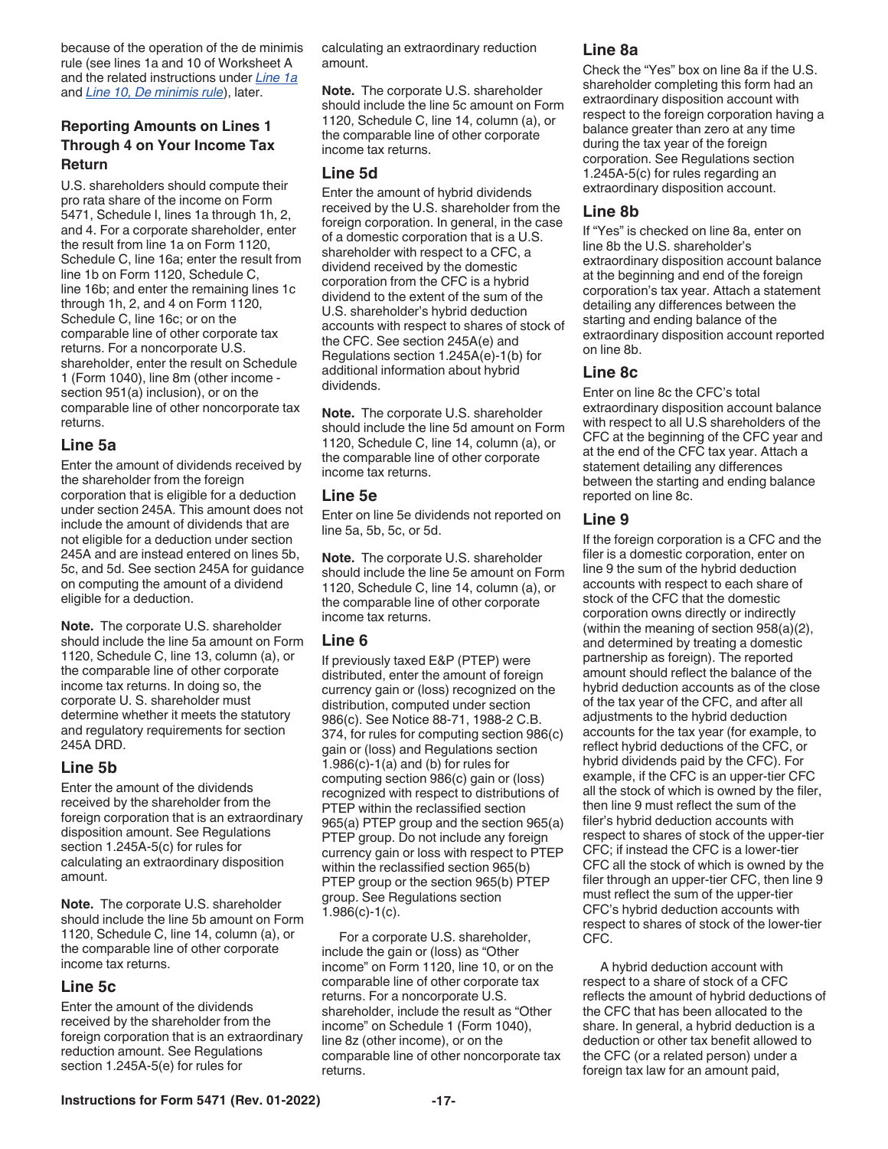<span id="page-16-0"></span>because of the operation of the de minimis rule (see lines 1a and 10 of Worksheet A and the related instructions under *[Line 1a](#page-21-0)*  and *[Line 10, De minimis rule](#page-21-0)*), later.

#### **Reporting Amounts on Lines 1 Through 4 on Your Income Tax Return**

U.S. shareholders should compute their pro rata share of the income on Form 5471, Schedule I, lines 1a through 1h, 2, and 4. For a corporate shareholder, enter the result from line 1a on Form 1120, Schedule C, line 16a; enter the result from line 1b on Form 1120, Schedule C, line 16b; and enter the remaining lines 1c through 1h, 2, and 4 on Form 1120, Schedule C, line 16c; or on the comparable line of other corporate tax returns. For a noncorporate U.S. shareholder, enter the result on Schedule 1 (Form 1040), line 8m (other income section 951(a) inclusion), or on the comparable line of other noncorporate tax returns.

#### **Line 5a**

Enter the amount of dividends received by the shareholder from the foreign corporation that is eligible for a deduction under section 245A. This amount does not include the amount of dividends that are not eligible for a deduction under section 245A and are instead entered on lines 5b, 5c, and 5d. See section 245A for guidance on computing the amount of a dividend eligible for a deduction.

**Note.** The corporate U.S. shareholder should include the line 5a amount on Form 1120, Schedule C, line 13, column (a), or the comparable line of other corporate income tax returns. In doing so, the corporate U. S. shareholder must determine whether it meets the statutory and regulatory requirements for section 245A DRD.

#### **Line 5b**

Enter the amount of the dividends received by the shareholder from the foreign corporation that is an extraordinary disposition amount. See Regulations section 1.245A-5(c) for rules for calculating an extraordinary disposition amount.

**Note.** The corporate U.S. shareholder should include the line 5b amount on Form 1120, Schedule C, line 14, column (a), or the comparable line of other corporate income tax returns.

#### **Line 5c**

Enter the amount of the dividends received by the shareholder from the foreign corporation that is an extraordinary reduction amount. See Regulations section 1.245A-5(e) for rules for

calculating an extraordinary reduction amount.

**Note.** The corporate U.S. shareholder should include the line 5c amount on Form 1120, Schedule C, line 14, column (a), or the comparable line of other corporate income tax returns.

#### **Line 5d**

Enter the amount of hybrid dividends received by the U.S. shareholder from the foreign corporation. In general, in the case of a domestic corporation that is a U.S. shareholder with respect to a CFC, a dividend received by the domestic corporation from the CFC is a hybrid dividend to the extent of the sum of the U.S. shareholder's hybrid deduction accounts with respect to shares of stock of the CFC. See section 245A(e) and Regulations section 1.245A(e)-1(b) for additional information about hybrid dividends.

**Note.** The corporate U.S. shareholder should include the line 5d amount on Form 1120, Schedule C, line 14, column (a), or the comparable line of other corporate income tax returns.

#### **Line 5e**

Enter on line 5e dividends not reported on line 5a, 5b, 5c, or 5d.

**Note.** The corporate U.S. shareholder should include the line 5e amount on Form 1120, Schedule C, line 14, column (a), or the comparable line of other corporate income tax returns.

#### **Line 6**

If previously taxed E&P (PTEP) were distributed, enter the amount of foreign currency gain or (loss) recognized on the distribution, computed under section 986(c). See Notice 88-71, 1988-2 C.B. 374, for rules for computing section 986(c) gain or (loss) and Regulations section  $1.986(c) - 1(a)$  and (b) for rules for computing section 986(c) gain or (loss) recognized with respect to distributions of PTEP within the reclassified section 965(a) PTEP group and the section 965(a) PTEP group. Do not include any foreign currency gain or loss with respect to PTEP within the reclassified section 965(b) PTEP group or the section 965(b) PTEP group. See Regulations section 1.986(c)-1(c).

For a corporate U.S. shareholder, include the gain or (loss) as "Other income" on Form 1120, line 10, or on the comparable line of other corporate tax returns. For a noncorporate U.S. shareholder, include the result as "Other income" on Schedule 1 (Form 1040), line 8z (other income), or on the comparable line of other noncorporate tax returns.

#### **Line 8a**

Check the "Yes" box on line 8a if the U.S. shareholder completing this form had an extraordinary disposition account with respect to the foreign corporation having a balance greater than zero at any time during the tax year of the foreign corporation. See Regulations section 1.245A-5(c) for rules regarding an extraordinary disposition account.

#### **Line 8b**

If "Yes" is checked on line 8a, enter on line 8b the U.S. shareholder's extraordinary disposition account balance at the beginning and end of the foreign corporation's tax year. Attach a statement detailing any differences between the starting and ending balance of the extraordinary disposition account reported on line 8b.

#### **Line 8c**

Enter on line 8c the CFC's total extraordinary disposition account balance with respect to all U.S shareholders of the CFC at the beginning of the CFC year and at the end of the CFC tax year. Attach a statement detailing any differences between the starting and ending balance reported on line 8c.

#### **Line 9**

If the foreign corporation is a CFC and the filer is a domestic corporation, enter on line 9 the sum of the hybrid deduction accounts with respect to each share of stock of the CFC that the domestic corporation owns directly or indirectly (within the meaning of section 958(a)(2), and determined by treating a domestic partnership as foreign). The reported amount should reflect the balance of the hybrid deduction accounts as of the close of the tax year of the CFC, and after all adjustments to the hybrid deduction accounts for the tax year (for example, to reflect hybrid deductions of the CFC, or hybrid dividends paid by the CFC). For example, if the CFC is an upper-tier CFC all the stock of which is owned by the filer, then line 9 must reflect the sum of the filer's hybrid deduction accounts with respect to shares of stock of the upper-tier CFC; if instead the CFC is a lower-tier CFC all the stock of which is owned by the filer through an upper-tier CFC, then line 9 must reflect the sum of the upper-tier CFC's hybrid deduction accounts with respect to shares of stock of the lower-tier CFC.

A hybrid deduction account with respect to a share of stock of a CFC reflects the amount of hybrid deductions of the CFC that has been allocated to the share. In general, a hybrid deduction is a deduction or other tax benefit allowed to the CFC (or a related person) under a foreign tax law for an amount paid,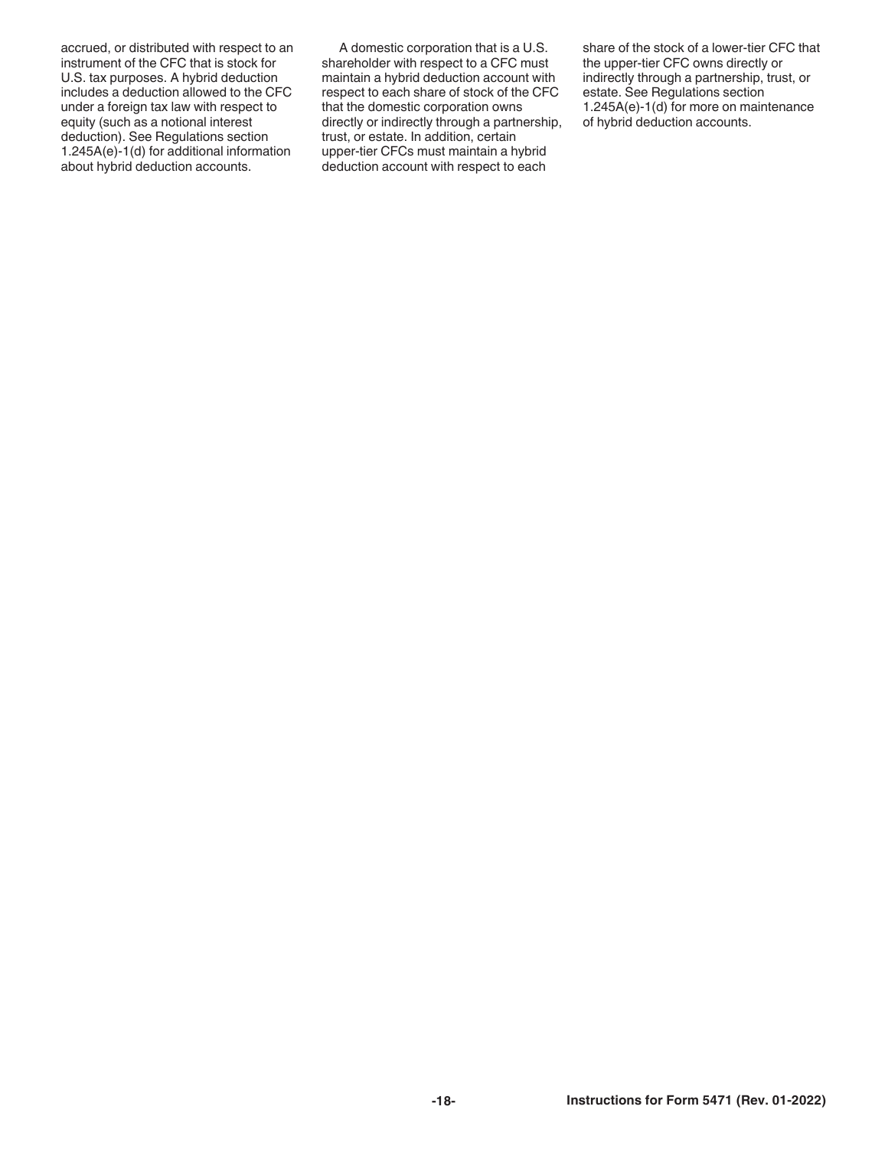accrued, or distributed with respect to an instrument of the CFC that is stock for U.S. tax purposes. A hybrid deduction includes a deduction allowed to the CFC under a foreign tax law with respect to equity (such as a notional interest deduction). See Regulations section 1.245A(e)-1(d) for additional information about hybrid deduction accounts.

A domestic corporation that is a U.S. shareholder with respect to a CFC must maintain a hybrid deduction account with respect to each share of stock of the CFC that the domestic corporation owns directly or indirectly through a partnership, trust, or estate. In addition, certain upper-tier CFCs must maintain a hybrid deduction account with respect to each

share of the stock of a lower-tier CFC that the upper-tier CFC owns directly or indirectly through a partnership, trust, or estate. See Regulations section 1.245A(e)-1(d) for more on maintenance of hybrid deduction accounts.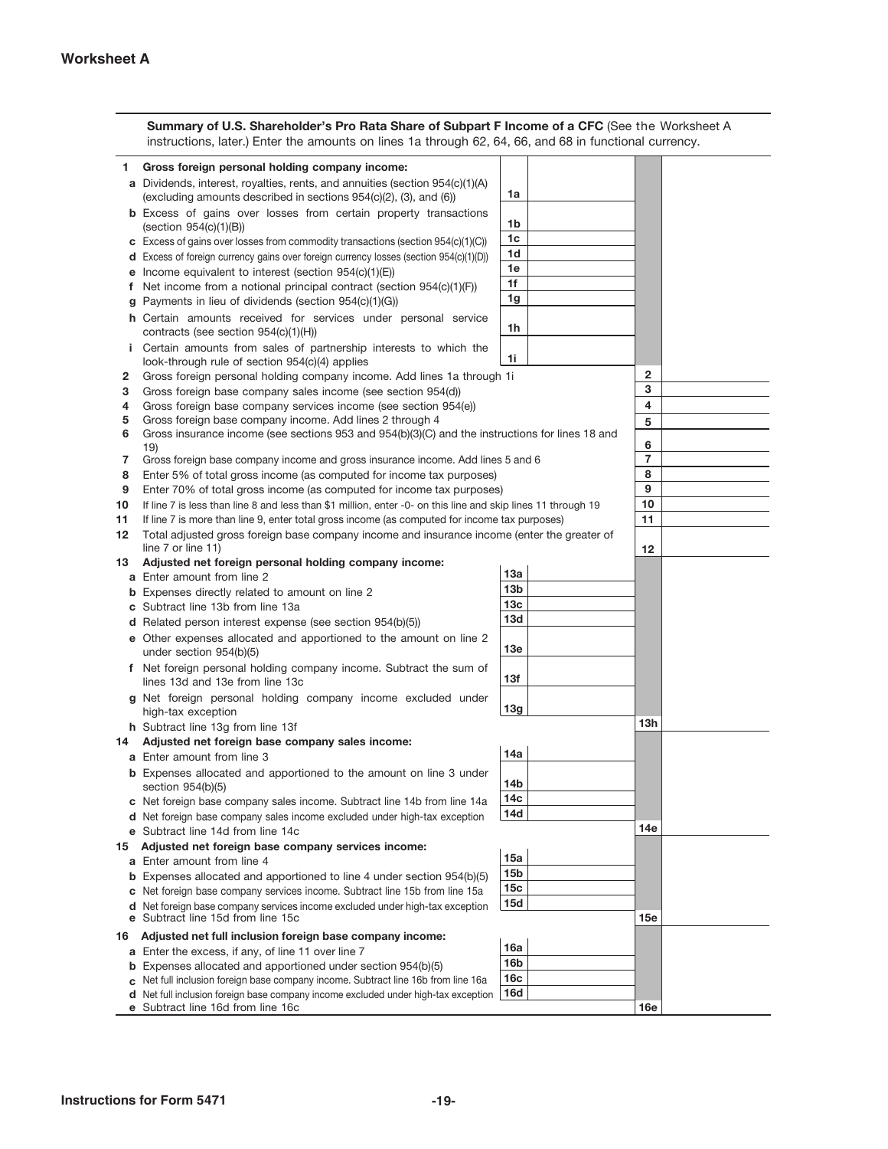<span id="page-18-0"></span>

|        | Summary of U.S. Shareholder's Pro Rata Share of Subpart F Income of a CFC (See the Worksheet A<br>instructions, later.) Enter the amounts on lines 1a through 62, 64, 66, and 68 in functional currency. |                                                                                                                 |                     |
|--------|----------------------------------------------------------------------------------------------------------------------------------------------------------------------------------------------------------|-----------------------------------------------------------------------------------------------------------------|---------------------|
| 1.     | Gross foreign personal holding company income:                                                                                                                                                           |                                                                                                                 |                     |
|        | a Dividends, interest, royalties, rents, and annuities (section 954(c)(1)(A)<br>(excluding amounts described in sections 954(c)(2), (3), and (6))                                                        | 1a                                                                                                              |                     |
|        | <b>b</b> Excess of gains over losses from certain property transactions<br>$(\text{section } 954(c)(1)(B))$ , , , , , , , , , , , , , ,                                                                  | 1b                                                                                                              |                     |
|        | c Excess of gains over losses from commodity transactions (section 954(c)(1)(C))                                                                                                                         | 1c                                                                                                              |                     |
|        | d Excess of foreign currency gains over foreign currency losses (section 954(c)(1)(D))                                                                                                                   | 1d                                                                                                              |                     |
|        | <b>e</b> Income equivalent to interest (section $954(c)(1)(E)$ ).                                                                                                                                        | 1e                                                                                                              |                     |
|        | f Net income from a notional principal contract (section $954(c)(1)(F)$ ).                                                                                                                               | 1f                                                                                                              |                     |
|        | <b>g</b> Payments in lieu of dividends (section $954(c)(1)(G)$ )                                                                                                                                         | 1g                                                                                                              |                     |
|        | h Certain amounts received for services under personal service<br>contracts (see section $954(c)(1)(H))$ .                                                                                               | 1h                                                                                                              |                     |
|        | <i>i</i> Certain amounts from sales of partnership interests to which the<br>look-through rule of section $954(c)(4)$ applies                                                                            | 1i                                                                                                              |                     |
| 2      | Gross foreign personal holding company income. Add lines 1a through 1i.                                                                                                                                  |                                                                                                                 | $\mathbf{2}$        |
| 3      | Gross foreign base company sales income (see section $954(d)$ ) $\ldots$                                                                                                                                 |                                                                                                                 | 3                   |
| 4      |                                                                                                                                                                                                          |                                                                                                                 | 4                   |
| 5      | Gross foreign base company income. Add lines 2 through 4                                                                                                                                                 | the contract of the contract of the contract of the contract of the contract of the contract of the contract of | 5                   |
| 6      | Gross insurance income (see sections 953 and 954(b)(3)(C) and the instructions for lines 18 and                                                                                                          |                                                                                                                 |                     |
|        | 19)<br>a constitution of the constitution of the constitution of the constitution of the constitution of the constitution of                                                                             |                                                                                                                 | 6<br>$\overline{7}$ |
| 7      | Gross foreign base company income and gross insurance income. Add lines 5 and 6<br>Enter 5% of total gross income (as computed for income tax purposes)                                                  |                                                                                                                 | 8                   |
| 8<br>9 | Enter 70% of total gross income (as computed for income tax purposes)                                                                                                                                    |                                                                                                                 | 9                   |
| 10     | If line 7 is less than line 8 and less than \$1 million, enter -0- on this line and skip lines 11 through 19,                                                                                            |                                                                                                                 | 10                  |
| 11     | If line 7 is more than line 9, enter total gross income (as computed for income tax purposes).                                                                                                           |                                                                                                                 | 11                  |
| 12     | Total adjusted gross foreign base company income and insurance income (enter the greater of                                                                                                              |                                                                                                                 |                     |
|        | $line 7$ or line 11) $\ldots$ $\ldots$ $\ldots$ $\ldots$ $\ldots$                                                                                                                                        | $\sim$<br>the company of the company of                                                                         | 12                  |
| 13     | Adjusted net foreign personal holding company income:                                                                                                                                                    |                                                                                                                 |                     |
|        | a Enter amount from line 2                                                                                                                                                                               | 13а                                                                                                             |                     |
|        | <b>b</b> Expenses directly related to amount on line 2                                                                                                                                                   | 13 <sub>b</sub>                                                                                                 |                     |
|        | c Subtract line 13b from line 13a                                                                                                                                                                        | 13 <sub>c</sub><br>13d                                                                                          |                     |
|        | <b>d</b> Related person interest expense (see section $954(b)(5)$ ) $\ldots$ .                                                                                                                           |                                                                                                                 |                     |
|        | e Other expenses allocated and apportioned to the amount on line 2<br>under section $954(b)(5)$                                                                                                          | 13e                                                                                                             |                     |
|        | and the company of the company of the company<br>f Net foreign personal holding company income. Subtract the sum of                                                                                      |                                                                                                                 |                     |
|        | lines 13d and 13e from line 13c<br>the companion of the companion of the                                                                                                                                 | 13f                                                                                                             |                     |
|        | g Net foreign personal holding company income excluded under<br>high-tax exception                                                                                                                       | 13g                                                                                                             | 13 <sub>h</sub>     |
| 14     | h Subtract line 13g from line 13f<br>Adjusted net foreign base company sales income:                                                                                                                     |                                                                                                                 |                     |
|        | a Enter amount from line 3                                                                                                                                                                               | 14a                                                                                                             |                     |
|        | <b>b</b> Expenses allocated and apportioned to the amount on line 3 under<br>section $954(b)(5)$ .<br>and the company of the state of                                                                    | 14b                                                                                                             |                     |
|        | c Net foreign base company sales income. Subtract line 14b from line 14a                                                                                                                                 | 14с                                                                                                             |                     |
|        | d Net foreign base company sales income excluded under high-tax exception.                                                                                                                               | 14d                                                                                                             |                     |
|        |                                                                                                                                                                                                          |                                                                                                                 | 14e                 |
| 15     | Adjusted net foreign base company services income:                                                                                                                                                       |                                                                                                                 |                     |
|        | a Enter amount from line 4                                                                                                                                                                               | 15a                                                                                                             |                     |
|        | <b>b</b> Expenses allocated and apportioned to line 4 under section 954(b)(5)                                                                                                                            | 15 <sub>b</sub>                                                                                                 |                     |
|        | c Net foreign base company services income. Subtract line 15b from line 15a.                                                                                                                             | 15c                                                                                                             |                     |
| е      | d Net foreign base company services income excluded under high-tax exception<br>Subtract line 15d from line 15c.<br>and the second control of the                                                        | 15d                                                                                                             | 15e                 |
| 16     | Adjusted net full inclusion foreign base company income:                                                                                                                                                 |                                                                                                                 |                     |
|        | <b>a</b> Enter the excess, if any, of line 11 over line $7 \cdot \cdot \cdot \cdot$                                                                                                                      | 16a                                                                                                             |                     |
|        | <b>b</b> Expenses allocated and apportioned under section 954(b)(5)                                                                                                                                      | 16b                                                                                                             |                     |
|        | c Net full inclusion foreign base company income. Subtract line 16b from line 16a                                                                                                                        | 16c                                                                                                             |                     |
|        | d Net full inclusion foreign base company income excluded under high-tax exception                                                                                                                       | 16d                                                                                                             |                     |
|        | e Subtract line 16d from line 16c                                                                                                                                                                        | <b>All Card Card</b>                                                                                            | 16e                 |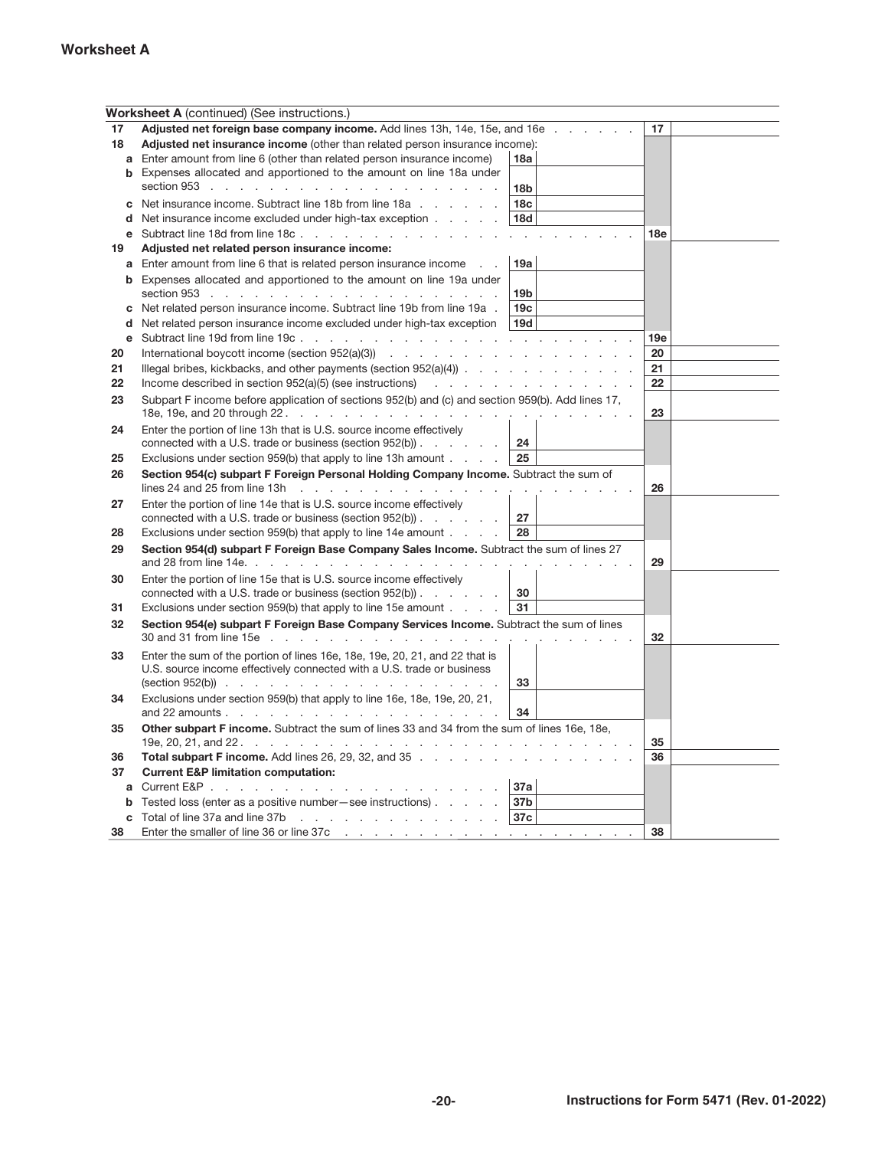#### **Worksheet A**

|         | <b>Worksheet A</b> (continued) (See instructions.)                                                             |                 |                 |
|---------|----------------------------------------------------------------------------------------------------------------|-----------------|-----------------|
| 17      | Adjusted net foreign base company income. Add lines 13h, 14e, 15e, and 16e                                     |                 | 17              |
| 18      | Adjusted net insurance income (other than related person insurance income):                                    |                 |                 |
| a       | Enter amount from line 6 (other than related person insurance income)                                          | 18a             |                 |
|         | <b>b</b> Expenses allocated and apportioned to the amount on line 18a under                                    |                 |                 |
|         | section 953 $\ldots$ $\ldots$ $\ldots$ $\ldots$ $\ldots$ $\ldots$ $\ldots$ $\ldots$ $\ldots$                   | 18 <sub>b</sub> |                 |
|         | <b>c</b> Net insurance income. Subtract line 18b from line 18a $\ldots$ , $\ldots$                             | 18 <sub>c</sub> |                 |
| d       | Net insurance income excluded under high-tax exception                                                         | 18d             |                 |
|         | e Subtract line 18d from line 18c.                                                                             | and and         | 18 <sub>e</sub> |
| 19      | Adjusted net related person insurance income:                                                                  |                 |                 |
|         | <b>a</b> Enter amount from line 6 that is related person insurance income                                      | 19a             |                 |
|         | <b>b</b> Expenses allocated and apportioned to the amount on line 19a under                                    |                 |                 |
|         | section 953 $\ldots$ $\ldots$ $\ldots$ $\ldots$ $\ldots$ $\ldots$ $\ldots$ $\ldots$                            | 19 <sub>b</sub> |                 |
| С       | Net related person insurance income. Subtract line 19b from line 19a.                                          | 19 <sub>c</sub> |                 |
| d       | Net related person insurance income excluded under high-tax exception                                          | 19d             |                 |
| е       |                                                                                                                |                 | 19e             |
| 20      |                                                                                                                |                 | 20              |
| 21      |                                                                                                                |                 | 21              |
| 22      |                                                                                                                |                 | 22              |
| 23      | Subpart F income before application of sections 952(b) and (c) and section 959(b). Add lines 17,               |                 |                 |
|         |                                                                                                                |                 | 23              |
| 24      | Enter the portion of line 13h that is U.S. source income effectively                                           |                 |                 |
|         | connected with a U.S. trade or business (section 952(b))                                                       | 24              |                 |
| 25      | Exclusions under section 959(b) that apply to line 13h amount                                                  | 25              |                 |
| 26      | Section 954(c) subpart F Foreign Personal Holding Company Income. Subtract the sum of                          |                 |                 |
|         | lines 24 and 25 from line 13h $\ldots$ $\ldots$ $\ldots$ $\ldots$ $\ldots$ $\ldots$ $\ldots$ $\ldots$ $\ldots$ |                 | 26              |
| 27      | Enter the portion of line 14e that is U.S. source income effectively                                           |                 |                 |
|         | connected with a U.S. trade or business (section 952(b))                                                       | 27              |                 |
| 28      | Exclusions under section 959(b) that apply to line 14e amount                                                  | 28              |                 |
| 29      | Section 954(d) subpart F Foreign Base Company Sales Income. Subtract the sum of lines 27                       |                 |                 |
|         | and 28 from line 14e. $\ldots$ $\ldots$ $\ldots$ $\ldots$ $\ldots$ $\ldots$ $\ldots$ $\ldots$ $\ldots$         |                 | 29              |
| 30      | Enter the portion of line 15e that is U.S. source income effectively                                           |                 |                 |
|         | connected with a U.S. trade or business (section $952(b)$ )                                                    | 30              |                 |
| 31      | Exclusions under section 959(b) that apply to line 15e amount                                                  | 31              |                 |
| 32      | Section 954(e) subpart F Foreign Base Company Services Income. Subtract the sum of lines                       |                 |                 |
|         |                                                                                                                |                 | 32              |
| 33      | Enter the sum of the portion of lines 16e, 18e, 19e, 20, 21, and 22 that is                                    |                 |                 |
|         | U.S. source income effectively connected with a U.S. trade or business                                         |                 |                 |
|         | $(\text{section } 952(b))$                                                                                     | 33              |                 |
| 34      | Exclusions under section 959(b) that apply to line 16e, 18e, 19e, 20, 21,                                      |                 |                 |
|         | and 22 amounts $\cdots$ $\cdots$ $\cdots$ $\cdots$ $\cdots$ $\cdots$ $\cdots$ $\cdots$                         | 34              |                 |
| 35      | Other subpart F income. Subtract the sum of lines 33 and 34 from the sum of lines 16e, 18e.                    |                 |                 |
| 36      |                                                                                                                |                 | 35<br>36        |
| 37      | <b>Total subpart F income.</b> Add lines 26, 29, 32, and 35 $\ldots$                                           |                 |                 |
|         | <b>Current E&amp;P limitation computation:</b>                                                                 | 37a             |                 |
| a       | Tested loss (enter as a positive number - see instructions)                                                    | 37b             |                 |
| b       | Total of line 37a and line 37b $\ldots$ $\ldots$ $\ldots$ $\ldots$ $\ldots$ $\ldots$                           | 37c             |                 |
| С<br>38 |                                                                                                                |                 | 38              |
|         |                                                                                                                |                 |                 |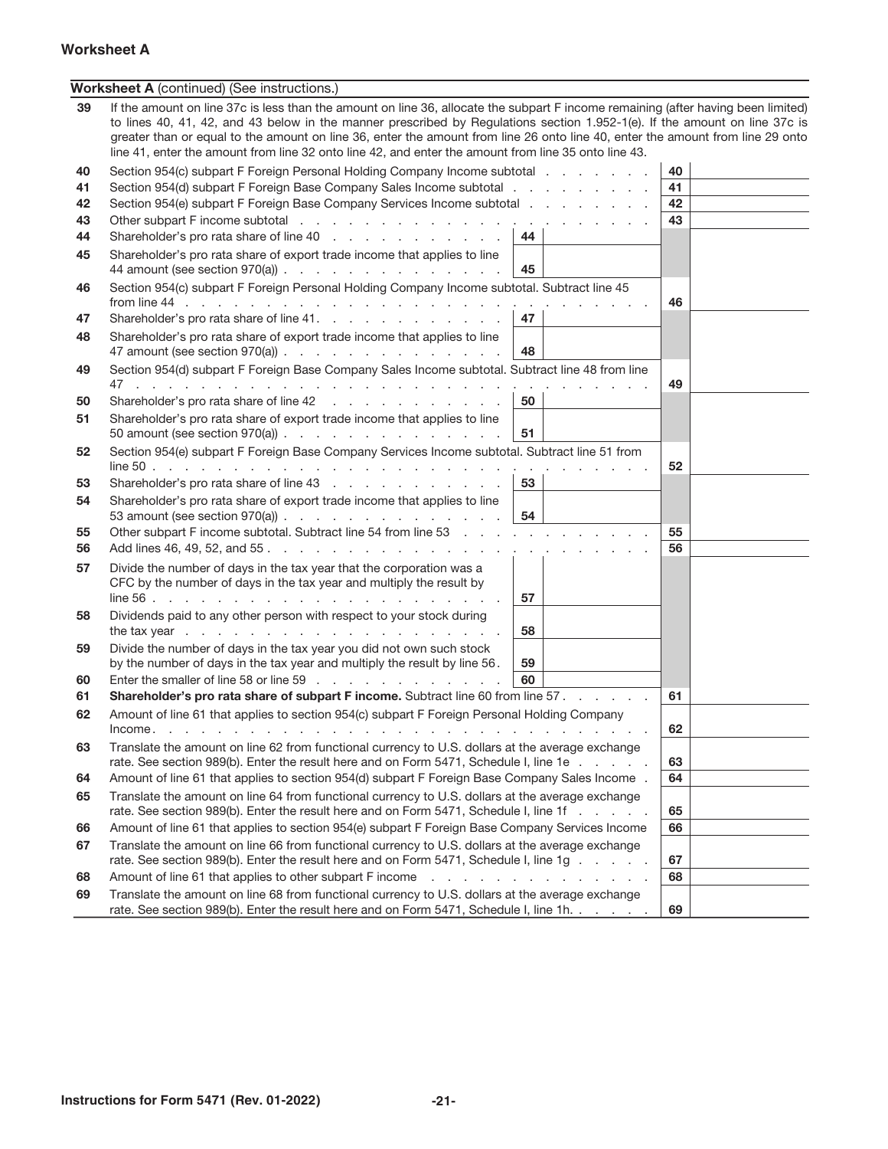#### **Instructions for Form 5471 (Rev. 01-2022) -21-**

#### **Worksheet A**

|    | <b>Worksheet A</b> (continued) (See instructions.)                                                                                                                                                                                                                                                                                                                                                                                                                                                        |    |    |  |
|----|-----------------------------------------------------------------------------------------------------------------------------------------------------------------------------------------------------------------------------------------------------------------------------------------------------------------------------------------------------------------------------------------------------------------------------------------------------------------------------------------------------------|----|----|--|
| 39 | If the amount on line 37c is less than the amount on line 36, allocate the subpart F income remaining (after having been limited)<br>to lines 40, 41, 42, and 43 below in the manner prescribed by Regulations section 1.952-1(e). If the amount on line 37c is<br>greater than or equal to the amount on line 36, enter the amount from line 26 onto line 40, enter the amount from line 29 onto<br>line 41, enter the amount from line 32 onto line 42, and enter the amount from line 35 onto line 43. |    |    |  |
| 40 | Section 954(c) subpart F Foreign Personal Holding Company Income subtotal                                                                                                                                                                                                                                                                                                                                                                                                                                 |    | 40 |  |
| 41 | Section 954(d) subpart F Foreign Base Company Sales Income subtotal                                                                                                                                                                                                                                                                                                                                                                                                                                       |    | 41 |  |
| 42 | Section 954(e) subpart F Foreign Base Company Services Income subtotal                                                                                                                                                                                                                                                                                                                                                                                                                                    |    | 42 |  |
| 43 |                                                                                                                                                                                                                                                                                                                                                                                                                                                                                                           |    | 43 |  |
| 44 | Shareholder's pro rata share of line 40                                                                                                                                                                                                                                                                                                                                                                                                                                                                   | 44 |    |  |
| 45 | Shareholder's pro rata share of export trade income that applies to line<br>44 amount (see section 970(a)) $\ldots$ $\ldots$ $\ldots$ $\ldots$ $\ldots$ $\ldots$                                                                                                                                                                                                                                                                                                                                          | 45 |    |  |
| 46 | Section 954(c) subpart F Foreign Personal Holding Company Income subtotal. Subtract line 45                                                                                                                                                                                                                                                                                                                                                                                                               |    | 46 |  |
| 47 | Shareholder's pro rata share of line 41.                                                                                                                                                                                                                                                                                                                                                                                                                                                                  | 47 |    |  |
| 48 | Shareholder's pro rata share of export trade income that applies to line<br>47 amount (see section 970(a)) $\ldots$ $\ldots$ $\ldots$ $\ldots$ $\ldots$ $\ldots$                                                                                                                                                                                                                                                                                                                                          | 48 |    |  |
| 49 | Section 954(d) subpart F Foreign Base Company Sales Income subtotal. Subtract line 48 from line                                                                                                                                                                                                                                                                                                                                                                                                           |    |    |  |
|    |                                                                                                                                                                                                                                                                                                                                                                                                                                                                                                           |    | 49 |  |
| 50 | Shareholder's pro rata share of line 42                                                                                                                                                                                                                                                                                                                                                                                                                                                                   | 50 |    |  |
| 51 | Shareholder's pro rata share of export trade income that applies to line                                                                                                                                                                                                                                                                                                                                                                                                                                  |    |    |  |
|    | 50 amount (see section 970(a)) $\ldots$ $\ldots$ $\ldots$ $\ldots$ $\ldots$ $\ldots$                                                                                                                                                                                                                                                                                                                                                                                                                      | 51 |    |  |
| 52 | Section 954(e) subpart F Foreign Base Company Services Income subtotal. Subtract line 51 from                                                                                                                                                                                                                                                                                                                                                                                                             |    | 52 |  |
| 53 | Shareholder's pro rata share of line 43                                                                                                                                                                                                                                                                                                                                                                                                                                                                   | 53 |    |  |
| 54 | Shareholder's pro rata share of export trade income that applies to line<br>53 amount (see section 970(a)) $\ldots$ $\ldots$ $\ldots$ $\ldots$ $\ldots$ $\ldots$                                                                                                                                                                                                                                                                                                                                          | 54 |    |  |
| 55 | Other subpart F income subtotal. Subtract line 54 from line 53                                                                                                                                                                                                                                                                                                                                                                                                                                            |    | 55 |  |
| 56 |                                                                                                                                                                                                                                                                                                                                                                                                                                                                                                           |    | 56 |  |
| 57 | Divide the number of days in the tax year that the corporation was a                                                                                                                                                                                                                                                                                                                                                                                                                                      |    |    |  |
|    | CFC by the number of days in the tax year and multiply the result by                                                                                                                                                                                                                                                                                                                                                                                                                                      |    |    |  |
|    |                                                                                                                                                                                                                                                                                                                                                                                                                                                                                                           | 57 |    |  |
| 58 | Dividends paid to any other person with respect to your stock during                                                                                                                                                                                                                                                                                                                                                                                                                                      | 58 |    |  |
| 59 | Divide the number of days in the tax year you did not own such stock                                                                                                                                                                                                                                                                                                                                                                                                                                      |    |    |  |
|    | by the number of days in the tax year and multiply the result by line 56.                                                                                                                                                                                                                                                                                                                                                                                                                                 | 59 |    |  |
| 60 | Enter the smaller of line 58 or line 59                                                                                                                                                                                                                                                                                                                                                                                                                                                                   | 60 |    |  |
| 61 | Shareholder's pro rata share of subpart F income. Subtract line 60 from line 57.                                                                                                                                                                                                                                                                                                                                                                                                                          |    | 61 |  |
| 62 | Amount of line 61 that applies to section 954(c) subpart F Foreign Personal Holding Company                                                                                                                                                                                                                                                                                                                                                                                                               |    | 62 |  |
| 63 | Translate the amount on line 62 from functional currency to U.S. dollars at the average exchange                                                                                                                                                                                                                                                                                                                                                                                                          |    |    |  |
|    | rate. See section 989(b). Enter the result here and on Form 5471, Schedule I, line 1e                                                                                                                                                                                                                                                                                                                                                                                                                     |    | 63 |  |
| 64 | Amount of line 61 that applies to section 954(d) subpart F Foreign Base Company Sales Income.                                                                                                                                                                                                                                                                                                                                                                                                             |    | 64 |  |
| 65 | Translate the amount on line 64 from functional currency to U.S. dollars at the average exchange<br>rate. See section 989(b). Enter the result here and on Form 5471, Schedule I, line 1f                                                                                                                                                                                                                                                                                                                 |    | 65 |  |
| 66 | Amount of line 61 that applies to section 954(e) subpart F Foreign Base Company Services Income                                                                                                                                                                                                                                                                                                                                                                                                           |    | 66 |  |
| 67 | Translate the amount on line 66 from functional currency to U.S. dollars at the average exchange                                                                                                                                                                                                                                                                                                                                                                                                          |    |    |  |
|    | rate. See section 989(b). Enter the result here and on Form 5471, Schedule I, line 1g                                                                                                                                                                                                                                                                                                                                                                                                                     |    | 67 |  |
| 68 | Amount of line 61 that applies to other subpart F income                                                                                                                                                                                                                                                                                                                                                                                                                                                  |    | 68 |  |
| 69 | Translate the amount on line 68 from functional currency to U.S. dollars at the average exchange<br>rate. See section 989(b). Enter the result here and on Form 5471, Schedule I, line 1h.                                                                                                                                                                                                                                                                                                                |    | 69 |  |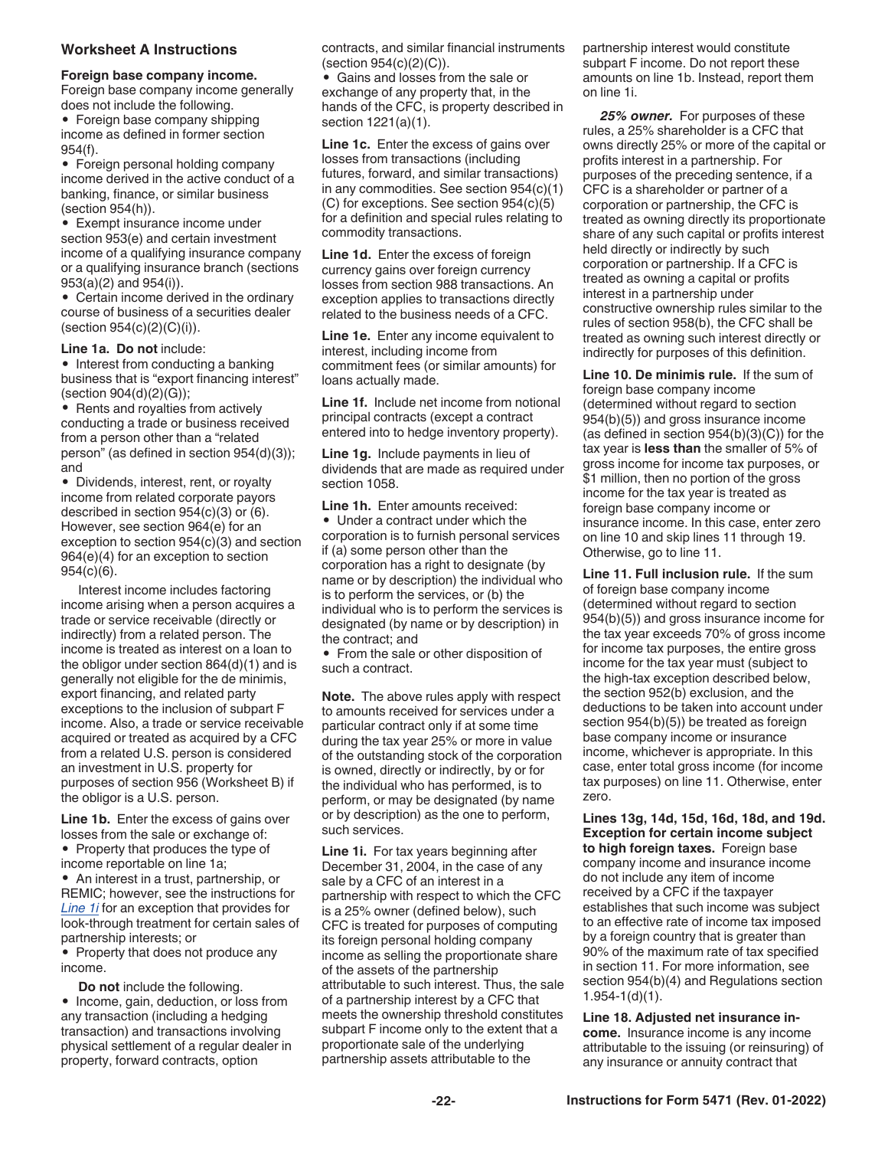#### <span id="page-21-0"></span>**Worksheet A Instructions**

#### **Foreign base company income.**

Foreign base company income generally does not include the following. • Foreign base company shipping income as defined in former section 954(f).

• Foreign personal holding company income derived in the active conduct of a banking, finance, or similar business (section 954(h)).

Exempt insurance income under section 953(e) and certain investment income of a qualifying insurance company or a qualifying insurance branch (sections 953(a)(2) and 954(i)).

• Certain income derived in the ordinary course of business of a securities dealer (section  $954(c)(2)(C)(i)$ ).

#### **Line 1a. Do not** include:

• Interest from conducting a banking business that is "export financing interest" (section 904(d)(2)(G));

• Rents and royalties from actively conducting a trade or business received from a person other than a "related person" (as defined in section 954(d)(3)); and

• Dividends, interest, rent, or royalty income from related corporate payors described in section 954(c)(3) or (6). However, see section 964(e) for an exception to section 954(c)(3) and section 964(e)(4) for an exception to section 954(c)(6).

Interest income includes factoring income arising when a person acquires a trade or service receivable (directly or indirectly) from a related person. The income is treated as interest on a loan to the obligor under section 864(d)(1) and is generally not eligible for the de minimis, export financing, and related party exceptions to the inclusion of subpart F income. Also, a trade or service receivable acquired or treated as acquired by a CFC from a related U.S. person is considered an investment in U.S. property for purposes of section 956 (Worksheet B) if the obligor is a U.S. person.

**Line 1b.** Enter the excess of gains over losses from the sale or exchange of: • Property that produces the type of income reportable on line 1a;

• An interest in a trust, partnership, or REMIC; however, see the instructions for *Line 1i* for an exception that provides for look-through treatment for certain sales of partnership interests; or

• Property that does not produce any income.

**Do not** include the following. • Income, gain, deduction, or loss from any transaction (including a hedging transaction) and transactions involving physical settlement of a regular dealer in property, forward contracts, option

contracts, and similar financial instruments (section 954(c)(2)(C)).

• Gains and losses from the sale or exchange of any property that, in the hands of the CFC, is property described in section 1221(a)(1).

**Line 1c.** Enter the excess of gains over losses from transactions (including futures, forward, and similar transactions) in any commodities. See section 954(c)(1) (C) for exceptions. See section 954(c)(5) for a definition and special rules relating to commodity transactions.

**Line 1d.** Enter the excess of foreign currency gains over foreign currency losses from section 988 transactions. An exception applies to transactions directly related to the business needs of a CFC.

**Line 1e.** Enter any income equivalent to interest, including income from commitment fees (or similar amounts) for loans actually made.

**Line 1f.** Include net income from notional principal contracts (except a contract entered into to hedge inventory property).

**Line 1g.** Include payments in lieu of dividends that are made as required under section 1058.

**Line 1h.** Enter amounts received: • Under a contract under which the corporation is to furnish personal services if (a) some person other than the corporation has a right to designate (by name or by description) the individual who is to perform the services, or (b) the individual who is to perform the services is designated (by name or by description) in the contract; and

• From the sale or other disposition of such a contract.

**Note.** The above rules apply with respect to amounts received for services under a particular contract only if at some time during the tax year 25% or more in value of the outstanding stock of the corporation is owned, directly or indirectly, by or for the individual who has performed, is to perform, or may be designated (by name or by description) as the one to perform, such services.

**Line 1i.** For tax years beginning after December 31, 2004, in the case of any sale by a CFC of an interest in a partnership with respect to which the CFC is a 25% owner (defined below), such CFC is treated for purposes of computing its foreign personal holding company income as selling the proportionate share of the assets of the partnership attributable to such interest. Thus, the sale of a partnership interest by a CFC that meets the ownership threshold constitutes subpart F income only to the extent that a proportionate sale of the underlying partnership assets attributable to the

partnership interest would constitute subpart F income. Do not report these amounts on line 1b. Instead, report them on line 1i.

*25% owner.* For purposes of these rules, a 25% shareholder is a CFC that owns directly 25% or more of the capital or profits interest in a partnership. For purposes of the preceding sentence, if a CFC is a shareholder or partner of a corporation or partnership, the CFC is treated as owning directly its proportionate share of any such capital or profits interest held directly or indirectly by such corporation or partnership. If a CFC is treated as owning a capital or profits interest in a partnership under constructive ownership rules similar to the rules of section 958(b), the CFC shall be treated as owning such interest directly or indirectly for purposes of this definition.

**Line 10. De minimis rule.** If the sum of foreign base company income (determined without regard to section 954(b)(5)) and gross insurance income (as defined in section  $954(b)(3)(C)$ ) for the tax year is **less than** the smaller of 5% of gross income for income tax purposes, or \$1 million, then no portion of the gross income for the tax year is treated as foreign base company income or insurance income. In this case, enter zero on line 10 and skip lines 11 through 19. Otherwise, go to line 11.

**Line 11. Full inclusion rule.** If the sum of foreign base company income (determined without regard to section 954(b)(5)) and gross insurance income for the tax year exceeds 70% of gross income for income tax purposes, the entire gross income for the tax year must (subject to the high-tax exception described below, the section 952(b) exclusion, and the deductions to be taken into account under section 954(b)(5)) be treated as foreign base company income or insurance income, whichever is appropriate. In this case, enter total gross income (for income tax purposes) on line 11. Otherwise, enter zero.

**Lines 13g, 14d, 15d, 16d, 18d, and 19d. Exception for certain income subject to high foreign taxes.** Foreign base company income and insurance income do not include any item of income received by a CFC if the taxpayer establishes that such income was subject to an effective rate of income tax imposed by a foreign country that is greater than 90% of the maximum rate of tax specified in section 11. For more information, see section 954(b)(4) and Regulations section 1.954-1(d)(1).

**Line 18. Adjusted net insurance income.** Insurance income is any income attributable to the issuing (or reinsuring) of any insurance or annuity contract that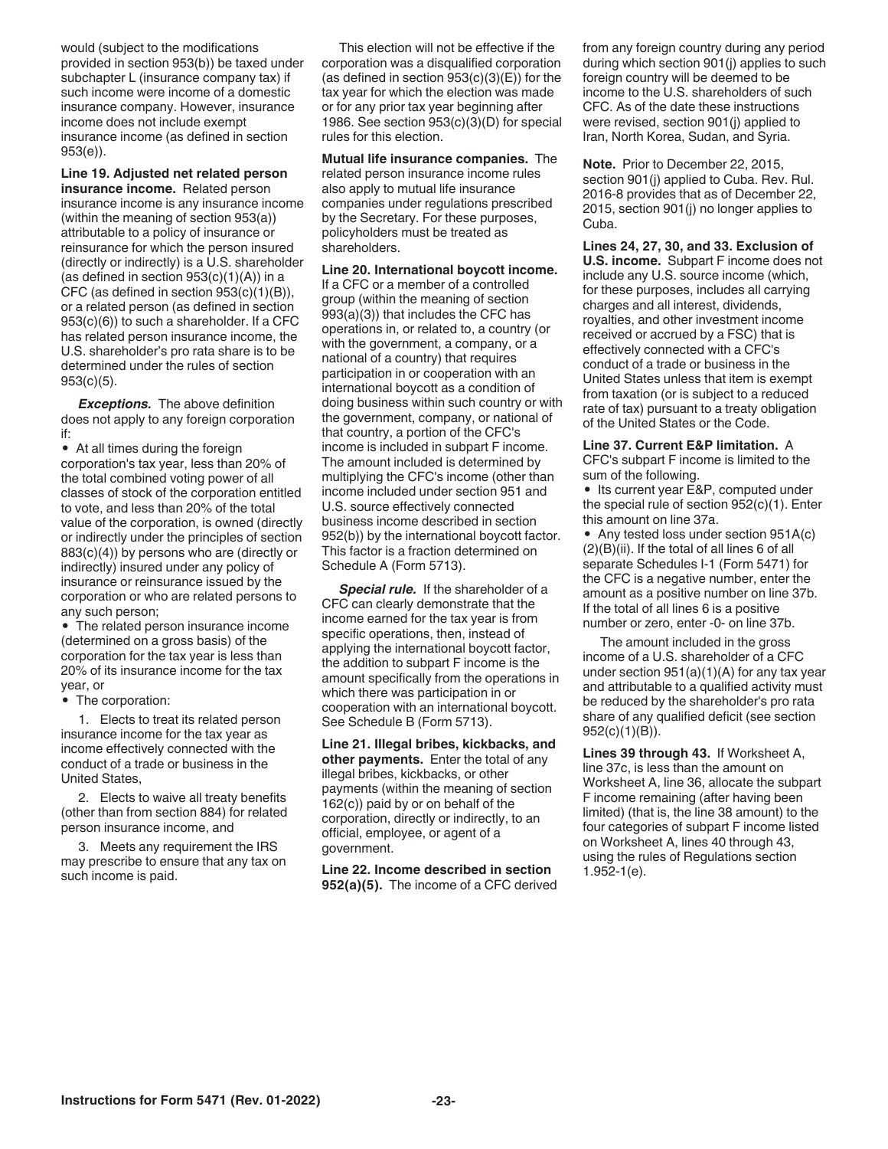<span id="page-22-0"></span>would (subject to the modifications provided in section 953(b)) be taxed under subchapter L (insurance company tax) if such income were income of a domestic insurance company. However, insurance income does not include exempt insurance income (as defined in section 953(e)).

**Line 19. Adjusted net related person insurance income.** Related person insurance income is any insurance income (within the meaning of section 953(a)) attributable to a policy of insurance or reinsurance for which the person insured (directly or indirectly) is a U.S. shareholder (as defined in section  $953(c)(1)(A)$ ) in a CFC (as defined in section 953(c)(1)(B)), or a related person (as defined in section 953(c)(6)) to such a shareholder. If a CFC has related person insurance income, the U.S. shareholder's pro rata share is to be determined under the rules of section 953(c)(5).

*Exceptions.* The above definition does not apply to any foreign corporation if:

• At all times during the foreign corporation's tax year, less than 20% of the total combined voting power of all classes of stock of the corporation entitled to vote, and less than 20% of the total value of the corporation, is owned (directly or indirectly under the principles of section 883(c)(4)) by persons who are (directly or indirectly) insured under any policy of insurance or reinsurance issued by the corporation or who are related persons to any such person;

• The related person insurance income (determined on a gross basis) of the corporation for the tax year is less than 20% of its insurance income for the tax year, or

The corporation:

1. Elects to treat its related person insurance income for the tax year as income effectively connected with the conduct of a trade or business in the United States,

2. Elects to waive all treaty benefits (other than from section 884) for related person insurance income, and

3. Meets any requirement the IRS may prescribe to ensure that any tax on such income is paid.

This election will not be effective if the corporation was a disqualified corporation (as defined in section  $953(c)(3)(E)$ ) for the tax year for which the election was made or for any prior tax year beginning after 1986. See section 953(c)(3)(D) for special rules for this election.

**Mutual life insurance companies.** The related person insurance income rules also apply to mutual life insurance companies under regulations prescribed by the Secretary. For these purposes, policyholders must be treated as shareholders.

**Line 20. International boycott income.** 

If a CFC or a member of a controlled group (within the meaning of section 993(a)(3)) that includes the CFC has operations in, or related to, a country (or with the government, a company, or a national of a country) that requires participation in or cooperation with an international boycott as a condition of doing business within such country or with the government, company, or national of that country, a portion of the CFC's income is included in subpart F income. The amount included is determined by multiplying the CFC's income (other than income included under section 951 and U.S. source effectively connected business income described in section 952(b)) by the international boycott factor. This factor is a fraction determined on Schedule A (Form 5713).

*Special rule.* If the shareholder of a CFC can clearly demonstrate that the income earned for the tax year is from specific operations, then, instead of applying the international boycott factor, the addition to subpart F income is the amount specifically from the operations in which there was participation in or cooperation with an international boycott. See Schedule B (Form 5713).

**Line 21. Illegal bribes, kickbacks, and other payments.** Enter the total of any illegal bribes, kickbacks, or other payments (within the meaning of section 162(c)) paid by or on behalf of the corporation, directly or indirectly, to an official, employee, or agent of a government.

**Line 22. Income described in section 952(a)(5).** The income of a CFC derived from any foreign country during any period during which section 901(j) applies to such foreign country will be deemed to be income to the U.S. shareholders of such CFC. As of the date these instructions were revised, section 901(j) applied to Iran, North Korea, Sudan, and Syria.

**Note.** Prior to December 22, 2015, section 901(j) applied to Cuba. Rev. Rul. 2016-8 provides that as of December 22, 2015, section 901(j) no longer applies to Cuba.

**Lines 24, 27, 30, and 33. Exclusion of U.S. income.** Subpart F income does not include any U.S. source income (which, for these purposes, includes all carrying charges and all interest, dividends, royalties, and other investment income received or accrued by a FSC) that is effectively connected with a CFC's conduct of a trade or business in the United States unless that item is exempt from taxation (or is subject to a reduced rate of tax) pursuant to a treaty obligation of the United States or the Code.

**Line 37. Current E&P limitation.** A CFC's subpart F income is limited to the sum of the following.

• Its current year E&P, computed under the special rule of section 952(c)(1). Enter this amount on line 37a.

• Any tested loss under section 951A(c) (2)(B)(ii). If the total of all lines 6 of all separate Schedules I-1 (Form 5471) for the CFC is a negative number, enter the amount as a positive number on line 37b. If the total of all lines 6 is a positive number or zero, enter -0- on line 37b.

The amount included in the gross income of a U.S. shareholder of a CFC under section 951(a)(1)(A) for any tax year and attributable to a qualified activity must be reduced by the shareholder's pro rata share of any qualified deficit (see section 952(c)(1)(B)).

**Lines 39 through 43.** If Worksheet A, line 37c, is less than the amount on Worksheet A, line 36, allocate the subpart F income remaining (after having been limited) (that is, the line 38 amount) to the four categories of subpart F income listed on Worksheet A, lines 40 through 43, using the rules of Regulations section 1.952-1(e).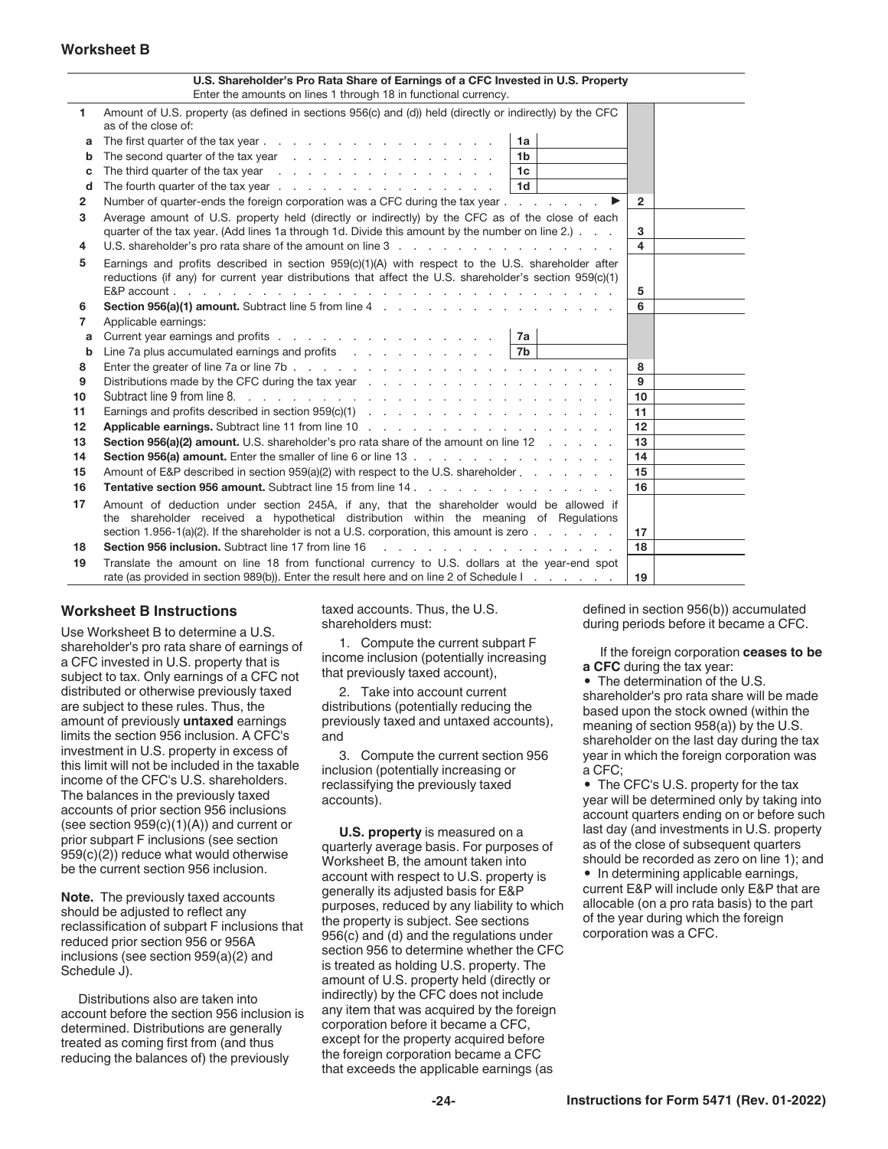#### **Worksheet B**

|          | U.S. Shareholder's Pro Rata Share of Earnings of a CFC Invested in U.S. Property<br>Enter the amounts on lines 1 through 18 in functional currency.                                                                                              |                         |
|----------|--------------------------------------------------------------------------------------------------------------------------------------------------------------------------------------------------------------------------------------------------|-------------------------|
| 1.       | Amount of U.S. property (as defined in sections 956(c) and (d)) held (directly or indirectly) by the CFC<br>as of the close of:                                                                                                                  |                         |
| a        | 1a                                                                                                                                                                                                                                               |                         |
| b        | The second quarter of the tax year $\cdots$ $\cdots$ $\cdots$ $\cdots$ $\cdots$<br>1b                                                                                                                                                            |                         |
| c        | The third quarter of the tax year entitled as a set of the third quarter of the tax year.<br>1c                                                                                                                                                  |                         |
| d        | The fourth quarter of the tax year end of the tax year end of the tax year end of the tax and the tax we have the following of the following of the following of the following of the following of the following of the follow<br>1 <sub>d</sub> |                         |
| 2        | Number of quarter-ends the foreign corporation was a CFC during the tax year                                                                                                                                                                     | $\overline{2}$          |
| з        | Average amount of U.S. property held (directly or indirectly) by the CFC as of the close of each<br>quarter of the tax year. (Add lines 1a through 1d. Divide this amount by the number on line 2.)                                              | 3                       |
| 4        |                                                                                                                                                                                                                                                  | $\overline{\mathbf{4}}$ |
| 5        | Earnings and profits described in section 959(c)(1)(A) with respect to the U.S. shareholder after<br>reductions (if any) for current year distributions that affect the U.S. shareholder's section 959(c)(1)                                     | 5                       |
| 6        | Section 956(a)(1) amount. Subtract line 5 from line 4 manuscript and section 956(a)(1) amount. Subtract line 5 from line 4                                                                                                                       | 6                       |
| 7        | Applicable earnings:                                                                                                                                                                                                                             |                         |
| a        | Current year earnings and profits<br>l 7a                                                                                                                                                                                                        |                         |
| b        |                                                                                                                                                                                                                                                  |                         |
| 8        |                                                                                                                                                                                                                                                  | 8                       |
| 9        |                                                                                                                                                                                                                                                  | 9                       |
| 10       |                                                                                                                                                                                                                                                  | 10 <sup>10</sup>        |
| 11       |                                                                                                                                                                                                                                                  | 11                      |
| 12       |                                                                                                                                                                                                                                                  | 12                      |
| 13       | Section 956(a)(2) amount. U.S. shareholder's pro rata share of the amount on line 12                                                                                                                                                             | 13                      |
| 14       |                                                                                                                                                                                                                                                  | 14<br>15                |
| 15<br>16 | Amount of E&P described in section 959(a)(2) with respect to the U.S. shareholder example is a controller to the U.S. shareholder                                                                                                                | 16                      |
|          |                                                                                                                                                                                                                                                  |                         |
| 17       | Amount of deduction under section 245A, if any, that the shareholder would be allowed if<br>the shareholder received a hypothetical distribution within the meaning of Regulations                                                               |                         |
|          | section 1.956-1(a)(2). If the shareholder is not a U.S. corporation, this amount is zero                                                                                                                                                         | 17                      |
| 18       | Section 956 inclusion. Subtract line 17 from line 16<br>and the company of the                                                                                                                                                                   | 18                      |
| 19       | Translate the amount on line 18 from functional currency to U.S. dollars at the year-end spot                                                                                                                                                    |                         |
|          | rate (as provided in section 989(b)). Enter the result here and on line 2 of Schedule I.                                                                                                                                                         | 19                      |

#### **Worksheet B Instructions**

Use Worksheet B to determine a U.S. shareholder's pro rata share of earnings of a CFC invested in U.S. property that is subject to tax. Only earnings of a CFC not distributed or otherwise previously taxed are subject to these rules. Thus, the amount of previously **untaxed** earnings limits the section 956 inclusion. A CFC's investment in U.S. property in excess of this limit will not be included in the taxable income of the CFC's U.S. shareholders. The balances in the previously taxed accounts of prior section 956 inclusions (see section  $959(c)(1)(A)$ ) and current or prior subpart F inclusions (see section 959(c)(2)) reduce what would otherwise be the current section 956 inclusion.

**Note.** The previously taxed accounts should be adjusted to reflect any reclassification of subpart F inclusions that reduced prior section 956 or 956A inclusions (see section 959(a)(2) and Schedule J).

Distributions also are taken into account before the section 956 inclusion is determined. Distributions are generally treated as coming first from (and thus reducing the balances of) the previously

taxed accounts. Thus, the U.S. shareholders must:

1. Compute the current subpart F income inclusion (potentially increasing that previously taxed account),

2. Take into account current distributions (potentially reducing the previously taxed and untaxed accounts), and

3. Compute the current section 956 inclusion (potentially increasing or reclassifying the previously taxed accounts).

**U.S. property** is measured on a quarterly average basis. For purposes of Worksheet B, the amount taken into account with respect to U.S. property is generally its adjusted basis for E&P purposes, reduced by any liability to which the property is subject. See sections 956(c) and (d) and the regulations under section 956 to determine whether the CFC is treated as holding U.S. property. The amount of U.S. property held (directly or indirectly) by the CFC does not include any item that was acquired by the foreign corporation before it became a CFC, except for the property acquired before the foreign corporation became a CFC that exceeds the applicable earnings (as

defined in section 956(b)) accumulated during periods before it became a CFC.

If the foreign corporation **ceases to be a CFC** during the tax year:

• The determination of the U.S. shareholder's pro rata share will be made based upon the stock owned (within the meaning of section 958(a)) by the U.S. shareholder on the last day during the tax year in which the foreign corporation was a CFC;

• The CFC's U.S. property for the tax year will be determined only by taking into account quarters ending on or before such last day (and investments in U.S. property as of the close of subsequent quarters should be recorded as zero on line 1); and • In determining applicable earnings, current E&P will include only E&P that are allocable (on a pro rata basis) to the part of the year during which the foreign corporation was a CFC.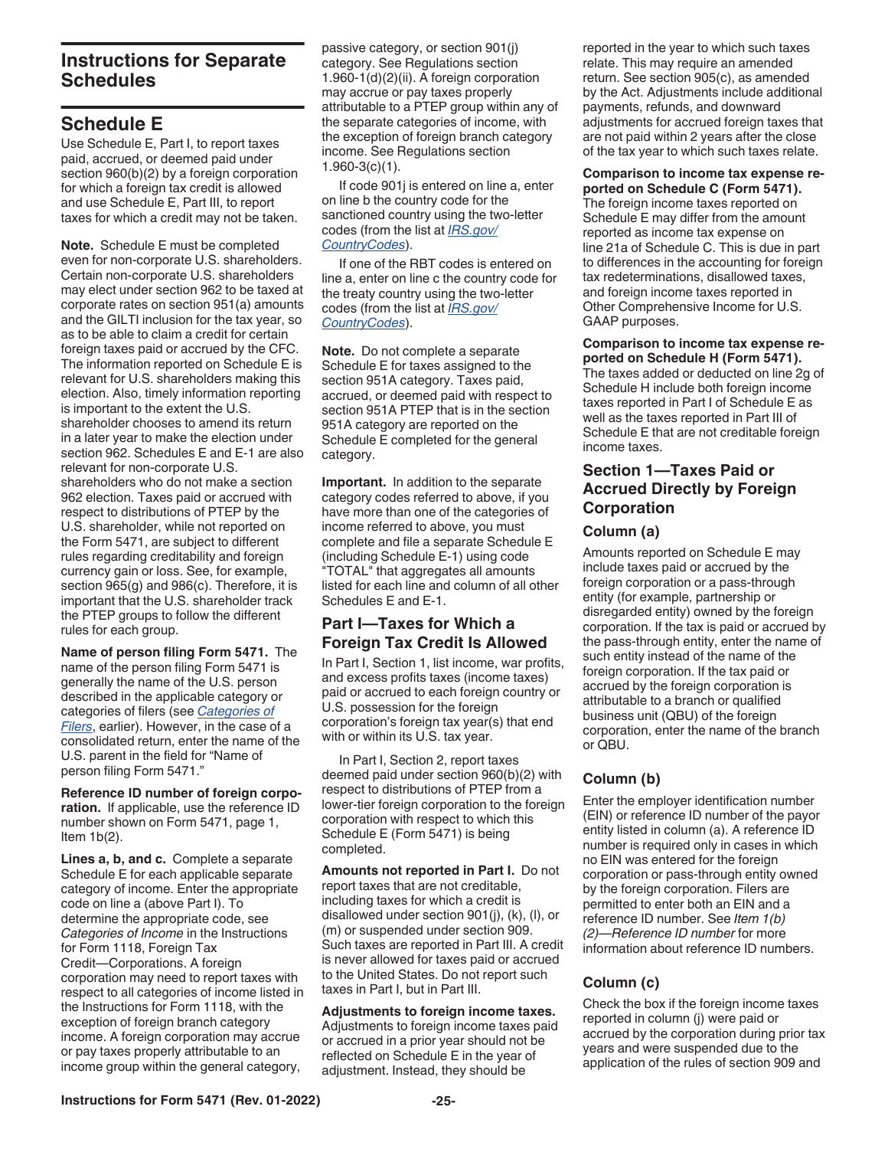### <span id="page-24-0"></span>**Instructions for Separate Schedules**

### **Schedule E**

Use Schedule E, Part I, to report taxes paid, accrued, or deemed paid under section 960(b)(2) by a foreign corporation for which a foreign tax credit is allowed and use Schedule E, Part III, to report taxes for which a credit may not be taken.

**Note.** Schedule E must be completed even for non-corporate U.S. shareholders. Certain non-corporate U.S. shareholders may elect under section 962 to be taxed at corporate rates on section 951(a) amounts and the GILTI inclusion for the tax year, so as to be able to claim a credit for certain foreign taxes paid or accrued by the CFC. The information reported on Schedule E is relevant for U.S. shareholders making this election. Also, timely information reporting is important to the extent the U.S. shareholder chooses to amend its return in a later year to make the election under section 962. Schedules E and E-1 are also relevant for non-corporate U.S. shareholders who do not make a section 962 election. Taxes paid or accrued with respect to distributions of PTEP by the U.S. shareholder, while not reported on the Form 5471, are subject to different rules regarding creditability and foreign currency gain or loss. See, for example, section 965(g) and 986(c). Therefore, it is important that the U.S. shareholder track the PTEP groups to follow the different rules for each group.

**Name of person filing Form 5471.** The name of the person filing Form 5471 is generally the name of the U.S. person described in the applicable category or categories of filers (see *[Categories of](#page-2-0) [Filers](#page-2-0)*, earlier). However, in the case of a consolidated return, enter the name of the U.S. parent in the field for "Name of person filing Form 5471."

**Reference ID number of foreign corporation.** If applicable, use the reference ID number shown on Form 5471, page 1, Item  $1b(2)$ .

**Lines a, b, and c.** Complete a separate Schedule E for each applicable separate category of income. Enter the appropriate code on line a (above Part I). To determine the appropriate code, see *Categories of Income* in the Instructions for Form 1118, Foreign Tax Credit—Corporations. A foreign corporation may need to report taxes with respect to all categories of income listed in the Instructions for Form 1118, with the exception of foreign branch category income. A foreign corporation may accrue or pay taxes properly attributable to an income group within the general category,

passive category, or section 901(j) category. See Regulations section 1.960-1(d)(2)(ii). A foreign corporation may accrue or pay taxes properly attributable to a PTEP group within any of the separate categories of income, with the exception of foreign branch category income. See Regulations section 1.960-3(c)(1).

If code 901j is entered on line a, enter on line b the country code for the sanctioned country using the two-letter codes (from the list at *[IRS.gov/](https://www.irs.gov/e-file-providers/foreign-country-code-listing-for-modernized-e-file) [CountryCodes](https://www.irs.gov/e-file-providers/foreign-country-code-listing-for-modernized-e-file)*).

If one of the RBT codes is entered on line a, enter on line c the country code for the treaty country using the two-letter codes (from the list at *[IRS.gov/](https://www.irs.gov/e-file-providers/foreign-country-code-listing-for-modernized-e-file) [CountryCodes](https://www.irs.gov/e-file-providers/foreign-country-code-listing-for-modernized-e-file)*).

**Note.** Do not complete a separate Schedule E for taxes assigned to the section 951A category. Taxes paid, accrued, or deemed paid with respect to section 951A PTEP that is in the section 951A category are reported on the Schedule E completed for the general category.

**Important.** In addition to the separate category codes referred to above, if you have more than one of the categories of income referred to above, you must complete and file a separate Schedule E (including Schedule E-1) using code "TOTAL" that aggregates all amounts listed for each line and column of all other Schedules E and E-1.

### **Part I—Taxes for Which a Foreign Tax Credit Is Allowed**

In Part I, Section 1, list income, war profits, and excess profits taxes (income taxes) paid or accrued to each foreign country or U.S. possession for the foreign corporation's foreign tax year(s) that end with or within its U.S. tax year.

In Part I, Section 2, report taxes deemed paid under section 960(b)(2) with respect to distributions of PTEP from a lower-tier foreign corporation to the foreign corporation with respect to which this Schedule E (Form 5471) is being completed.

**Amounts not reported in Part I.** Do not report taxes that are not creditable, including taxes for which a credit is disallowed under section 901(j), (k), (l), or (m) or suspended under section 909. Such taxes are reported in Part III. A credit is never allowed for taxes paid or accrued to the United States. Do not report such taxes in Part I, but in Part III.

**Adjustments to foreign income taxes.**  Adjustments to foreign income taxes paid or accrued in a prior year should not be reflected on Schedule E in the year of adjustment. Instead, they should be

reported in the year to which such taxes relate. This may require an amended return. See section 905(c), as amended by the Act. Adjustments include additional payments, refunds, and downward adjustments for accrued foreign taxes that are not paid within 2 years after the close of the tax year to which such taxes relate.

**Comparison to income tax expense re-**

**ported on Schedule C (Form 5471).**  The foreign income taxes reported on Schedule E may differ from the amount reported as income tax expense on line 21a of Schedule C. This is due in part to differences in the accounting for foreign tax redeterminations, disallowed taxes, and foreign income taxes reported in Other Comprehensive Income for U.S. GAAP purposes.

**Comparison to income tax expense reported on Schedule H (Form 5471).**  The taxes added or deducted on line 2g of Schedule H include both foreign income taxes reported in Part I of Schedule E as well as the taxes reported in Part III of Schedule E that are not creditable foreign income taxes.

#### **Section 1—Taxes Paid or Accrued Directly by Foreign Corporation**

#### **Column (a)**

Amounts reported on Schedule E may include taxes paid or accrued by the foreign corporation or a pass-through entity (for example, partnership or disregarded entity) owned by the foreign corporation. If the tax is paid or accrued by the pass-through entity, enter the name of such entity instead of the name of the foreign corporation. If the tax paid or accrued by the foreign corporation is attributable to a branch or qualified business unit (QBU) of the foreign corporation, enter the name of the branch or QBU.

### **Column (b)**

Enter the employer identification number (EIN) or reference ID number of the payor entity listed in column (a). A reference ID number is required only in cases in which no EIN was entered for the foreign corporation or pass-through entity owned by the foreign corporation. Filers are permitted to enter both an EIN and a reference ID number. See *Item 1(b) (2)—Reference ID number* for more information about reference ID numbers.

#### **Column (c)**

Check the box if the foreign income taxes reported in column (j) were paid or accrued by the corporation during prior tax years and were suspended due to the application of the rules of section 909 and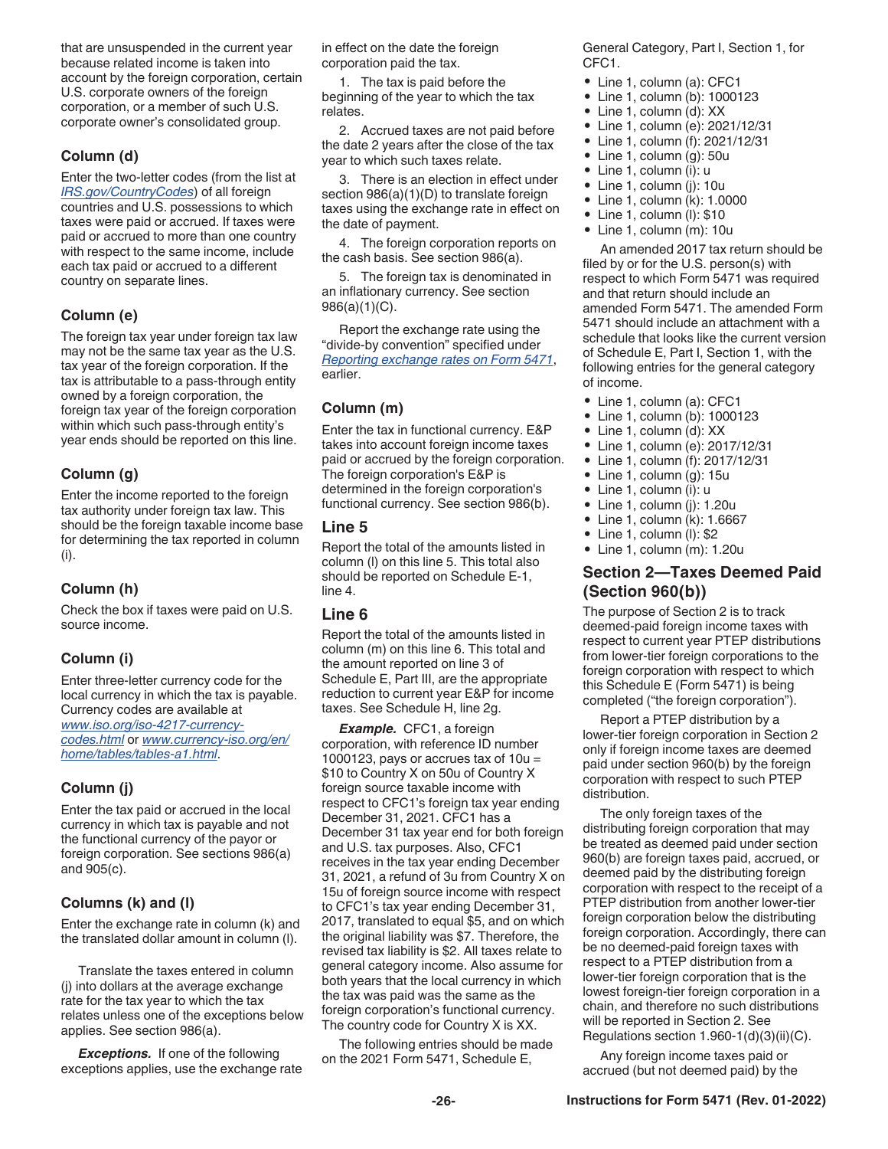that are unsuspended in the current year because related income is taken into account by the foreign corporation, certain U.S. corporate owners of the foreign corporation, or a member of such U.S. corporate owner's consolidated group.

#### **Column (d)**

Enter the two-letter codes (from the list at *[IRS.gov/CountryCodes](https://www.irs.gov/e-file-providers/foreign-country-code-listing-for-modernized-e-file)*) of all foreign countries and U.S. possessions to which taxes were paid or accrued. If taxes were paid or accrued to more than one country with respect to the same income, include each tax paid or accrued to a different country on separate lines.

#### **Column (e)**

The foreign tax year under foreign tax law may not be the same tax year as the U.S. tax year of the foreign corporation. If the tax is attributable to a pass-through entity owned by a foreign corporation, the foreign tax year of the foreign corporation within which such pass-through entity's year ends should be reported on this line.

#### **Column (g)**

Enter the income reported to the foreign tax authority under foreign tax law. This should be the foreign taxable income base for determining the tax reported in column (i).

#### **Column (h)**

Check the box if taxes were paid on U.S. source income.

#### **Column (i)**

Enter three-letter currency code for the local currency in which the tax is payable. Currency codes are available at *[www.iso.org/iso-4217-currency](https://www.iso.org/iso-4217-currency-codes.html)[codes.html](https://www.iso.org/iso-4217-currency-codes.html)* or *[www.currency-iso.org/en/](https://www.currency-iso.org/en/home/tables/table-a1.html) [home/tables/tables-a1.html](https://www.currency-iso.org/en/home/tables/table-a1.html)*.

#### **Column (j)**

Enter the tax paid or accrued in the local currency in which tax is payable and not the functional currency of the payor or foreign corporation. See sections 986(a) and 905(c).

#### **Columns (k) and (l)**

Enter the exchange rate in column (k) and the translated dollar amount in column (l).

Translate the taxes entered in column (j) into dollars at the average exchange rate for the tax year to which the tax relates unless one of the exceptions below applies. See section 986(a).

*Exceptions.* If one of the following exceptions applies, use the exchange rate in effect on the date the foreign corporation paid the tax.

1. The tax is paid before the beginning of the year to which the tax relates.

2. Accrued taxes are not paid before the date 2 years after the close of the tax year to which such taxes relate.

3. There is an election in effect under section  $986(a)(1)(D)$  to translate foreign taxes using the exchange rate in effect on the date of payment.

4. The foreign corporation reports on the cash basis. See section 986(a).

5. The foreign tax is denominated in an inflationary currency. See section 986(a)(1)(C).

Report the exchange rate using the "divide-by convention" specified under *[Reporting exchange rates on Form 5471](#page-6-0)*, earlier.

#### **Column (m)**

Enter the tax in functional currency. E&P takes into account foreign income taxes paid or accrued by the foreign corporation. The foreign corporation's E&P is determined in the foreign corporation's functional currency. See section 986(b).

#### **Line 5**

Report the total of the amounts listed in column (l) on this line 5. This total also should be reported on Schedule E-1, line 4.

#### **Line 6**

Report the total of the amounts listed in column (m) on this line 6. This total and the amount reported on line 3 of Schedule E, Part III, are the appropriate reduction to current year E&P for income taxes. See Schedule H, line 2g.

*Example.* CFC1, a foreign corporation, with reference ID number 1000123, pays or accrues tax of  $10u =$ \$10 to Country X on 50u of Country X foreign source taxable income with respect to CFC1's foreign tax year ending December 31, 2021. CFC1 has a December 31 tax year end for both foreign and U.S. tax purposes. Also, CFC1 receives in the tax year ending December 31, 2021, a refund of 3u from Country X on 15u of foreign source income with respect to CFC1's tax year ending December 31, 2017, translated to equal \$5, and on which the original liability was \$7. Therefore, the revised tax liability is \$2. All taxes relate to general category income. Also assume for both years that the local currency in which the tax was paid was the same as the foreign corporation's functional currency. The country code for Country X is XX.

The following entries should be made on the 2021 Form 5471, Schedule E,

General Category, Part I, Section 1, for CFC1.

- Line 1, column (a): CFC1
- Line 1, column (b): 1000123
- Line 1, column (d): XX
- Line 1, column (e): 2021/12/31 • Line 1, column (f): 2021/12/31
- Line 1, column (g): 50u
- Line 1, column (i): u
- Line 1, column (j): 10u
- Line 1, column (k): 1.0000
- Line 1, column (l): \$10
- Line 1, column (m): 10u

An amended 2017 tax return should be filed by or for the U.S. person(s) with respect to which Form 5471 was required and that return should include an amended Form 5471. The amended Form 5471 should include an attachment with a schedule that looks like the current version of Schedule E, Part I, Section 1, with the following entries for the general category of income.

- Line 1, column (a): CFC1
- Line 1, column (b): 1000123
- Line 1, column (d): XX
- Line 1, column (e): 2017/12/31
- Line 1, column (f): 2017/12/31
- Line 1, column (g): 15u
- Line 1, column (i): u
- Line 1, column (j): 1.20u
- Line 1, column (k): 1.6667
- Line 1, column (l): \$2 • Line 1, column (m): 1.20u

### **Section 2—Taxes Deemed Paid (Section 960(b))**

The purpose of Section 2 is to track deemed-paid foreign income taxes with respect to current year PTEP distributions from lower-tier foreign corporations to the foreign corporation with respect to which this Schedule E (Form 5471) is being completed ("the foreign corporation").

Report a PTEP distribution by a lower-tier foreign corporation in Section 2 only if foreign income taxes are deemed paid under section 960(b) by the foreign corporation with respect to such PTEP distribution.

The only foreign taxes of the distributing foreign corporation that may be treated as deemed paid under section 960(b) are foreign taxes paid, accrued, or deemed paid by the distributing foreign corporation with respect to the receipt of a PTEP distribution from another lower-tier foreign corporation below the distributing foreign corporation. Accordingly, there can be no deemed-paid foreign taxes with respect to a PTEP distribution from a lower-tier foreign corporation that is the lowest foreign-tier foreign corporation in a chain, and therefore no such distributions will be reported in Section 2. See Regulations section 1.960-1(d)(3)(ii)(C).

Any foreign income taxes paid or accrued (but not deemed paid) by the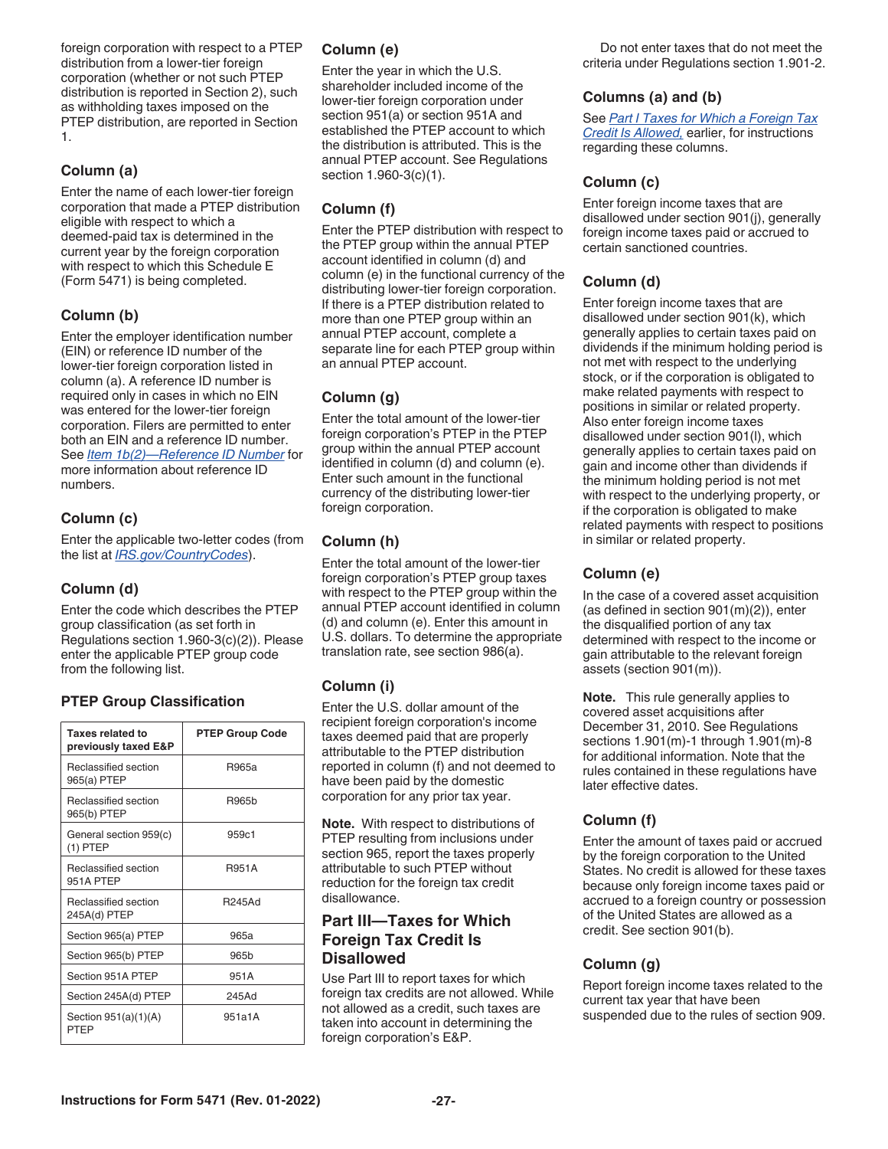foreign corporation with respect to a PTEP distribution from a lower-tier foreign corporation (whether or not such PTEP distribution is reported in Section 2), such as withholding taxes imposed on the PTEP distribution, are reported in Section 1.

#### **Column (a)**

Enter the name of each lower-tier foreign corporation that made a PTEP distribution eligible with respect to which a deemed-paid tax is determined in the current year by the foreign corporation with respect to which this Schedule E (Form 5471) is being completed.

#### **Column (b)**

Enter the employer identification number (EIN) or reference ID number of the lower-tier foreign corporation listed in column (a). A reference ID number is required only in cases in which no EIN was entered for the lower-tier foreign corporation. Filers are permitted to enter both an EIN and a reference ID number. See *[Item 1b\(2\)—Reference ID Number](#page-9-0)* for more information about reference ID numbers.

#### **Column (c)**

Enter the applicable two-letter codes (from the list at *[IRS.gov/CountryCodes](https://www.irs.gov/e-file-providers/foreign-country-code-listing-for-modernized-e-file)*).

#### **Column (d)**

Enter the code which describes the PTEP group classification (as set forth in Regulations section 1.960-3(c)(2)). Please enter the applicable PTEP group code from the following list.

#### **PTEP Group Classification**

| Taxes related to<br>previously taxed E&P | <b>PTEP Group Code</b> |
|------------------------------------------|------------------------|
| Reclassified section<br>965(a) PTEP      | R965a                  |
| Reclassified section<br>965(b) PTEP      | <b>R965h</b>           |
| General section 959(c)<br>$(1)$ PTEP     | 959c1                  |
| Reclassified section<br>951A PTFP        | <b>R951A</b>           |
| Reclassified section<br>245A(d) PTEP     | <b>R245Ad</b>          |
| Section 965(a) PTEP                      | 965a                   |
| Section 965(b) PTEP                      | 965b                   |
| Section 951A PTEP                        | 951A                   |
| Section 245A(d) PTEP                     | 245Ad                  |
| Section $951(a)(1)(A)$<br>PTFP           | 951a1A                 |

#### **Column (e)**

Enter the year in which the U.S. shareholder included income of the lower-tier foreign corporation under section 951(a) or section 951A and established the PTEP account to which the distribution is attributed. This is the annual PTEP account. See Regulations section 1.960-3(c)(1).

#### **Column (f)**

Enter the PTEP distribution with respect to the PTEP group within the annual PTEP account identified in column (d) and column (e) in the functional currency of the distributing lower-tier foreign corporation. If there is a PTEP distribution related to more than one PTEP group within an annual PTEP account, complete a separate line for each PTEP group within an annual PTEP account.

#### **Column (g)**

Enter the total amount of the lower-tier foreign corporation's PTEP in the PTEP group within the annual PTEP account identified in column (d) and column (e). Enter such amount in the functional currency of the distributing lower-tier foreign corporation.

#### **Column (h)**

Enter the total amount of the lower-tier foreign corporation's PTEP group taxes with respect to the PTEP group within the annual PTEP account identified in column (d) and column (e). Enter this amount in U.S. dollars. To determine the appropriate translation rate, see section 986(a).

#### **Column (i)**

Enter the U.S. dollar amount of the recipient foreign corporation's income taxes deemed paid that are properly attributable to the PTEP distribution reported in column (f) and not deemed to have been paid by the domestic corporation for any prior tax year.

**Note.** With respect to distributions of PTEP resulting from inclusions under section 965, report the taxes properly attributable to such PTEP without reduction for the foreign tax credit disallowance.

#### **Part III—Taxes for Which Foreign Tax Credit Is Disallowed**

Use Part III to report taxes for which foreign tax credits are not allowed. While not allowed as a credit, such taxes are taken into account in determining the foreign corporation's E&P.

Do not enter taxes that do not meet the criteria under Regulations section 1.901-2.

#### **Columns (a) and (b)**

See *[Part I Taxes for Which a Foreign Tax](#page-24-0) [Credit Is Allowed,](#page-24-0)* earlier, for instructions regarding these columns.

#### **Column (c)**

Enter foreign income taxes that are disallowed under section 901(j), generally foreign income taxes paid or accrued to certain sanctioned countries.

#### **Column (d)**

Enter foreign income taxes that are disallowed under section 901(k), which generally applies to certain taxes paid on dividends if the minimum holding period is not met with respect to the underlying stock, or if the corporation is obligated to make related payments with respect to positions in similar or related property. Also enter foreign income taxes disallowed under section 901(l), which generally applies to certain taxes paid on gain and income other than dividends if the minimum holding period is not met with respect to the underlying property, or if the corporation is obligated to make related payments with respect to positions in similar or related property.

#### **Column (e)**

In the case of a covered asset acquisition (as defined in section 901(m)(2)), enter the disqualified portion of any tax determined with respect to the income or gain attributable to the relevant foreign assets (section 901(m)).

**Note.** This rule generally applies to covered asset acquisitions after December 31, 2010. See Regulations sections 1.901(m)-1 through 1.901(m)-8 for additional information. Note that the rules contained in these regulations have later effective dates.

#### **Column (f)**

Enter the amount of taxes paid or accrued by the foreign corporation to the United States. No credit is allowed for these taxes because only foreign income taxes paid or accrued to a foreign country or possession of the United States are allowed as a credit. See section 901(b).

#### **Column (g)**

Report foreign income taxes related to the current tax year that have been suspended due to the rules of section 909.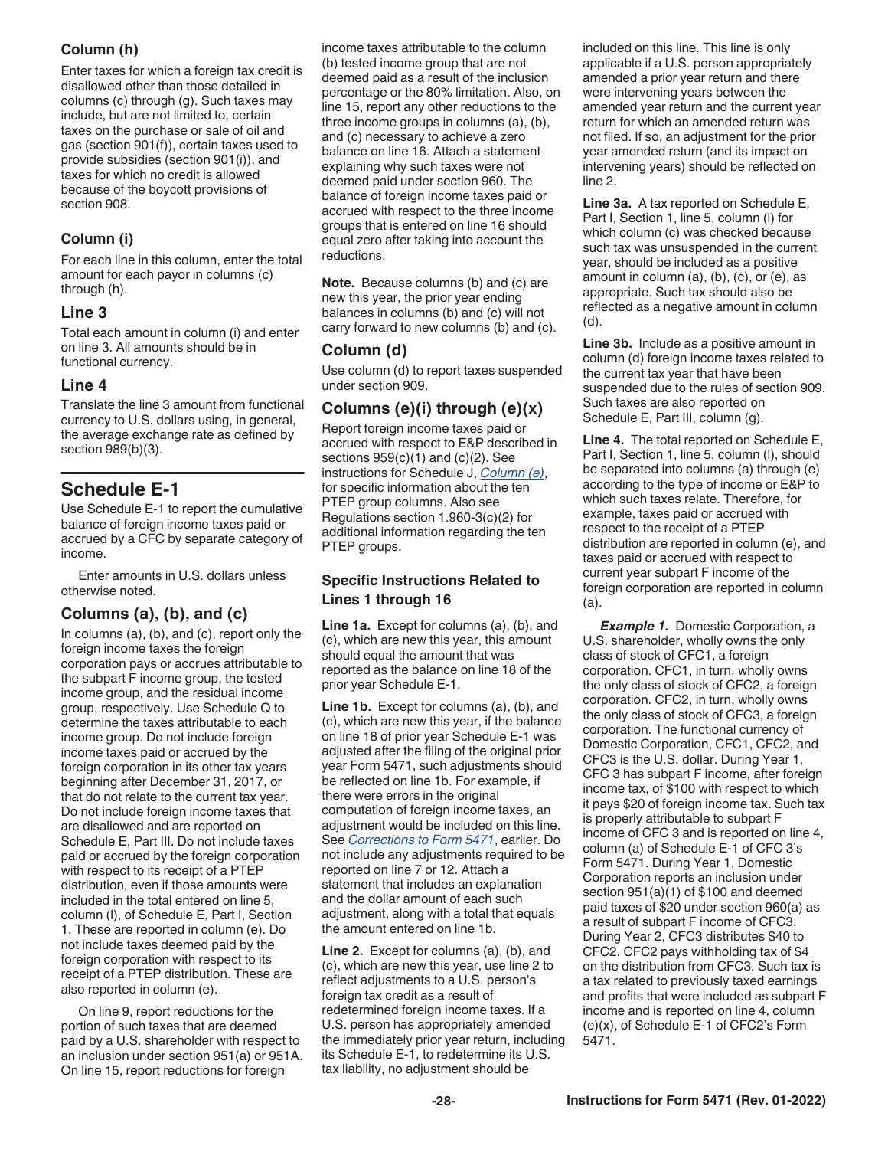#### <span id="page-27-0"></span>**Column (h)**

Enter taxes for which a foreign tax credit is disallowed other than those detailed in columns (c) through (g). Such taxes may include, but are not limited to, certain taxes on the purchase or sale of oil and gas (section 901(f)), certain taxes used to provide subsidies (section 901(i)), and taxes for which no credit is allowed because of the boycott provisions of section 908.

### **Column (i)**

For each line in this column, enter the total amount for each payor in columns (c) through (h).

#### **Line 3**

Total each amount in column (i) and enter on line 3. All amounts should be in functional currency.

#### **Line 4**

Translate the line 3 amount from functional currency to U.S. dollars using, in general, the average exchange rate as defined by section 989(b)(3).

### **Schedule E-1**

Use Schedule E-1 to report the cumulative balance of foreign income taxes paid or accrued by a CFC by separate category of income.

Enter amounts in U.S. dollars unless otherwise noted.

#### **Columns (a), (b), and (c)**

In columns (a), (b), and (c), report only the foreign income taxes the foreign corporation pays or accrues attributable to the subpart F income group, the tested income group, and the residual income group, respectively. Use Schedule Q to determine the taxes attributable to each income group. Do not include foreign income taxes paid or accrued by the foreign corporation in its other tax years beginning after December 31, 2017, or that do not relate to the current tax year. Do not include foreign income taxes that are disallowed and are reported on Schedule E, Part III. Do not include taxes paid or accrued by the foreign corporation with respect to its receipt of a PTEP distribution, even if those amounts were included in the total entered on line 5, column (l), of Schedule E, Part I, Section 1. These are reported in column (e). Do not include taxes deemed paid by the foreign corporation with respect to its receipt of a PTEP distribution. These are also reported in column (e).

On line 9, report reductions for the portion of such taxes that are deemed paid by a U.S. shareholder with respect to an inclusion under section 951(a) or 951A. On line 15, report reductions for foreign

income taxes attributable to the column (b) tested income group that are not deemed paid as a result of the inclusion percentage or the 80% limitation. Also, on line 15, report any other reductions to the three income groups in columns (a), (b), and (c) necessary to achieve a zero balance on line 16. Attach a statement explaining why such taxes were not deemed paid under section 960. The balance of foreign income taxes paid or accrued with respect to the three income groups that is entered on line 16 should equal zero after taking into account the reductions.

**Note.** Because columns (b) and (c) are new this year, the prior year ending balances in columns (b) and (c) will not carry forward to new columns (b) and (c).

### **Column (d)**

Use column (d) to report taxes suspended under section 909.

### **Columns (e)(i) through (e)(x)**

Report foreign income taxes paid or accrued with respect to E&P described in sections  $959(c)(1)$  and  $(c)(2)$ . See instructions for Schedule J, *[Column \(e\)](#page-32-0)*, for specific information about the ten PTEP group columns. Also see Regulations section 1.960-3(c)(2) for additional information regarding the ten PTEP groups.

#### **Specific Instructions Related to Lines 1 through 16**

**Line 1a.** Except for columns (a), (b), and (c), which are new this year, this amount should equal the amount that was reported as the balance on line 18 of the prior year Schedule E-1.

**Line 1b.** Except for columns (a), (b), and (c), which are new this year, if the balance on line 18 of prior year Schedule E-1 was adjusted after the filing of the original prior year Form 5471, such adjustments should be reflected on line 1b. For example, if there were errors in the original computation of foreign income taxes, an adjustment would be included on this line. See *[Corrections to Form 5471](#page-7-0)*, earlier. Do not include any adjustments required to be reported on line 7 or 12. Attach a statement that includes an explanation and the dollar amount of each such adjustment, along with a total that equals the amount entered on line 1b.

**Line 2.** Except for columns (a), (b), and (c), which are new this year, use line 2 to reflect adjustments to a U.S. person's foreign tax credit as a result of redetermined foreign income taxes. If a U.S. person has appropriately amended the immediately prior year return, including its Schedule E-1, to redetermine its U.S. tax liability, no adjustment should be

included on this line. This line is only applicable if a U.S. person appropriately amended a prior year return and there were intervening years between the amended year return and the current year return for which an amended return was not filed. If so, an adjustment for the prior year amended return (and its impact on intervening years) should be reflected on line 2.

**Line 3a.** A tax reported on Schedule E, Part I, Section 1, line 5, column (l) for which column (c) was checked because such tax was unsuspended in the current year, should be included as a positive amount in column (a), (b), (c), or (e), as appropriate. Such tax should also be reflected as a negative amount in column (d).

**Line 3b.** Include as a positive amount in column (d) foreign income taxes related to the current tax year that have been suspended due to the rules of section 909. Such taxes are also reported on Schedule E, Part III, column (g).

**Line 4.** The total reported on Schedule E, Part I, Section 1, line 5, column (l), should be separated into columns (a) through (e) according to the type of income or E&P to which such taxes relate. Therefore, for example, taxes paid or accrued with respect to the receipt of a PTEP distribution are reported in column (e), and taxes paid or accrued with respect to current year subpart F income of the foreign corporation are reported in column (a).

**Example 1.** Domestic Corporation, a U.S. shareholder, wholly owns the only class of stock of CFC1, a foreign corporation. CFC1, in turn, wholly owns the only class of stock of CFC2, a foreign corporation. CFC2, in turn, wholly owns the only class of stock of CFC3, a foreign corporation. The functional currency of Domestic Corporation, CFC1, CFC2, and CFC3 is the U.S. dollar. During Year 1, CFC 3 has subpart F income, after foreign income tax, of \$100 with respect to which it pays \$20 of foreign income tax. Such tax is properly attributable to subpart F income of CFC 3 and is reported on line 4, column (a) of Schedule E-1 of CFC 3's Form 5471. During Year 1, Domestic Corporation reports an inclusion under section 951(a)(1) of \$100 and deemed paid taxes of \$20 under section 960(a) as a result of subpart F income of CFC3. During Year 2, CFC3 distributes \$40 to CFC2. CFC2 pays withholding tax of \$4 on the distribution from CFC3. Such tax is a tax related to previously taxed earnings and profits that were included as subpart F income and is reported on line 4, column (e)(x), of Schedule E-1 of CFC2's Form 5471.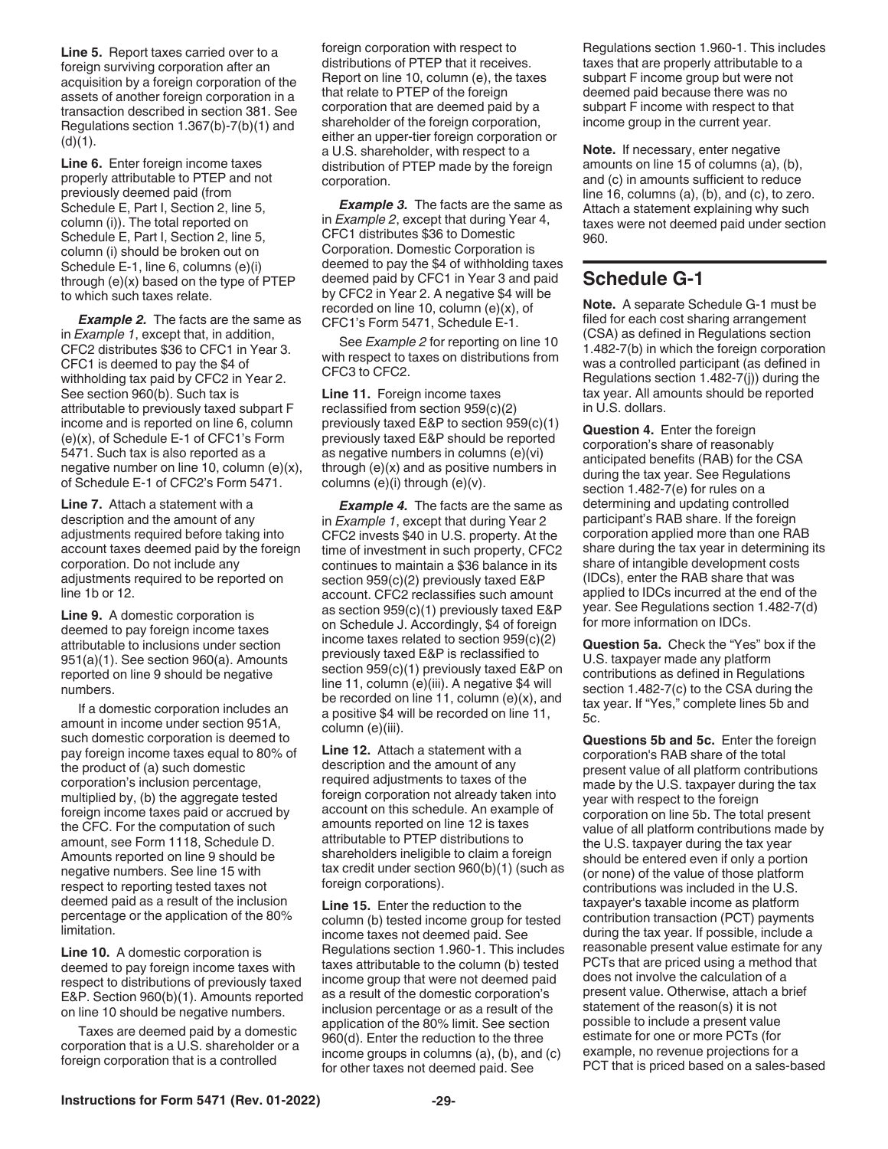<span id="page-28-0"></span>**Line 5.** Report taxes carried over to a foreign surviving corporation after an acquisition by a foreign corporation of the assets of another foreign corporation in a transaction described in section 381. See Regulations section 1.367(b)-7(b)(1) and  $(d)(1)$ .

**Line 6.** Enter foreign income taxes properly attributable to PTEP and not previously deemed paid (from Schedule E, Part I, Section 2, line 5, column (i)). The total reported on Schedule E, Part I, Section 2, line 5, column (i) should be broken out on Schedule E-1, line 6, columns (e)(i) through (e)(x) based on the type of PTEP to which such taxes relate.

**Example 2.** The facts are the same as in *Example 1*, except that, in addition, CFC2 distributes \$36 to CFC1 in Year 3. CFC1 is deemed to pay the \$4 of withholding tax paid by CFC2 in Year 2. See section 960(b). Such tax is attributable to previously taxed subpart F income and is reported on line 6, column (e)(x), of Schedule E-1 of CFC1's Form 5471. Such tax is also reported as a negative number on line 10, column (e)(x), of Schedule E-1 of CFC2's Form 5471.

**Line 7.** Attach a statement with a description and the amount of any adjustments required before taking into account taxes deemed paid by the foreign corporation. Do not include any adjustments required to be reported on line 1b or 12.

**Line 9.** A domestic corporation is deemed to pay foreign income taxes attributable to inclusions under section 951(a)(1). See section 960(a). Amounts reported on line 9 should be negative numbers.

If a domestic corporation includes an amount in income under section 951A, such domestic corporation is deemed to pay foreign income taxes equal to 80% of the product of (a) such domestic corporation's inclusion percentage, multiplied by, (b) the aggregate tested foreign income taxes paid or accrued by the CFC. For the computation of such amount, see Form 1118, Schedule D. Amounts reported on line 9 should be negative numbers. See line 15 with respect to reporting tested taxes not deemed paid as a result of the inclusion percentage or the application of the 80% limitation.

**Line 10.** A domestic corporation is deemed to pay foreign income taxes with respect to distributions of previously taxed E&P. Section 960(b)(1). Amounts reported on line 10 should be negative numbers.

Taxes are deemed paid by a domestic corporation that is a U.S. shareholder or a foreign corporation that is a controlled

foreign corporation with respect to distributions of PTEP that it receives. Report on line 10, column (e), the taxes that relate to PTEP of the foreign corporation that are deemed paid by a shareholder of the foreign corporation, either an upper-tier foreign corporation or a U.S. shareholder, with respect to a distribution of PTEP made by the foreign corporation.

**Example 3.** The facts are the same as in *Example 2*, except that during Year 4, CFC1 distributes \$36 to Domestic Corporation. Domestic Corporation is deemed to pay the \$4 of withholding taxes deemed paid by CFC1 in Year 3 and paid by CFC2 in Year 2. A negative \$4 will be recorded on line 10, column (e)(x), of CFC1's Form 5471, Schedule E-1.

See *Example 2* for reporting on line 10 with respect to taxes on distributions from CFC3 to CFC2.

**Line 11.** Foreign income taxes reclassified from section 959(c)(2) previously taxed E&P to section 959(c)(1) previously taxed E&P should be reported as negative numbers in columns (e)(vi) through (e)(x) and as positive numbers in columns (e)(i) through (e)(v).

**Example 4.** The facts are the same as in *Example 1*, except that during Year 2 CFC2 invests \$40 in U.S. property. At the time of investment in such property, CFC2 continues to maintain a \$36 balance in its section 959(c)(2) previously taxed E&P account. CFC2 reclassifies such amount as section 959(c)(1) previously taxed E&P on Schedule J. Accordingly, \$4 of foreign income taxes related to section 959(c)(2) previously taxed E&P is reclassified to section 959(c)(1) previously taxed E&P on line 11, column (e)(iii). A negative \$4 will be recorded on line 11, column (e)(x), and a positive \$4 will be recorded on line 11, column (e)(iii).

**Line 12.** Attach a statement with a description and the amount of any required adjustments to taxes of the foreign corporation not already taken into account on this schedule. An example of amounts reported on line 12 is taxes attributable to PTEP distributions to shareholders ineligible to claim a foreign tax credit under section 960(b)(1) (such as foreign corporations).

**Line 15.** Enter the reduction to the column (b) tested income group for tested income taxes not deemed paid. See Regulations section 1.960-1. This includes taxes attributable to the column (b) tested income group that were not deemed paid as a result of the domestic corporation's inclusion percentage or as a result of the application of the 80% limit. See section 960(d). Enter the reduction to the three income groups in columns (a), (b), and (c) for other taxes not deemed paid. See

Regulations section 1.960-1. This includes taxes that are properly attributable to a subpart F income group but were not deemed paid because there was no subpart F income with respect to that income group in the current year.

**Note.** If necessary, enter negative amounts on line 15 of columns (a), (b), and (c) in amounts sufficient to reduce line 16, columns (a), (b), and (c), to zero. Attach a statement explaining why such taxes were not deemed paid under section 960.

### **Schedule G-1**

**Note.** A separate Schedule G-1 must be filed for each cost sharing arrangement (CSA) as defined in Regulations section 1.482-7(b) in which the foreign corporation was a controlled participant (as defined in Regulations section 1.482-7(j)) during the tax year. All amounts should be reported in U.S. dollars.

**Question 4.** Enter the foreign corporation's share of reasonably anticipated benefits (RAB) for the CSA during the tax year. See Regulations section 1.482-7(e) for rules on a determining and updating controlled participant's RAB share. If the foreign corporation applied more than one RAB share during the tax year in determining its share of intangible development costs (IDCs), enter the RAB share that was applied to IDCs incurred at the end of the year. See Regulations section 1.482-7(d) for more information on IDCs.

**Question 5a.** Check the "Yes" box if the U.S. taxpayer made any platform contributions as defined in Regulations section 1.482-7(c) to the CSA during the tax year. If "Yes," complete lines 5b and 5c.

**Questions 5b and 5c.** Enter the foreign corporation's RAB share of the total present value of all platform contributions made by the U.S. taxpayer during the tax year with respect to the foreign corporation on line 5b. The total present value of all platform contributions made by the U.S. taxpayer during the tax year should be entered even if only a portion (or none) of the value of those platform contributions was included in the U.S. taxpayer's taxable income as platform contribution transaction (PCT) payments during the tax year. If possible, include a reasonable present value estimate for any PCTs that are priced using a method that does not involve the calculation of a present value. Otherwise, attach a brief statement of the reason(s) it is not possible to include a present value estimate for one or more PCTs (for example, no revenue projections for a PCT that is priced based on a sales-based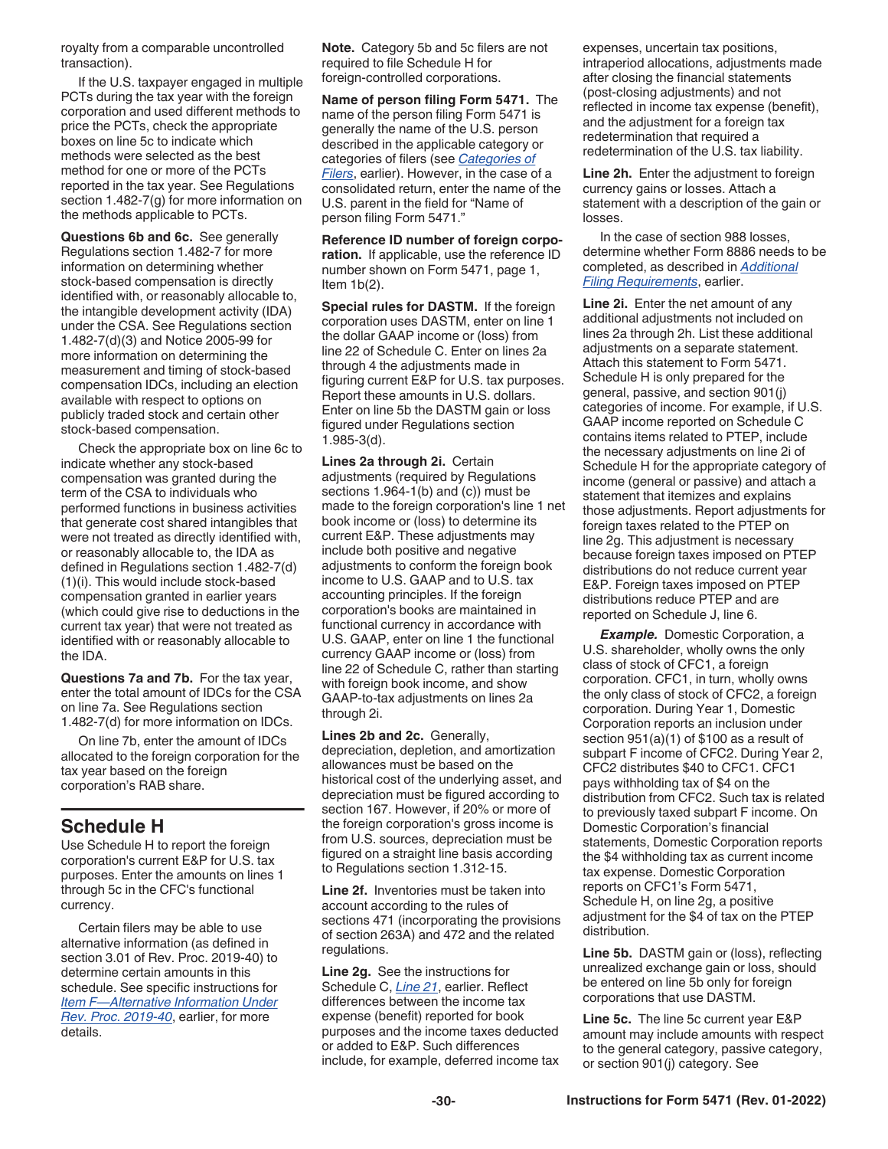<span id="page-29-0"></span>royalty from a comparable uncontrolled transaction).

If the U.S. taxpayer engaged in multiple PCTs during the tax year with the foreign corporation and used different methods to price the PCTs, check the appropriate boxes on line 5c to indicate which methods were selected as the best method for one or more of the PCTs reported in the tax year. See Regulations section 1.482-7(g) for more information on the methods applicable to PCTs.

**Questions 6b and 6c.** See generally Regulations section 1.482-7 for more information on determining whether stock-based compensation is directly identified with, or reasonably allocable to, the intangible development activity (IDA) under the CSA. See Regulations section 1.482-7(d)(3) and Notice 2005-99 for more information on determining the measurement and timing of stock-based compensation IDCs, including an election available with respect to options on publicly traded stock and certain other stock-based compensation.

Check the appropriate box on line 6c to indicate whether any stock-based compensation was granted during the term of the CSA to individuals who performed functions in business activities that generate cost shared intangibles that were not treated as directly identified with, or reasonably allocable to, the IDA as defined in Regulations section 1.482-7(d) (1)(i). This would include stock-based compensation granted in earlier years (which could give rise to deductions in the current tax year) that were not treated as identified with or reasonably allocable to the IDA.

**Questions 7a and 7b.** For the tax year, enter the total amount of IDCs for the CSA on line 7a. See Regulations section 1.482-7(d) for more information on IDCs.

On line 7b, enter the amount of IDCs allocated to the foreign corporation for the tax year based on the foreign corporation's RAB share.

### **Schedule H**

Use Schedule H to report the foreign corporation's current E&P for U.S. tax purposes. Enter the amounts on lines 1 through 5c in the CFC's functional currency.

Certain filers may be able to use alternative information (as defined in section 3.01 of Rev. Proc. 2019-40) to determine certain amounts in this schedule. See specific instructions for *[Item F—Alternative Information Under](#page-8-0)  [Rev. Proc. 2019-40](#page-8-0)*, earlier, for more details.

**Note.** Category 5b and 5c filers are not required to file Schedule H for foreign-controlled corporations.

**Name of person filing Form 5471.** The name of the person filing Form 5471 is generally the name of the U.S. person described in the applicable category or categories of filers (see *[Categories of](#page-2-0) [Filers](#page-2-0)*, earlier). However, in the case of a consolidated return, enter the name of the U.S. parent in the field for "Name of person filing Form 5471."

**Reference ID number of foreign corporation.** If applicable, use the reference ID number shown on Form 5471, page 1, Item  $1b(2)$ .

**Special rules for DASTM.** If the foreign corporation uses DASTM, enter on line 1 the dollar GAAP income or (loss) from line 22 of Schedule C. Enter on lines 2a through 4 the adjustments made in figuring current E&P for U.S. tax purposes. Report these amounts in U.S. dollars. Enter on line 5b the DASTM gain or loss figured under Regulations section 1.985-3(d).

**Lines 2a through 2i.** Certain adjustments (required by Regulations sections 1.964-1(b) and (c)) must be made to the foreign corporation's line 1 net book income or (loss) to determine its current E&P. These adjustments may include both positive and negative adjustments to conform the foreign book income to U.S. GAAP and to U.S. tax accounting principles. If the foreign corporation's books are maintained in functional currency in accordance with U.S. GAAP, enter on line 1 the functional currency GAAP income or (loss) from line 22 of Schedule C, rather than starting with foreign book income, and show GAAP-to-tax adjustments on lines 2a through 2i.

**Lines 2b and 2c.** Generally, depreciation, depletion, and amortization allowances must be based on the historical cost of the underlying asset, and depreciation must be figured according to section 167. However, if 20% or more of the foreign corporation's gross income is from U.S. sources, depreciation must be figured on a straight line basis according to Regulations section 1.312-15.

**Line 2f.** Inventories must be taken into account according to the rules of sections 471 (incorporating the provisions of section 263A) and 472 and the related regulations.

**Line 2g.** See the instructions for Schedule C, *[Line 21](#page-10-0)*, earlier. Reflect differences between the income tax expense (benefit) reported for book purposes and the income taxes deducted or added to E&P. Such differences include, for example, deferred income tax expenses, uncertain tax positions, intraperiod allocations, adjustments made after closing the financial statements (post-closing adjustments) and not reflected in income tax expense (benefit), and the adjustment for a foreign tax redetermination that required a redetermination of the U.S. tax liability.

**Line 2h.** Enter the adjustment to foreign currency gains or losses. Attach a statement with a description of the gain or losses.

In the case of section 988 losses, determine whether Form 8886 needs to be completed, as described in *[Additional](#page-5-0) [Filing Requirements](#page-5-0)*, earlier.

**Line 2i.** Enter the net amount of any additional adjustments not included on lines 2a through 2h. List these additional adjustments on a separate statement. Attach this statement to Form 5471. Schedule H is only prepared for the general, passive, and section 901(j) categories of income. For example, if U.S. GAAP income reported on Schedule C contains items related to PTEP, include the necessary adjustments on line 2i of Schedule H for the appropriate category of income (general or passive) and attach a statement that itemizes and explains those adjustments. Report adjustments for foreign taxes related to the PTEP on line 2g. This adjustment is necessary because foreign taxes imposed on PTEP distributions do not reduce current year E&P. Foreign taxes imposed on PTEP distributions reduce PTEP and are reported on Schedule J, line 6.

*Example.* Domestic Corporation, a U.S. shareholder, wholly owns the only class of stock of CFC1, a foreign corporation. CFC1, in turn, wholly owns the only class of stock of CFC2, a foreign corporation. During Year 1, Domestic Corporation reports an inclusion under section 951(a)(1) of \$100 as a result of subpart F income of CFC2. During Year 2, CFC2 distributes \$40 to CFC1. CFC1 pays withholding tax of \$4 on the distribution from CFC2. Such tax is related to previously taxed subpart F income. On Domestic Corporation's financial statements, Domestic Corporation reports the \$4 withholding tax as current income tax expense. Domestic Corporation reports on CFC1's Form 5471, Schedule H, on line 2g, a positive adjustment for the \$4 of tax on the PTEP distribution.

**Line 5b.** DASTM gain or (loss), reflecting unrealized exchange gain or loss, should be entered on line 5b only for foreign corporations that use DASTM.

**Line 5c.** The line 5c current year E&P amount may include amounts with respect to the general category, passive category, or section 901(j) category. See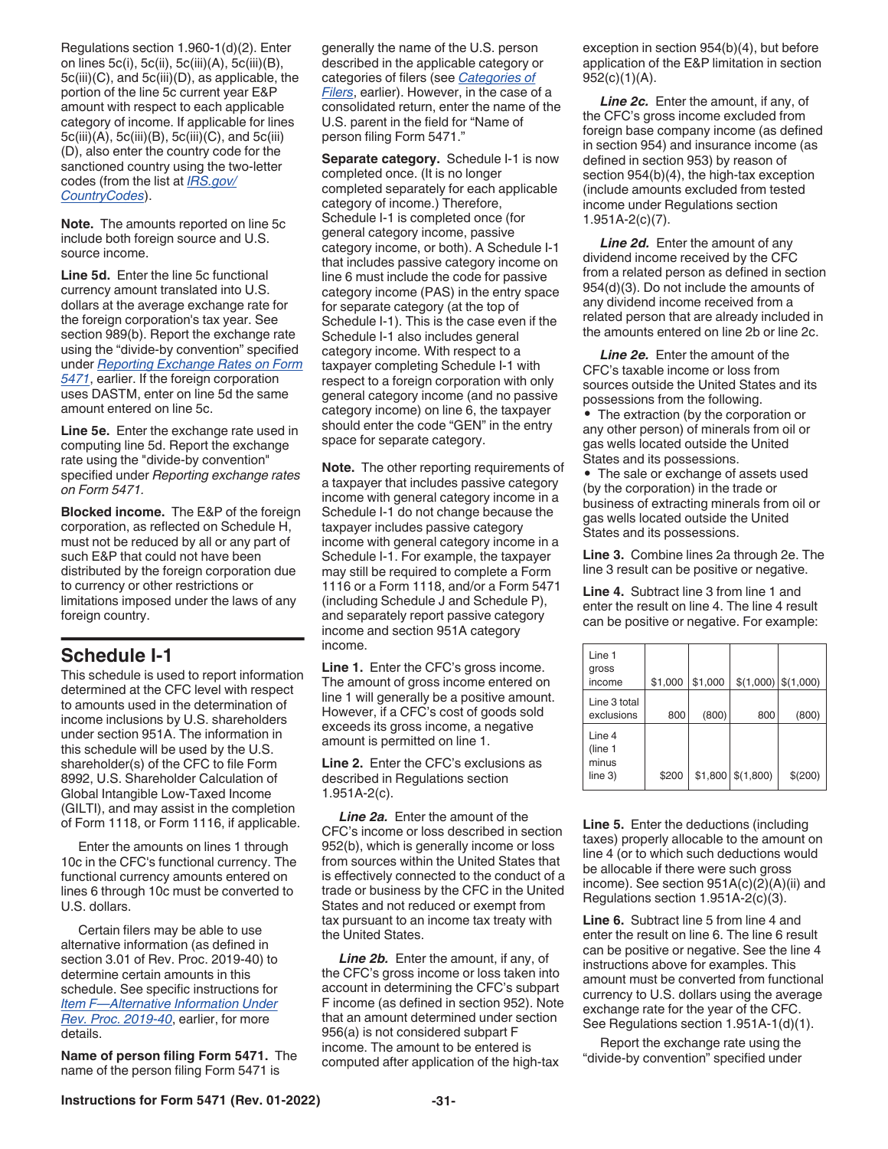<span id="page-30-0"></span>Regulations section 1.960-1(d)(2). Enter on lines 5c(i), 5c(ii), 5c(iii)(A), 5c(iii)(B), 5c(iii)(C), and 5c(iii)(D), as applicable, the portion of the line 5c current year E&P amount with respect to each applicable category of income. If applicable for lines 5c(iii)(A), 5c(iii)(B), 5c(iii)(C), and 5c(iii) (D), also enter the country code for the sanctioned country using the two-letter codes (from the list at *[IRS.gov/](https://www.irs.gov/e-file-providers/foreign-country-code-listing-for-modernized-e-file) [CountryCodes](https://www.irs.gov/e-file-providers/foreign-country-code-listing-for-modernized-e-file)*).

**Note.** The amounts reported on line 5c include both foreign source and U.S. source income.

**Line 5d.** Enter the line 5c functional currency amount translated into U.S. dollars at the average exchange rate for the foreign corporation's tax year. See section 989(b). Report the exchange rate using the "divide-by convention" specified under *[Reporting Exchange Rates on Form](#page-6-0)  [5471](#page-6-0)*, earlier. If the foreign corporation uses DASTM, enter on line 5d the same amount entered on line 5c.

**Line 5e.** Enter the exchange rate used in computing line 5d. Report the exchange rate using the "divide-by convention" specified under *Reporting exchange rates on Form 5471.*

**Blocked income.** The E&P of the foreign corporation, as reflected on Schedule H, must not be reduced by all or any part of such E&P that could not have been distributed by the foreign corporation due to currency or other restrictions or limitations imposed under the laws of any foreign country.

### **Schedule I-1**

This schedule is used to report information determined at the CFC level with respect to amounts used in the determination of income inclusions by U.S. shareholders under section 951A. The information in this schedule will be used by the U.S. shareholder(s) of the CFC to file Form 8992, U.S. Shareholder Calculation of Global Intangible Low-Taxed Income (GILTI), and may assist in the completion of Form 1118, or Form 1116, if applicable.

Enter the amounts on lines 1 through 10c in the CFC's functional currency. The functional currency amounts entered on lines 6 through 10c must be converted to U.S. dollars.

Certain filers may be able to use alternative information (as defined in section 3.01 of Rev. Proc. 2019-40) to determine certain amounts in this schedule. See specific instructions for *[Item F—Alternative Information Under](#page-8-0)  [Rev. Proc. 2019-40](#page-8-0)*, earlier, for more details.

**Name of person filing Form 5471.** The name of the person filing Form 5471 is

generally the name of the U.S. person described in the applicable category or categories of filers (see *[Categories of](#page-2-0) [Filers](#page-2-0)*, earlier). However, in the case of a consolidated return, enter the name of the U.S. parent in the field for "Name of person filing Form 5471."

**Separate category.** Schedule I-1 is now completed once. (It is no longer completed separately for each applicable category of income.) Therefore, Schedule I-1 is completed once (for general category income, passive category income, or both). A Schedule I-1 that includes passive category income on line 6 must include the code for passive category income (PAS) in the entry space for separate category (at the top of Schedule I-1). This is the case even if the Schedule I-1 also includes general category income. With respect to a taxpayer completing Schedule I-1 with respect to a foreign corporation with only general category income (and no passive category income) on line 6, the taxpayer should enter the code "GEN" in the entry space for separate category.

**Note.** The other reporting requirements of a taxpayer that includes passive category income with general category income in a Schedule I-1 do not change because the taxpayer includes passive category income with general category income in a Schedule I-1. For example, the taxpayer may still be required to complete a Form 1116 or a Form 1118, and/or a Form 5471 (including Schedule J and Schedule P), and separately report passive category income and section 951A category income.

**Line 1.** Enter the CFC's gross income. The amount of gross income entered on line 1 will generally be a positive amount. However, if a CFC's cost of goods sold exceeds its gross income, a negative amount is permitted on line 1.

**Line 2.** Enter the CFC's exclusions as described in Regulations section 1.951A-2(c).

*Line 2a.* Enter the amount of the CFC's income or loss described in section 952(b), which is generally income or loss from sources within the United States that is effectively connected to the conduct of a trade or business by the CFC in the United States and not reduced or exempt from tax pursuant to an income tax treaty with the United States.

*Line 2b.* Enter the amount, if any, of the CFC's gross income or loss taken into account in determining the CFC's subpart F income (as defined in section 952). Note that an amount determined under section 956(a) is not considered subpart F income. The amount to be entered is computed after application of the high-tax

exception in section 954(b)(4), but before application of the E&P limitation in section  $952(c)(1)(A)$ .

*Line 2c.* Enter the amount, if any, of the CFC's gross income excluded from foreign base company income (as defined in section 954) and insurance income (as defined in section 953) by reason of section 954(b)(4), the high-tax exception (include amounts excluded from tested income under Regulations section 1.951A-2(c)(7).

**Line 2d.** Enter the amount of any dividend income received by the CFC from a related person as defined in section 954(d)(3). Do not include the amounts of any dividend income received from a related person that are already included in the amounts entered on line 2b or line 2c.

*Line 2e.* Enter the amount of the CFC's taxable income or loss from sources outside the United States and its possessions from the following.

• The extraction (by the corporation or any other person) of minerals from oil or gas wells located outside the United States and its possessions.

• The sale or exchange of assets used (by the corporation) in the trade or business of extracting minerals from oil or gas wells located outside the United States and its possessions.

**Line 3.** Combine lines 2a through 2e. The line 3 result can be positive or negative.

**Line 4.** Subtract line 3 from line 1 and enter the result on line 4. The line 4 result can be positive or negative. For example:

| Line 1<br>gross<br>income             | \$1,000 | \$1,000 | $$(1,000)$ $$(1,000)$  |             |
|---------------------------------------|---------|---------|------------------------|-------------|
| Line 3 total<br>exclusions            | 800     | (800)   | 800                    | (800)       |
| Line 4<br>(line 1<br>minus<br>line 3) | \$200   |         | $$1,800 \mid $(1,800)$ | $$^{(200)}$ |

**Line 5.** Enter the deductions (including taxes) properly allocable to the amount on line 4 (or to which such deductions would be allocable if there were such gross income). See section 951A(c)(2)(A)(ii) and Regulations section 1.951A-2(c)(3).

**Line 6.** Subtract line 5 from line 4 and enter the result on line 6. The line 6 result can be positive or negative. See the line 4 instructions above for examples. This amount must be converted from functional currency to U.S. dollars using the average exchange rate for the year of the CFC. See Regulations section 1.951A-1(d)(1).

Report the exchange rate using the "divide-by convention" specified under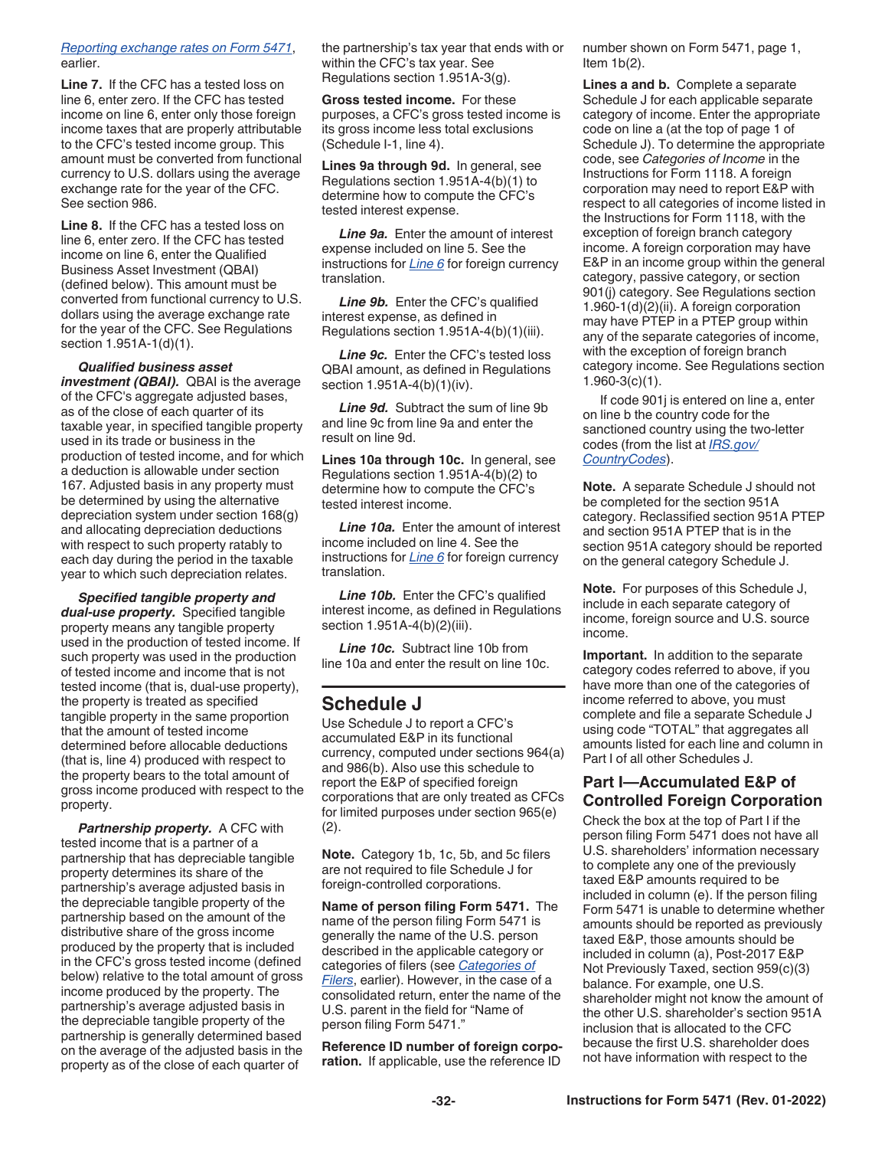#### <span id="page-31-0"></span>*[Reporting exchange rates on Form 5471](#page-6-0)*, earlier.

**Line 7.** If the CFC has a tested loss on line 6, enter zero. If the CFC has tested income on line 6, enter only those foreign income taxes that are properly attributable to the CFC's tested income group. This amount must be converted from functional currency to U.S. dollars using the average exchange rate for the year of the CFC. See section 986.

**Line 8.** If the CFC has a tested loss on line 6, enter zero. If the CFC has tested income on line 6, enter the Qualified Business Asset Investment (QBAI) (defined below). This amount must be converted from functional currency to U.S. dollars using the average exchange rate for the year of the CFC. See Regulations section 1.951A-1(d)(1).

*Qualified business asset investment (QBAI).* QBAI is the average of the CFC's aggregate adjusted bases, as of the close of each quarter of its taxable year, in specified tangible property used in its trade or business in the production of tested income, and for which a deduction is allowable under section 167. Adjusted basis in any property must be determined by using the alternative depreciation system under section 168(g) and allocating depreciation deductions with respect to such property ratably to each day during the period in the taxable year to which such depreciation relates.

*Specified tangible property and dual-use property.* Specified tangible property means any tangible property used in the production of tested income. If such property was used in the production of tested income and income that is not tested income (that is, dual-use property), the property is treated as specified tangible property in the same proportion that the amount of tested income determined before allocable deductions (that is, line 4) produced with respect to the property bears to the total amount of gross income produced with respect to the property.

*Partnership property.* A CFC with tested income that is a partner of a partnership that has depreciable tangible property determines its share of the partnership's average adjusted basis in the depreciable tangible property of the partnership based on the amount of the distributive share of the gross income produced by the property that is included in the CFC's gross tested income (defined below) relative to the total amount of gross income produced by the property. The partnership's average adjusted basis in the depreciable tangible property of the partnership is generally determined based on the average of the adjusted basis in the property as of the close of each quarter of

the partnership's tax year that ends with or within the CFC's tax year. See Regulations section 1.951A-3(g).

**Gross tested income.** For these purposes, a CFC's gross tested income is its gross income less total exclusions (Schedule I-1, line 4).

**Lines 9a through 9d.** In general, see Regulations section 1.951A-4(b)(1) to determine how to compute the CFC's tested interest expense.

*Line 9a.* Enter the amount of interest expense included on line 5. See the instructions for *[Line 6](#page-30-0)* for foreign currency translation.

Line 9b. Enter the CFC's qualified interest expense, as defined in Regulations section 1.951A-4(b)(1)(iii).

*Line 9c.* Enter the CFC's tested loss QBAI amount, as defined in Regulations section 1.951A-4(b)(1)(iv).

*Line 9d.* Subtract the sum of line 9b and line 9c from line 9a and enter the result on line 9d.

**Lines 10a through 10c.** In general, see Regulations section 1.951A-4(b)(2) to determine how to compute the CFC's tested interest income.

*Line 10a.* Enter the amount of interest income included on line 4. See the instructions for *[Line 6](#page-30-0)* for foreign currency translation.

Line 10b. Enter the CFC's qualified interest income, as defined in Regulations section 1.951A-4(b)(2)(iii).

*Line 10c.* Subtract line 10b from line 10a and enter the result on line 10c.

### **Schedule J**

Use Schedule J to report a CFC's accumulated E&P in its functional currency, computed under sections 964(a) and 986(b). Also use this schedule to report the E&P of specified foreign corporations that are only treated as CFCs for limited purposes under section 965(e)  $(2).$ 

**Note.** Category 1b, 1c, 5b, and 5c filers are not required to file Schedule J for foreign-controlled corporations.

**Name of person filing Form 5471.** The name of the person filing Form 5471 is generally the name of the U.S. person described in the applicable category or categories of filers (see *[Categories of](#page-2-0) [Filers](#page-2-0)*, earlier). However, in the case of a consolidated return, enter the name of the U.S. parent in the field for "Name of person filing Form 5471."

**Reference ID number of foreign corporation.** If applicable, use the reference ID

number shown on Form 5471, page 1, Item  $1b(2)$ .

**Lines a and b.** Complete a separate Schedule J for each applicable separate category of income. Enter the appropriate code on line a (at the top of page 1 of Schedule J). To determine the appropriate code, see *Categories of Income* in the Instructions for Form 1118. A foreign corporation may need to report E&P with respect to all categories of income listed in the Instructions for Form 1118, with the exception of foreign branch category income. A foreign corporation may have E&P in an income group within the general category, passive category, or section 901(j) category. See Regulations section 1.960-1(d)(2)(ii). A foreign corporation may have PTEP in a PTEP group within any of the separate categories of income, with the exception of foreign branch category income. See Regulations section 1.960-3(c)(1).

If code 901j is entered on line a, enter on line b the country code for the sanctioned country using the two-letter codes (from the list at *[IRS.gov/](https://www.irs.gov/e-file-providers/foreign-country-code-listing-for-modernized-e-file) [CountryCodes](https://www.irs.gov/e-file-providers/foreign-country-code-listing-for-modernized-e-file)*).

**Note.** A separate Schedule J should not be completed for the section 951A category. Reclassified section 951A PTEP and section 951A PTEP that is in the section 951A category should be reported on the general category Schedule J.

**Note.** For purposes of this Schedule J, include in each separate category of income, foreign source and U.S. source income.

**Important.** In addition to the separate category codes referred to above, if you have more than one of the categories of income referred to above, you must complete and file a separate Schedule J using code "TOTAL" that aggregates all amounts listed for each line and column in Part I of all other Schedules J.

#### **Part I—Accumulated E&P of Controlled Foreign Corporation**

Check the box at the top of Part I if the person filing Form 5471 does not have all U.S. shareholders' information necessary to complete any one of the previously taxed E&P amounts required to be included in column (e). If the person filing Form 5471 is unable to determine whether amounts should be reported as previously taxed E&P, those amounts should be included in column (a), Post-2017 E&P Not Previously Taxed, section 959(c)(3) balance. For example, one U.S. shareholder might not know the amount of the other U.S. shareholder's section 951A inclusion that is allocated to the CFC because the first U.S. shareholder does not have information with respect to the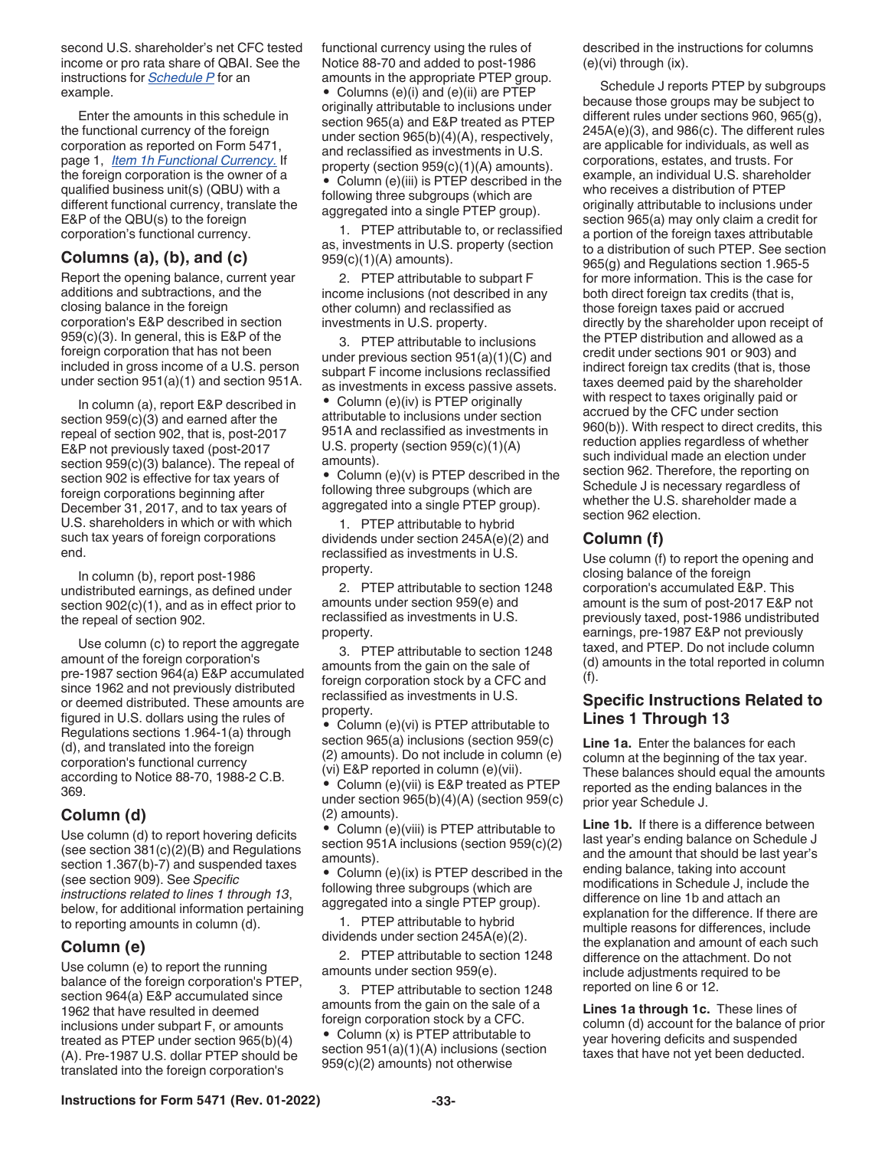<span id="page-32-0"></span>second U.S. shareholder's net CFC tested income or pro rata share of QBAI. See the instructions for *[Schedule P](#page-35-0)* for an example.

Enter the amounts in this schedule in the functional currency of the foreign corporation as reported on Form 5471, page 1, *[Item 1h Functional Currency.](#page-9-0)* If the foreign corporation is the owner of a qualified business unit(s) (QBU) with a different functional currency, translate the E&P of the QBU(s) to the foreign corporation's functional currency.

#### **Columns (a), (b), and (c)**

Report the opening balance, current year additions and subtractions, and the closing balance in the foreign corporation's E&P described in section 959(c)(3). In general, this is E&P of the foreign corporation that has not been included in gross income of a U.S. person under section 951(a)(1) and section 951A.

In column (a), report E&P described in section 959(c)(3) and earned after the repeal of section 902, that is, post-2017 E&P not previously taxed (post-2017 section 959(c)(3) balance). The repeal of section 902 is effective for tax years of foreign corporations beginning after December 31, 2017, and to tax years of U.S. shareholders in which or with which such tax years of foreign corporations end.

In column (b), report post-1986 undistributed earnings, as defined under section  $902(c)(1)$ , and as in effect prior to the repeal of section 902.

Use column (c) to report the aggregate amount of the foreign corporation's pre-1987 section 964(a) E&P accumulated since 1962 and not previously distributed or deemed distributed. These amounts are figured in U.S. dollars using the rules of Regulations sections 1.964-1(a) through (d), and translated into the foreign corporation's functional currency according to Notice 88-70, 1988-2 C.B. 369.

#### **Column (d)**

Use column (d) to report hovering deficits (see section 381(c)(2)(B) and Regulations section 1.367(b)-7) and suspended taxes (see section 909). See *Specific instructions related to lines 1 through 13*, below, for additional information pertaining to reporting amounts in column (d).

#### **Column (e)**

Use column (e) to report the running balance of the foreign corporation's PTEP, section 964(a) E&P accumulated since 1962 that have resulted in deemed inclusions under subpart F, or amounts treated as PTEP under section 965(b)(4) (A). Pre-1987 U.S. dollar PTEP should be translated into the foreign corporation's

functional currency using the rules of Notice 88-70 and added to post-1986 amounts in the appropriate PTEP group.

• Columns (e)(i) and (e)(ii) are PTEP originally attributable to inclusions under section 965(a) and E&P treated as PTEP under section 965(b)(4)(A), respectively, and reclassified as investments in U.S. property (section 959(c)(1)(A) amounts). • Column (e)(iii) is PTEP described in the following three subgroups (which are aggregated into a single PTEP group).

1. PTEP attributable to, or reclassified as, investments in U.S. property (section 959(c)(1)(A) amounts).

2. PTEP attributable to subpart F income inclusions (not described in any other column) and reclassified as investments in U.S. property.

3. PTEP attributable to inclusions under previous section 951(a)(1)(C) and subpart F income inclusions reclassified as investments in excess passive assets.

• Column (e)(iv) is PTEP originally attributable to inclusions under section 951A and reclassified as investments in U.S. property (section 959(c)(1)(A) amounts).

• Column (e)(v) is PTEP described in the following three subgroups (which are aggregated into a single PTEP group).

1. PTEP attributable to hybrid dividends under section 245A(e)(2) and reclassified as investments in U.S. property.

2. PTEP attributable to section 1248 amounts under section 959(e) and reclassified as investments in U.S. property.

3. PTEP attributable to section 1248 amounts from the gain on the sale of foreign corporation stock by a CFC and reclassified as investments in U.S. property.

• Column (e)(vi) is PTEP attributable to section 965(a) inclusions (section 959(c) (2) amounts). Do not include in column (e) (vi) E&P reported in column (e)(vii).

• Column (e)(vii) is E&P treated as PTEP under section 965(b)(4)(A) (section 959(c) (2) amounts).

• Column (e)(viii) is PTEP attributable to section 951A inclusions (section 959(c)(2) amounts).

• Column (e)(ix) is PTEP described in the following three subgroups (which are aggregated into a single PTEP group).

1. PTEP attributable to hybrid dividends under section 245A(e)(2).

2. PTEP attributable to section 1248 amounts under section 959(e).

3. PTEP attributable to section 1248 amounts from the gain on the sale of a foreign corporation stock by a CFC. • Column (x) is PTEP attributable to section 951(a)(1)(A) inclusions (section 959(c)(2) amounts) not otherwise

described in the instructions for columns (e)(vi) through (ix).

Schedule J reports PTEP by subgroups because those groups may be subject to different rules under sections 960, 965(g), 245A(e)(3), and 986(c). The different rules are applicable for individuals, as well as corporations, estates, and trusts. For example, an individual U.S. shareholder who receives a distribution of PTEP originally attributable to inclusions under section 965(a) may only claim a credit for a portion of the foreign taxes attributable to a distribution of such PTEP. See section 965(g) and Regulations section 1.965-5 for more information. This is the case for both direct foreign tax credits (that is, those foreign taxes paid or accrued directly by the shareholder upon receipt of the PTEP distribution and allowed as a credit under sections 901 or 903) and indirect foreign tax credits (that is, those taxes deemed paid by the shareholder with respect to taxes originally paid or accrued by the CFC under section 960(b)). With respect to direct credits, this reduction applies regardless of whether such individual made an election under section 962. Therefore, the reporting on Schedule J is necessary regardless of whether the U.S. shareholder made a section 962 election.

#### **Column (f)**

Use column (f) to report the opening and closing balance of the foreign corporation's accumulated E&P. This amount is the sum of post-2017 E&P not previously taxed, post-1986 undistributed earnings, pre-1987 E&P not previously taxed, and PTEP. Do not include column (d) amounts in the total reported in column (f).

#### **Specific Instructions Related to Lines 1 Through 13**

**Line 1a.** Enter the balances for each column at the beginning of the tax year. These balances should equal the amounts reported as the ending balances in the prior year Schedule J.

**Line 1b.** If there is a difference between last year's ending balance on Schedule J and the amount that should be last year's ending balance, taking into account modifications in Schedule J, include the difference on line 1b and attach an explanation for the difference. If there are multiple reasons for differences, include the explanation and amount of each such difference on the attachment. Do not include adjustments required to be reported on line 6 or 12.

**Lines 1a through 1c.** These lines of column (d) account for the balance of prior year hovering deficits and suspended taxes that have not yet been deducted.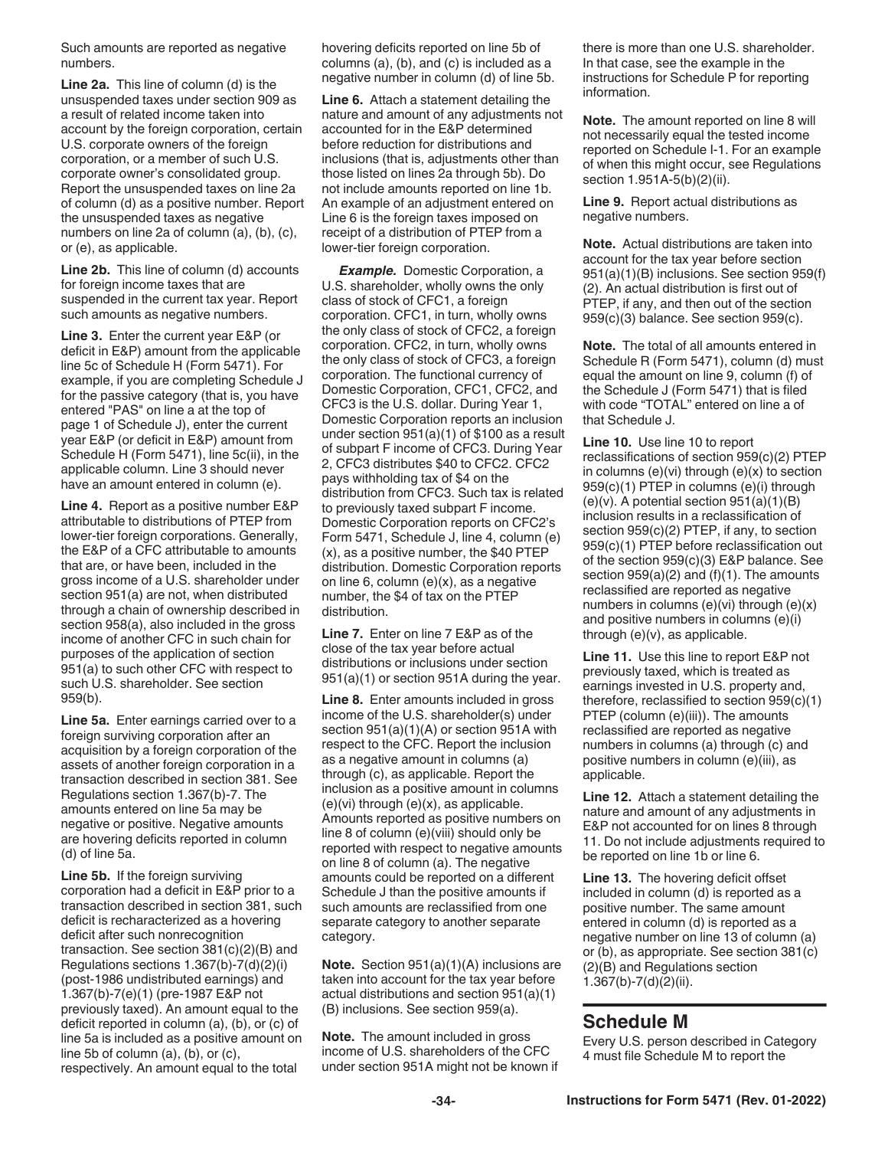<span id="page-33-0"></span>Such amounts are reported as negative numbers.

**Line 2a.** This line of column (d) is the unsuspended taxes under section 909 as a result of related income taken into account by the foreign corporation, certain U.S. corporate owners of the foreign corporation, or a member of such U.S. corporate owner's consolidated group. Report the unsuspended taxes on line 2a of column (d) as a positive number. Report the unsuspended taxes as negative numbers on line 2a of column (a), (b), (c), or (e), as applicable.

**Line 2b.** This line of column (d) accounts for foreign income taxes that are suspended in the current tax year. Report such amounts as negative numbers.

**Line 3.** Enter the current year E&P (or deficit in E&P) amount from the applicable line 5c of Schedule H (Form 5471). For example, if you are completing Schedule J for the passive category (that is, you have entered "PAS" on line a at the top of page 1 of Schedule J), enter the current year E&P (or deficit in E&P) amount from Schedule H (Form 5471), line 5c(ii), in the applicable column. Line 3 should never have an amount entered in column (e).

**Line 4.** Report as a positive number E&P attributable to distributions of PTEP from lower-tier foreign corporations. Generally, the E&P of a CFC attributable to amounts that are, or have been, included in the gross income of a U.S. shareholder under section 951(a) are not, when distributed through a chain of ownership described in section 958(a), also included in the gross income of another CFC in such chain for purposes of the application of section 951(a) to such other CFC with respect to such U.S. shareholder. See section 959(b).

**Line 5a.** Enter earnings carried over to a foreign surviving corporation after an acquisition by a foreign corporation of the assets of another foreign corporation in a transaction described in section 381. See Regulations section 1.367(b)-7. The amounts entered on line 5a may be negative or positive. Negative amounts are hovering deficits reported in column (d) of line 5a.

**Line 5b.** If the foreign surviving corporation had a deficit in E&P prior to a transaction described in section 381, such deficit is recharacterized as a hovering deficit after such nonrecognition transaction. See section 381(c)(2)(B) and Regulations sections 1.367(b)-7(d)(2)(i) (post-1986 undistributed earnings) and 1.367(b)-7(e)(1) (pre-1987 E&P not previously taxed). An amount equal to the deficit reported in column (a), (b), or (c) of line 5a is included as a positive amount on line 5b of column (a), (b), or (c), respectively. An amount equal to the total

hovering deficits reported on line 5b of columns (a), (b), and (c) is included as a negative number in column (d) of line 5b.

**Line 6.** Attach a statement detailing the nature and amount of any adjustments not accounted for in the E&P determined before reduction for distributions and inclusions (that is, adjustments other than those listed on lines 2a through 5b). Do not include amounts reported on line 1b. An example of an adjustment entered on Line 6 is the foreign taxes imposed on receipt of a distribution of PTEP from a lower-tier foreign corporation.

**Example.** Domestic Corporation, a U.S. shareholder, wholly owns the only class of stock of CFC1, a foreign corporation. CFC1, in turn, wholly owns the only class of stock of CFC2, a foreign corporation. CFC2, in turn, wholly owns the only class of stock of CFC3, a foreign corporation. The functional currency of Domestic Corporation, CFC1, CFC2, and CFC3 is the U.S. dollar. During Year 1, Domestic Corporation reports an inclusion under section 951(a)(1) of \$100 as a result of subpart F income of CFC3. During Year 2, CFC3 distributes \$40 to CFC2. CFC2 pays withholding tax of \$4 on the distribution from CFC3. Such tax is related to previously taxed subpart F income. Domestic Corporation reports on CFC2's Form 5471, Schedule J, line 4, column (e) (x), as a positive number, the \$40 PTEP distribution. Domestic Corporation reports on line 6, column (e)(x), as a negative number, the \$4 of tax on the PTEP distribution.

**Line 7.** Enter on line 7 E&P as of the close of the tax year before actual distributions or inclusions under section 951(a)(1) or section 951A during the year.

**Line 8.** Enter amounts included in gross income of the U.S. shareholder(s) under section 951(a)(1)(A) or section 951A with respect to the CFC. Report the inclusion as a negative amount in columns (a) through (c), as applicable. Report the inclusion as a positive amount in columns (e)(vi) through (e)(x), as applicable. Amounts reported as positive numbers on line 8 of column (e)(viii) should only be reported with respect to negative amounts on line 8 of column (a). The negative amounts could be reported on a different Schedule J than the positive amounts if such amounts are reclassified from one separate category to another separate category.

**Note.** Section 951(a)(1)(A) inclusions are taken into account for the tax year before actual distributions and section 951(a)(1) (B) inclusions. See section 959(a).

**Note.** The amount included in gross income of U.S. shareholders of the CFC under section 951A might not be known if there is more than one U.S. shareholder. In that case, see the example in the instructions for Schedule P for reporting information.

**Note.** The amount reported on line 8 will not necessarily equal the tested income reported on Schedule I-1. For an example of when this might occur, see Regulations section 1.951A-5(b)(2)(ii).

**Line 9.** Report actual distributions as negative numbers.

**Note.** Actual distributions are taken into account for the tax year before section 951(a)(1)(B) inclusions. See section 959(f) (2). An actual distribution is first out of PTEP, if any, and then out of the section 959(c)(3) balance. See section 959(c).

**Note.** The total of all amounts entered in Schedule R (Form 5471), column (d) must equal the amount on line 9, column (f) of the Schedule J (Form 5471) that is filed with code "TOTAL" entered on line a of that Schedule J.

**Line 10.** Use line 10 to report reclassifications of section 959(c)(2) PTEP in columns (e)(vi) through (e)(x) to section 959(c)(1) PTEP in columns (e)(i) through  $(e)(v)$ . A potential section  $951(a)(1)(B)$ inclusion results in a reclassification of section 959(c)(2) PTEP, if any, to section 959(c)(1) PTEP before reclassification out of the section 959(c)(3) E&P balance. See section 959(a)(2) and (f)(1). The amounts reclassified are reported as negative numbers in columns (e)(vi) through (e)(x) and positive numbers in columns (e)(i) through (e)(v), as applicable.

**Line 11.** Use this line to report E&P not previously taxed, which is treated as earnings invested in U.S. property and, therefore, reclassified to section 959(c)(1) PTEP (column (e)(iii)). The amounts reclassified are reported as negative numbers in columns (a) through (c) and positive numbers in column (e)(iii), as applicable.

**Line 12.** Attach a statement detailing the nature and amount of any adjustments in E&P not accounted for on lines 8 through 11. Do not include adjustments required to be reported on line 1b or line 6.

**Line 13.** The hovering deficit offset included in column (d) is reported as a positive number. The same amount entered in column (d) is reported as a negative number on line 13 of column (a) or (b), as appropriate. See section 381(c) (2)(B) and Regulations section 1.367(b)-7(d)(2)(ii).

### **Schedule M**

Every U.S. person described in Category 4 must file Schedule M to report the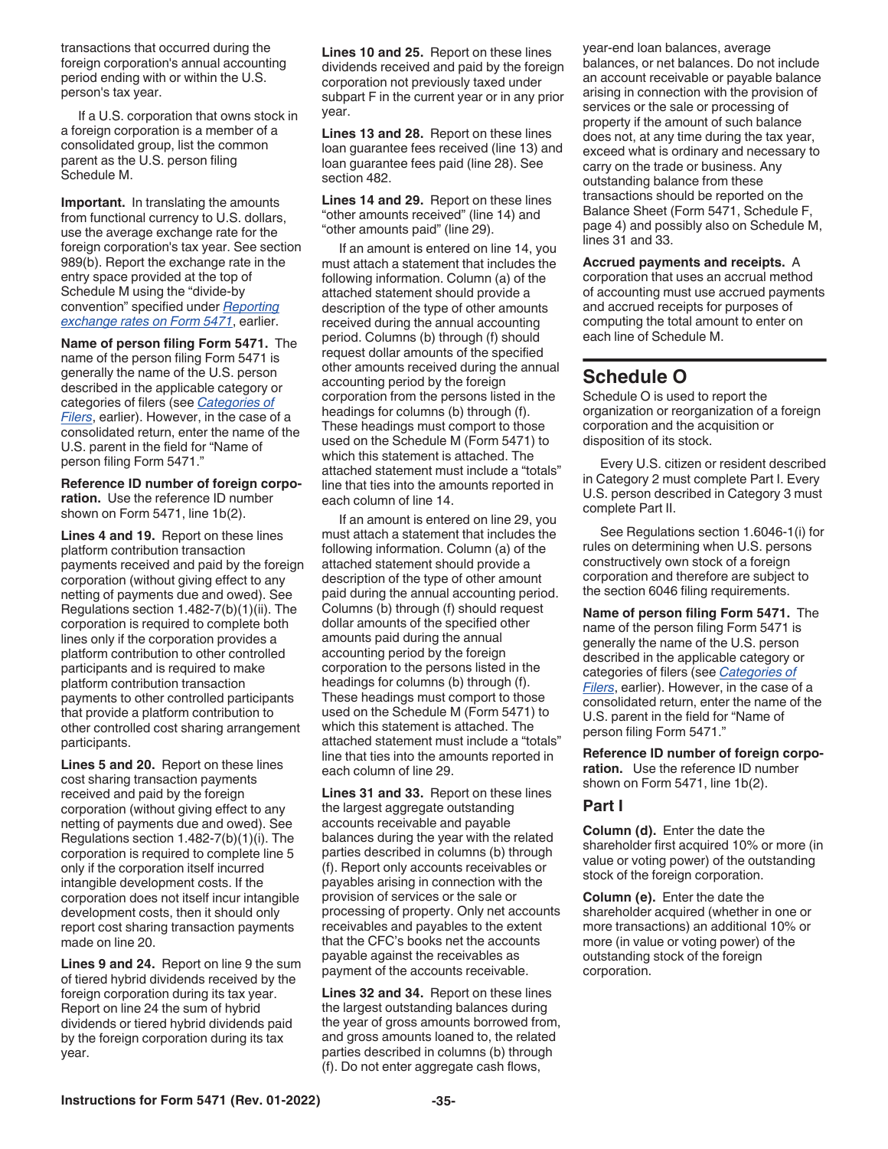<span id="page-34-0"></span>transactions that occurred during the foreign corporation's annual accounting period ending with or within the U.S. person's tax year.

If a U.S. corporation that owns stock in a foreign corporation is a member of a consolidated group, list the common parent as the U.S. person filing Schedule M.

**Important.** In translating the amounts from functional currency to U.S. dollars, use the average exchange rate for the foreign corporation's tax year. See section 989(b). Report the exchange rate in the entry space provided at the top of Schedule M using the "divide-by convention" specified under *[Reporting](#page-6-0)  [exchange rates on Form 5471](#page-6-0)*, earlier.

**Name of person filing Form 5471.** The name of the person filing Form 5471 is generally the name of the U.S. person described in the applicable category or categories of filers (see *[Categories of](#page-2-0) [Filers](#page-2-0)*, earlier). However, in the case of a consolidated return, enter the name of the U.S. parent in the field for "Name of person filing Form 5471."

**Reference ID number of foreign corporation.** Use the reference ID number shown on Form 5471, line 1b(2).

**Lines 4 and 19.** Report on these lines platform contribution transaction payments received and paid by the foreign corporation (without giving effect to any netting of payments due and owed). See Regulations section 1.482-7(b)(1)(ii). The corporation is required to complete both lines only if the corporation provides a platform contribution to other controlled participants and is required to make platform contribution transaction payments to other controlled participants that provide a platform contribution to other controlled cost sharing arrangement participants.

**Lines 5 and 20.** Report on these lines cost sharing transaction payments received and paid by the foreign corporation (without giving effect to any netting of payments due and owed). See Regulations section 1.482-7(b)(1)(i). The corporation is required to complete line 5 only if the corporation itself incurred intangible development costs. If the corporation does not itself incur intangible development costs, then it should only report cost sharing transaction payments made on line 20.

**Lines 9 and 24.** Report on line 9 the sum of tiered hybrid dividends received by the foreign corporation during its tax year. Report on line 24 the sum of hybrid dividends or tiered hybrid dividends paid by the foreign corporation during its tax year.

**Lines 10 and 25.** Report on these lines dividends received and paid by the foreign corporation not previously taxed under subpart F in the current year or in any prior year.

**Lines 13 and 28.** Report on these lines loan guarantee fees received (line 13) and loan guarantee fees paid (line 28). See section 482.

**Lines 14 and 29.** Report on these lines "other amounts received" (line 14) and "other amounts paid" (line 29).

If an amount is entered on line 14, you must attach a statement that includes the following information. Column (a) of the attached statement should provide a description of the type of other amounts received during the annual accounting period. Columns (b) through (f) should request dollar amounts of the specified other amounts received during the annual accounting period by the foreign corporation from the persons listed in the headings for columns (b) through (f). These headings must comport to those used on the Schedule M (Form 5471) to which this statement is attached. The attached statement must include a "totals" line that ties into the amounts reported in each column of line 14.

If an amount is entered on line 29, you must attach a statement that includes the following information. Column (a) of the attached statement should provide a description of the type of other amount paid during the annual accounting period. Columns (b) through (f) should request dollar amounts of the specified other amounts paid during the annual accounting period by the foreign corporation to the persons listed in the headings for columns (b) through (f). These headings must comport to those used on the Schedule M (Form 5471) to which this statement is attached. The attached statement must include a "totals" line that ties into the amounts reported in each column of line 29.

**Lines 31 and 33.** Report on these lines the largest aggregate outstanding accounts receivable and payable balances during the year with the related parties described in columns (b) through (f). Report only accounts receivables or payables arising in connection with the provision of services or the sale or processing of property. Only net accounts receivables and payables to the extent that the CFC's books net the accounts payable against the receivables as payment of the accounts receivable.

**Lines 32 and 34.** Report on these lines the largest outstanding balances during the year of gross amounts borrowed from, and gross amounts loaned to, the related parties described in columns (b) through (f). Do not enter aggregate cash flows,

year-end loan balances, average balances, or net balances. Do not include an account receivable or payable balance arising in connection with the provision of services or the sale or processing of property if the amount of such balance does not, at any time during the tax year, exceed what is ordinary and necessary to carry on the trade or business. Any outstanding balance from these transactions should be reported on the Balance Sheet (Form 5471, Schedule F, page 4) and possibly also on Schedule M, lines 31 and 33.

**Accrued payments and receipts.** A corporation that uses an accrual method of accounting must use accrued payments and accrued receipts for purposes of computing the total amount to enter on each line of Schedule M.

### **Schedule O**

Schedule O is used to report the organization or reorganization of a foreign corporation and the acquisition or disposition of its stock.

Every U.S. citizen or resident described in Category 2 must complete Part I. Every U.S. person described in Category 3 must complete Part II.

See Regulations section 1.6046-1(i) for rules on determining when U.S. persons constructively own stock of a foreign corporation and therefore are subject to the section 6046 filing requirements.

**Name of person filing Form 5471.** The name of the person filing Form 5471 is generally the name of the U.S. person described in the applicable category or categories of filers (see *[Categories of](#page-2-0) [Filers](#page-2-0)*, earlier). However, in the case of a consolidated return, enter the name of the U.S. parent in the field for "Name of person filing Form 5471."

**Reference ID number of foreign corporation.** Use the reference ID number shown on Form 5471, line 1b(2).

#### **Part I**

**Column (d).** Enter the date the shareholder first acquired 10% or more (in value or voting power) of the outstanding stock of the foreign corporation.

**Column (e).** Enter the date the shareholder acquired (whether in one or more transactions) an additional 10% or more (in value or voting power) of the outstanding stock of the foreign corporation.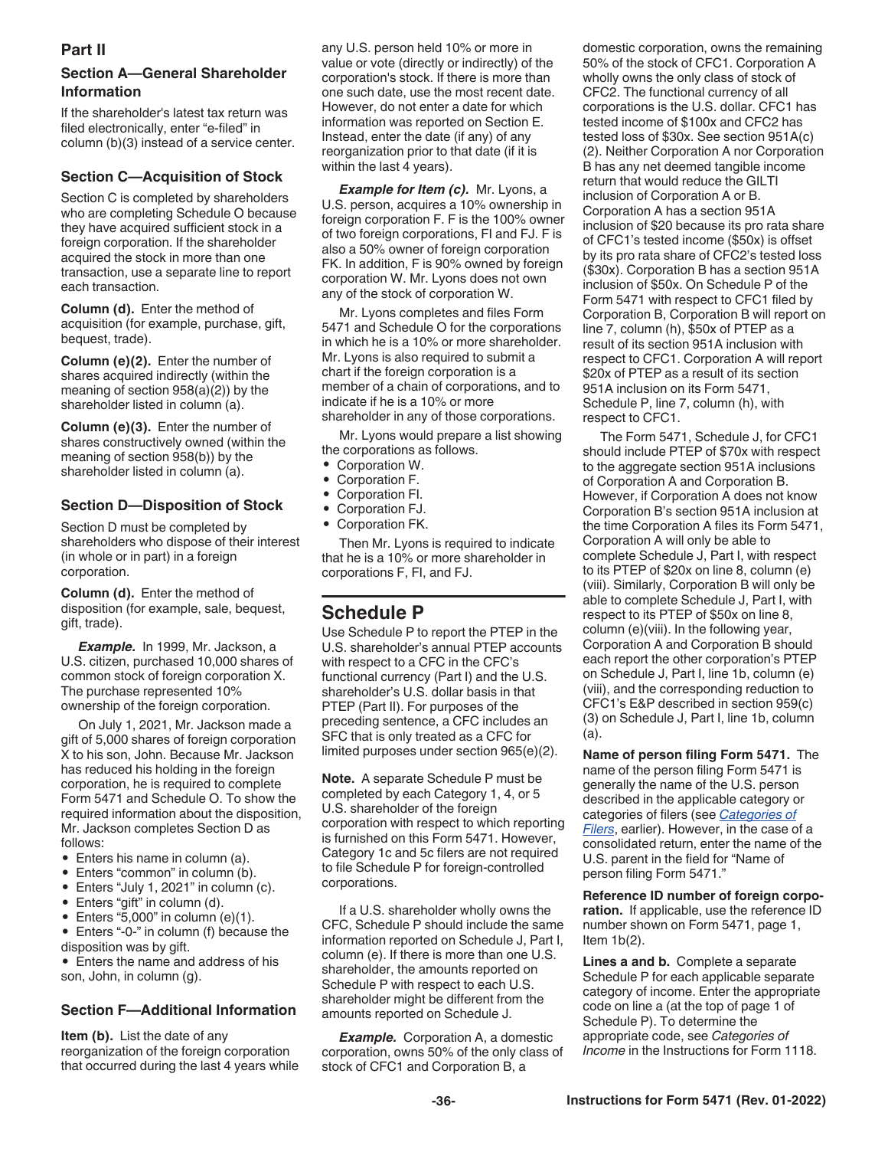#### <span id="page-35-0"></span>**Part II**

#### **Section A—General Shareholder Information**

If the shareholder's latest tax return was filed electronically, enter "e-filed" in column (b)(3) instead of a service center.

#### **Section C—Acquisition of Stock**

Section C is completed by shareholders who are completing Schedule O because they have acquired sufficient stock in a foreign corporation. If the shareholder acquired the stock in more than one transaction, use a separate line to report each transaction.

**Column (d).** Enter the method of acquisition (for example, purchase, gift, bequest, trade).

**Column (e)(2).** Enter the number of shares acquired indirectly (within the meaning of section 958(a)(2)) by the shareholder listed in column (a).

**Column (e)(3).** Enter the number of shares constructively owned (within the meaning of section 958(b)) by the shareholder listed in column (a).

#### **Section D—Disposition of Stock**

Section D must be completed by shareholders who dispose of their interest (in whole or in part) in a foreign corporation.

**Column (d).** Enter the method of disposition (for example, sale, bequest, gift, trade).

*Example.* In 1999, Mr. Jackson, a U.S. citizen, purchased 10,000 shares of common stock of foreign corporation X. The purchase represented 10% ownership of the foreign corporation.

On July 1, 2021, Mr. Jackson made a gift of 5,000 shares of foreign corporation X to his son, John. Because Mr. Jackson has reduced his holding in the foreign corporation, he is required to complete Form 5471 and Schedule O. To show the required information about the disposition, Mr. Jackson completes Section D as follows:

- Enters his name in column (a).
- Enters "common" in column (b).
- Enters "July 1, 2021" in column (c).
- Enters "gift" in column (d).
- Enters " $5,000$ " in column (e)(1).
- Enters "-0-" in column (f) because the disposition was by gift.

• Enters the name and address of his son, John, in column (g).

#### **Section F—Additional Information**

**Item (b).** List the date of any reorganization of the foreign corporation that occurred during the last 4 years while any U.S. person held 10% or more in value or vote (directly or indirectly) of the corporation's stock. If there is more than one such date, use the most recent date. However, do not enter a date for which information was reported on Section E. Instead, enter the date (if any) of any reorganization prior to that date (if it is within the last 4 years).

*Example for Item (c).* Mr. Lyons, a U.S. person, acquires a 10% ownership in foreign corporation F. F is the 100% owner of two foreign corporations, FI and FJ. F is also a 50% owner of foreign corporation FK. In addition, F is 90% owned by foreign corporation W. Mr. Lyons does not own any of the stock of corporation W.

Mr. Lyons completes and files Form 5471 and Schedule O for the corporations in which he is a 10% or more shareholder. Mr. Lyons is also required to submit a chart if the foreign corporation is a member of a chain of corporations, and to indicate if he is a 10% or more shareholder in any of those corporations.

Mr. Lyons would prepare a list showing the corporations as follows.

- Corporation W.
- Corporation F.
- Corporation FI.
- Corporation FJ.
- Corporation FK.

Then Mr. Lyons is required to indicate that he is a 10% or more shareholder in corporations F, FI, and FJ.

### **Schedule P**

Use Schedule P to report the PTEP in the U.S. shareholder's annual PTEP accounts with respect to a CFC in the CFC's functional currency (Part I) and the U.S. shareholder's U.S. dollar basis in that PTEP (Part II). For purposes of the preceding sentence, a CFC includes an SFC that is only treated as a CFC for limited purposes under section 965(e)(2).

**Note.** A separate Schedule P must be completed by each Category 1, 4, or 5 U.S. shareholder of the foreign corporation with respect to which reporting is furnished on this Form 5471. However, Category 1c and 5c filers are not required to file Schedule P for foreign-controlled corporations.

If a U.S. shareholder wholly owns the CFC, Schedule P should include the same information reported on Schedule J, Part I, column (e). If there is more than one U.S. shareholder, the amounts reported on Schedule P with respect to each U.S. shareholder might be different from the amounts reported on Schedule J.

**Example.** Corporation A, a domestic corporation, owns 50% of the only class of stock of CFC1 and Corporation B, a

domestic corporation, owns the remaining 50% of the stock of CFC1. Corporation A wholly owns the only class of stock of CFC2. The functional currency of all corporations is the U.S. dollar. CFC1 has tested income of \$100x and CFC2 has tested loss of \$30x. See section 951A(c) (2). Neither Corporation A nor Corporation B has any net deemed tangible income return that would reduce the GILTI inclusion of Corporation A or B. Corporation A has a section 951A inclusion of \$20 because its pro rata share of CFC1's tested income (\$50x) is offset by its pro rata share of CFC2's tested loss (\$30x). Corporation B has a section 951A inclusion of \$50x. On Schedule P of the Form 5471 with respect to CFC1 filed by Corporation B, Corporation B will report on line 7, column (h), \$50x of PTEP as a result of its section 951A inclusion with respect to CFC1. Corporation A will report \$20x of PTEP as a result of its section 951A inclusion on its Form 5471, Schedule P, line 7, column (h), with respect to CFC1.

The Form 5471, Schedule J, for CFC1 should include PTEP of \$70x with respect to the aggregate section 951A inclusions of Corporation A and Corporation B. However, if Corporation A does not know Corporation B's section 951A inclusion at the time Corporation A files its Form 5471, Corporation A will only be able to complete Schedule J, Part I, with respect to its PTEP of \$20x on line 8, column (e) (viii). Similarly, Corporation B will only be able to complete Schedule J, Part I, with respect to its PTEP of \$50x on line 8, column (e)(viii). In the following year, Corporation A and Corporation B should each report the other corporation's PTEP on Schedule J, Part I, line 1b, column (e) (viii), and the corresponding reduction to CFC1's E&P described in section 959(c) (3) on Schedule J, Part I, line 1b, column (a).

**Name of person filing Form 5471.** The name of the person filing Form 5471 is generally the name of the U.S. person described in the applicable category or categories of filers (see *[Categories of](#page-2-0) [Filers](#page-2-0)*, earlier). However, in the case of a consolidated return, enter the name of the U.S. parent in the field for "Name of person filing Form 5471."

**Reference ID number of foreign corporation.** If applicable, use the reference ID number shown on Form 5471, page 1, Item  $1b(2)$ .

**Lines a and b.** Complete a separate Schedule P for each applicable separate category of income. Enter the appropriate code on line a (at the top of page 1 of Schedule P). To determine the appropriate code, see *Categories of Income* in the Instructions for Form 1118.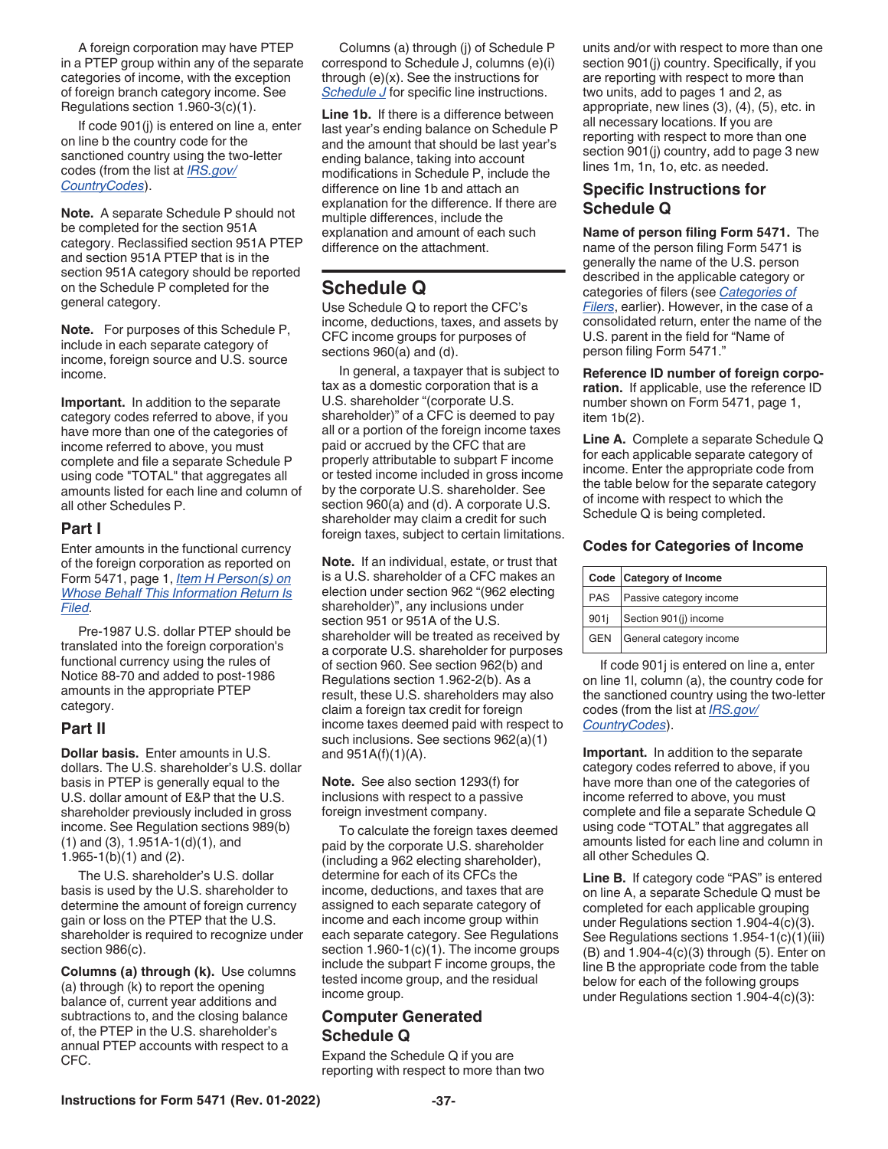<span id="page-36-0"></span>A foreign corporation may have PTEP in a PTEP group within any of the separate categories of income, with the exception of foreign branch category income. See Regulations section 1.960-3(c)(1).

If code 901(j) is entered on line a, enter on line b the country code for the sanctioned country using the two-letter codes (from the list at *[IRS.gov/](https://www.irs.gov/e-file-providers/foreign-country-code-listing-for-modernized-e-file) [CountryCodes](https://www.irs.gov/e-file-providers/foreign-country-code-listing-for-modernized-e-file)*).

**Note.** A separate Schedule P should not be completed for the section 951A category. Reclassified section 951A PTEP and section 951A PTEP that is in the section 951A category should be reported on the Schedule P completed for the general category.

**Note.** For purposes of this Schedule P, include in each separate category of income, foreign source and U.S. source income.

**Important.** In addition to the separate category codes referred to above, if you have more than one of the categories of income referred to above, you must complete and file a separate Schedule P using code "TOTAL" that aggregates all amounts listed for each line and column of all other Schedules P.

#### **Part I**

Enter amounts in the functional currency of the foreign corporation as reported on Form 5471, page 1, *[Item H Person\(s\) on](#page-8-0)  [Whose Behalf This Information Return Is](#page-8-0)  [Filed](#page-8-0).*

Pre-1987 U.S. dollar PTEP should be translated into the foreign corporation's functional currency using the rules of Notice 88-70 and added to post-1986 amounts in the appropriate PTEP category.

#### **Part II**

**Dollar basis.** Enter amounts in U.S. dollars. The U.S. shareholder's U.S. dollar basis in PTEP is generally equal to the U.S. dollar amount of E&P that the U.S. shareholder previously included in gross income. See Regulation sections 989(b) (1) and (3), 1.951A-1(d)(1), and 1.965-1(b)(1) and (2).

The U.S. shareholder's U.S. dollar basis is used by the U.S. shareholder to determine the amount of foreign currency gain or loss on the PTEP that the U.S. shareholder is required to recognize under section 986(c).

**Columns (a) through (k).** Use columns (a) through (k) to report the opening balance of, current year additions and subtractions to, and the closing balance of, the PTEP in the U.S. shareholder's annual PTEP accounts with respect to a CFC.

Columns (a) through (j) of Schedule P correspond to Schedule J, columns (e)(i) through (e)(x). See the instructions for *[Schedule J](#page-31-0)* for specific line instructions.

**Line 1b.** If there is a difference between last year's ending balance on Schedule P and the amount that should be last year's ending balance, taking into account modifications in Schedule P, include the difference on line 1b and attach an explanation for the difference. If there are multiple differences, include the explanation and amount of each such difference on the attachment.

### **Schedule Q**

Use Schedule Q to report the CFC's income, deductions, taxes, and assets by CFC income groups for purposes of sections 960(a) and (d).

In general, a taxpayer that is subject to tax as a domestic corporation that is a U.S. shareholder "(corporate U.S. shareholder)" of a CFC is deemed to pay all or a portion of the foreign income taxes paid or accrued by the CFC that are properly attributable to subpart F income or tested income included in gross income by the corporate U.S. shareholder. See section 960(a) and (d). A corporate U.S. shareholder may claim a credit for such foreign taxes, subject to certain limitations.

**Note.** If an individual, estate, or trust that is a U.S. shareholder of a CFC makes an election under section 962 "(962 electing shareholder)", any inclusions under section 951 or 951A of the U.S. shareholder will be treated as received by a corporate U.S. shareholder for purposes of section 960. See section 962(b) and Regulations section 1.962-2(b). As a result, these U.S. shareholders may also claim a foreign tax credit for foreign income taxes deemed paid with respect to such inclusions. See sections 962(a)(1) and 951A(f)(1)(A).

**Note.** See also section 1293(f) for inclusions with respect to a passive foreign investment company.

To calculate the foreign taxes deemed paid by the corporate U.S. shareholder (including a 962 electing shareholder), determine for each of its CFCs the income, deductions, and taxes that are assigned to each separate category of income and each income group within each separate category. See Regulations section 1.960-1(c)(1). The income groups include the subpart F income groups, the tested income group, and the residual income group.

#### **Computer Generated Schedule Q**

Expand the Schedule Q if you are reporting with respect to more than two units and/or with respect to more than one section 901(j) country. Specifically, if you are reporting with respect to more than two units, add to pages 1 and 2, as appropriate, new lines (3), (4), (5), etc. in all necessary locations. If you are reporting with respect to more than one section 901(j) country, add to page 3 new lines 1m, 1n, 1o, etc. as needed.

#### **Specific Instructions for Schedule Q**

**Name of person filing Form 5471.** The name of the person filing Form 5471 is generally the name of the U.S. person described in the applicable category or categories of filers (see *[Categories of](#page-2-0) [Filers](#page-2-0)*, earlier). However, in the case of a consolidated return, enter the name of the U.S. parent in the field for "Name of person filing Form 5471."

**Reference ID number of foreign corporation.** If applicable, use the reference ID number shown on Form 5471, page 1, item 1b(2).

**Line A.** Complete a separate Schedule Q for each applicable separate category of income. Enter the appropriate code from the table below for the separate category of income with respect to which the Schedule Q is being completed.

#### **Codes for Categories of Income**

|            | Code Category of Income |  |
|------------|-------------------------|--|
| PAS        | Passive category income |  |
| 901i       | Section 901(j) income   |  |
| <b>GEN</b> | General category income |  |

If code 901j is entered on line a, enter on line 1l, column (a), the country code for the sanctioned country using the two-letter codes (from the list at *[IRS.gov/](https://www.irs.gov/countrycodes) [CountryCodes](https://www.irs.gov/countrycodes)*).

**Important.** In addition to the separate category codes referred to above, if you have more than one of the categories of income referred to above, you must complete and file a separate Schedule Q using code "TOTAL" that aggregates all amounts listed for each line and column in all other Schedules Q.

**Line B.** If category code "PAS" is entered on line A, a separate Schedule Q must be completed for each applicable grouping under Regulations section 1.904-4(c)(3). See Regulations sections 1.954-1(c)(1)(iii) (B) and 1.904-4(c)(3) through (5). Enter on line B the appropriate code from the table below for each of the following groups under Regulations section 1.904-4(c)(3):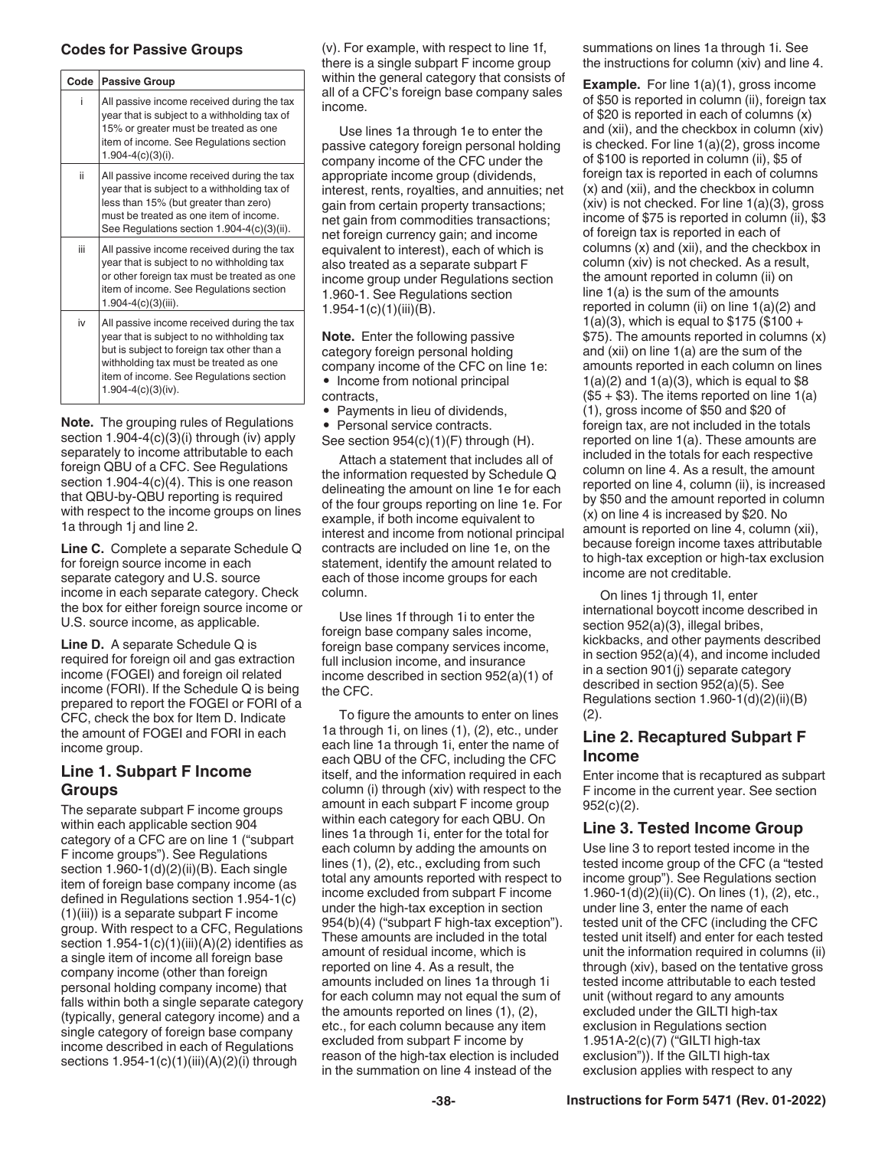#### **Codes for Passive Groups**

| Code | <b>Passive Group</b>                                                                                                                                                                                                                                   |
|------|--------------------------------------------------------------------------------------------------------------------------------------------------------------------------------------------------------------------------------------------------------|
| i    | All passive income received during the tax<br>year that is subject to a withholding tax of<br>15% or greater must be treated as one<br>item of income. See Regulations section<br>$1.904 - 4(c)(3)(i)$ .                                               |
| ii.  | All passive income received during the tax<br>year that is subject to a withholding tax of<br>less than 15% (but greater than zero)<br>must be treated as one item of income.<br>See Regulations section 1.904-4(c)(3)(ii).                            |
| iii. | All passive income received during the tax<br>year that is subject to no withholding tax<br>or other foreign tax must be treated as one<br>item of income. See Regulations section<br>$1.904 - 4(c)(3)(iii)$ .                                         |
| iv   | All passive income received during the tax<br>year that is subject to no withholding tax<br>but is subject to foreign tax other than a<br>withholding tax must be treated as one<br>item of income. See Regulations section<br>$1.904 - 4(c)(3)(iv)$ . |

**Note.** The grouping rules of Regulations section 1.904-4(c)(3)(i) through (iv) apply separately to income attributable to each foreign QBU of a CFC. See Regulations section 1.904-4(c)(4). This is one reason that QBU-by-QBU reporting is required with respect to the income groups on lines 1a through 1j and line 2.

**Line C.** Complete a separate Schedule Q for foreign source income in each separate category and U.S. source income in each separate category. Check the box for either foreign source income or U.S. source income, as applicable.

**Line D.** A separate Schedule Q is required for foreign oil and gas extraction income (FOGEI) and foreign oil related income (FORI). If the Schedule Q is being prepared to report the FOGEI or FORI of a CFC, check the box for Item D. Indicate the amount of FOGEI and FORI in each income group.

#### **Line 1. Subpart F Income Groups**

The separate subpart F income groups within each applicable section 904 category of a CFC are on line 1 ("subpart F income groups"). See Regulations section 1.960-1(d)(2)(ii)(B). Each single item of foreign base company income (as defined in Regulations section 1.954-1(c) (1)(iii)) is a separate subpart F income group. With respect to a CFC, Regulations section  $1.954-1(c)(1)(iii)(A)(2)$  identifies as a single item of income all foreign base company income (other than foreign personal holding company income) that falls within both a single separate category (typically, general category income) and a single category of foreign base company income described in each of Regulations sections  $1.954-1(c)(1)(iii)(A)(2)(i)$  through

(v). For example, with respect to line 1f, there is a single subpart F income group within the general category that consists of all of a CFC's foreign base company sales income.

Use lines 1a through 1e to enter the passive category foreign personal holding company income of the CFC under the appropriate income group (dividends, interest, rents, royalties, and annuities; net gain from certain property transactions; net gain from commodities transactions; net foreign currency gain; and income equivalent to interest), each of which is also treated as a separate subpart F income group under Regulations section 1.960-1. See Regulations section 1.954-1(c)(1)(iii)(B).

**Note.** Enter the following passive category foreign personal holding company income of the CFC on line 1e: • Income from notional principal contracts,

- Payments in lieu of dividends,
- Personal service contracts.

See section 954(c)(1)(F) through (H).

Attach a statement that includes all of the information requested by Schedule Q delineating the amount on line 1e for each of the four groups reporting on line 1e. For example, if both income equivalent to interest and income from notional principal contracts are included on line 1e, on the statement, identify the amount related to each of those income groups for each column.

Use lines 1f through 1i to enter the foreign base company sales income, foreign base company services income, full inclusion income, and insurance income described in section 952(a)(1) of the CFC.

To figure the amounts to enter on lines 1a through 1i, on lines (1), (2), etc., under each line 1a through 1i, enter the name of each QBU of the CFC, including the CFC itself, and the information required in each column (i) through (xiv) with respect to the amount in each subpart F income group within each category for each QBU. On lines 1a through 1i, enter for the total for each column by adding the amounts on lines (1), (2), etc., excluding from such total any amounts reported with respect to income excluded from subpart F income under the high-tax exception in section 954(b)(4) ("subpart F high-tax exception"). These amounts are included in the total amount of residual income, which is reported on line 4. As a result, the amounts included on lines 1a through 1i for each column may not equal the sum of the amounts reported on lines (1), (2), etc., for each column because any item excluded from subpart F income by reason of the high-tax election is included in the summation on line 4 instead of the

summations on lines 1a through 1i. See the instructions for column (xiv) and line 4.

**Example.** For line 1(a)(1), gross income of \$50 is reported in column (ii), foreign tax of \$20 is reported in each of columns (x) and (xii), and the checkbox in column (xiv) is checked. For line 1(a)(2), gross income of \$100 is reported in column (ii), \$5 of foreign tax is reported in each of columns (x) and (xii), and the checkbox in column (xiv) is not checked. For line 1(a)(3), gross income of \$75 is reported in column (ii), \$3 of foreign tax is reported in each of columns (x) and (xii), and the checkbox in column (xiv) is not checked. As a result, the amount reported in column (ii) on line 1(a) is the sum of the amounts reported in column (ii) on line  $1(a)(2)$  and  $1(a)(3)$ , which is equal to \$175 (\$100 + \$75). The amounts reported in columns (x) and (xii) on line 1(a) are the sum of the amounts reported in each column on lines  $1(a)(2)$  and  $1(a)(3)$ , which is equal to \$8  $($5 + $3)$ . The items reported on line  $1(a)$ (1), gross income of \$50 and \$20 of foreign tax, are not included in the totals reported on line 1(a). These amounts are included in the totals for each respective column on line 4. As a result, the amount reported on line 4, column (ii), is increased by \$50 and the amount reported in column (x) on line 4 is increased by \$20. No amount is reported on line 4, column (xii), because foreign income taxes attributable to high-tax exception or high-tax exclusion income are not creditable.

On lines 1j through 1l, enter international boycott income described in section 952(a)(3), illegal bribes, kickbacks, and other payments described in section 952(a)(4), and income included in a section 901(j) separate category described in section 952(a)(5). See Regulations section 1.960-1(d)(2)(ii)(B) (2).

#### **Line 2. Recaptured Subpart F Income**

Enter income that is recaptured as subpart F income in the current year. See section 952(c)(2).

#### **Line 3. Tested Income Group**

Use line 3 to report tested income in the tested income group of the CFC (a "tested income group"). See Regulations section 1.960-1(d)(2)(ii)(C). On lines (1), (2), etc., under line 3, enter the name of each tested unit of the CFC (including the CFC tested unit itself) and enter for each tested unit the information required in columns (ii) through (xiv), based on the tentative gross tested income attributable to each tested unit (without regard to any amounts excluded under the GILTI high-tax exclusion in Regulations section 1.951A-2(c)(7) ("GILTI high-tax exclusion")). If the GILTI high-tax exclusion applies with respect to any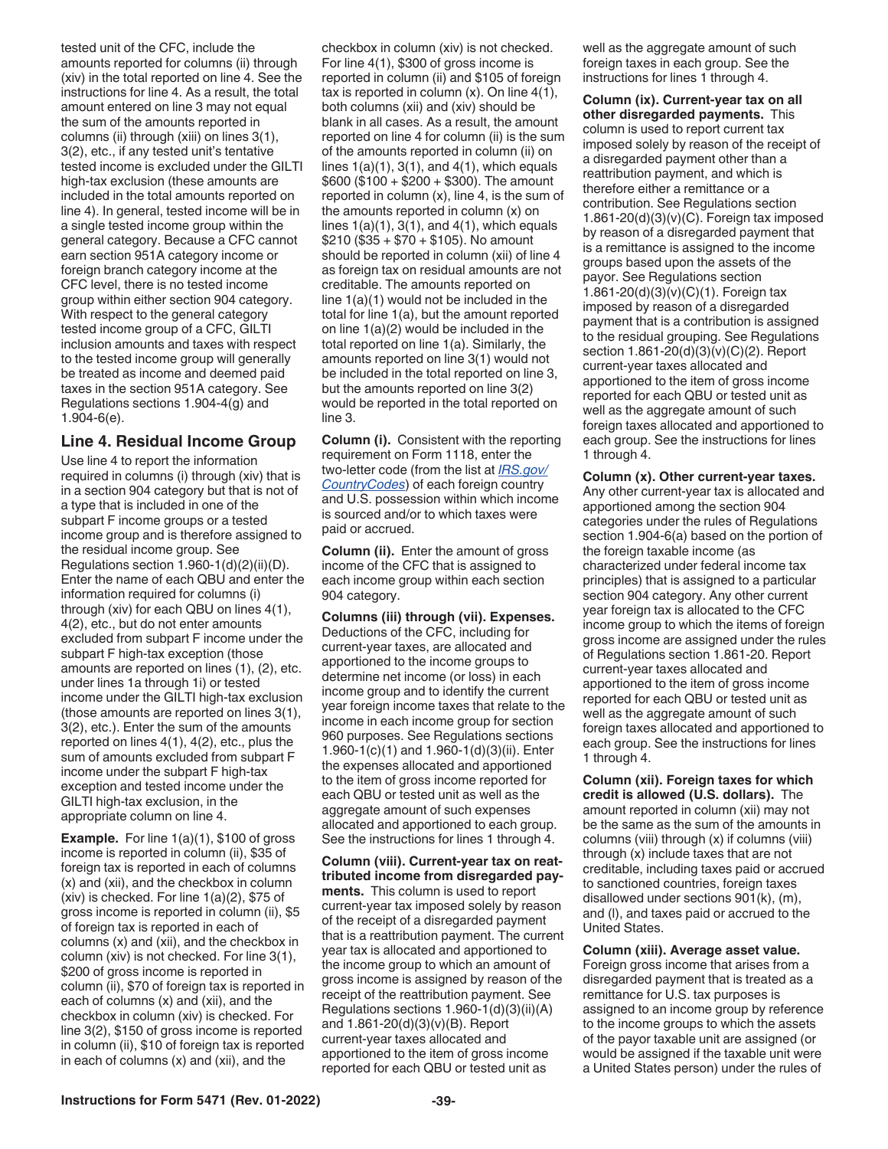tested unit of the CFC, include the amounts reported for columns (ii) through (xiv) in the total reported on line 4. See the instructions for line 4. As a result, the total amount entered on line 3 may not equal the sum of the amounts reported in columns (ii) through (xiii) on lines 3(1), 3(2), etc., if any tested unit's tentative tested income is excluded under the GILTI high-tax exclusion (these amounts are included in the total amounts reported on line 4). In general, tested income will be in a single tested income group within the general category. Because a CFC cannot earn section 951A category income or foreign branch category income at the CFC level, there is no tested income group within either section 904 category. With respect to the general category tested income group of a CFC, GILTI inclusion amounts and taxes with respect to the tested income group will generally be treated as income and deemed paid taxes in the section 951A category. See Regulations sections 1.904-4(g) and 1.904-6(e).

#### **Line 4. Residual Income Group**

Use line 4 to report the information required in columns (i) through (xiv) that is in a section 904 category but that is not of a type that is included in one of the subpart F income groups or a tested income group and is therefore assigned to the residual income group. See Regulations section 1.960-1(d)(2)(ii)(D). Enter the name of each QBU and enter the information required for columns (i) through (xiv) for each QBU on lines 4(1), 4(2), etc., but do not enter amounts excluded from subpart F income under the subpart F high-tax exception (those amounts are reported on lines (1), (2), etc. under lines 1a through 1i) or tested income under the GILTI high-tax exclusion (those amounts are reported on lines 3(1), 3(2), etc.). Enter the sum of the amounts reported on lines 4(1), 4(2), etc., plus the sum of amounts excluded from subpart F income under the subpart F high-tax exception and tested income under the GILTI high-tax exclusion, in the appropriate column on line 4.

**Example.** For line 1(a)(1), \$100 of gross income is reported in column (ii), \$35 of foreign tax is reported in each of columns (x) and (xii), and the checkbox in column (xiv) is checked. For line  $1(a)(2)$ , \$75 of gross income is reported in column (ii), \$5 of foreign tax is reported in each of columns (x) and (xii), and the checkbox in column (xiv) is not checked. For line 3(1), \$200 of gross income is reported in column (ii), \$70 of foreign tax is reported in each of columns (x) and (xii), and the checkbox in column (xiv) is checked. For line 3(2), \$150 of gross income is reported in column (ii), \$10 of foreign tax is reported in each of columns (x) and (xii), and the

checkbox in column (xiv) is not checked. For line 4(1), \$300 of gross income is reported in column (ii) and \$105 of foreign tax is reported in column (x). On line 4(1), both columns (xii) and (xiv) should be blank in all cases. As a result, the amount reported on line 4 for column (ii) is the sum of the amounts reported in column (ii) on lines  $1(a)(1)$ ,  $3(1)$ , and  $4(1)$ , which equals  $$600 ($100 + $200 + $300)$ . The amount reported in column (x), line 4, is the sum of the amounts reported in column (x) on lines  $1(a)(1)$ ,  $3(1)$ , and  $4(1)$ , which equals  $$210 ($35 + $70 + $105)$ . No amount should be reported in column (xii) of line 4 as foreign tax on residual amounts are not creditable. The amounts reported on line 1(a)(1) would not be included in the total for line 1(a), but the amount reported on line 1(a)(2) would be included in the total reported on line 1(a). Similarly, the amounts reported on line 3(1) would not be included in the total reported on line 3, but the amounts reported on line 3(2) would be reported in the total reported on line 3.

**Column (i).** Consistent with the reporting requirement on Form 1118, enter the two-letter code (from the list at *[IRS.gov/](https://www.irs.gov/countrycodes) [CountryCodes](https://www.irs.gov/countrycodes)*) of each foreign country and U.S. possession within which income is sourced and/or to which taxes were paid or accrued.

**Column (ii).** Enter the amount of gross income of the CFC that is assigned to each income group within each section 904 category.

**Columns (iii) through (vii). Expenses.**  Deductions of the CFC, including for current-year taxes, are allocated and apportioned to the income groups to determine net income (or loss) in each income group and to identify the current year foreign income taxes that relate to the income in each income group for section 960 purposes. See Regulations sections 1.960-1(c)(1) and 1.960-1(d)(3)(ii). Enter the expenses allocated and apportioned to the item of gross income reported for each QBU or tested unit as well as the aggregate amount of such expenses allocated and apportioned to each group. See the instructions for lines 1 through 4.

**Column (viii). Current-year tax on reattributed income from disregarded payments.** This column is used to report current-year tax imposed solely by reason of the receipt of a disregarded payment that is a reattribution payment. The current year tax is allocated and apportioned to the income group to which an amount of gross income is assigned by reason of the receipt of the reattribution payment. See Regulations sections 1.960-1(d)(3)(ii)(A) and 1.861-20(d)(3)(v)(B). Report current-year taxes allocated and apportioned to the item of gross income reported for each QBU or tested unit as

well as the aggregate amount of such foreign taxes in each group. See the instructions for lines 1 through 4.

**Column (ix). Current-year tax on all other disregarded payments.** This column is used to report current tax imposed solely by reason of the receipt of a disregarded payment other than a reattribution payment, and which is therefore either a remittance or a contribution. See Regulations section  $1.861-20(d)(3)(v)(C)$ . Foreign tax imposed by reason of a disregarded payment that is a remittance is assigned to the income groups based upon the assets of the payor. See Regulations section 1.861-20(d)(3)(v)(C)(1). Foreign tax imposed by reason of a disregarded payment that is a contribution is assigned to the residual grouping. See Regulations section 1.861-20(d)(3)(v)(C)(2). Report current-year taxes allocated and apportioned to the item of gross income reported for each QBU or tested unit as well as the aggregate amount of such foreign taxes allocated and apportioned to each group. See the instructions for lines 1 through 4.

**Column (x). Other current-year taxes.**  Any other current-year tax is allocated and apportioned among the section 904 categories under the rules of Regulations section 1.904-6(a) based on the portion of the foreign taxable income (as characterized under federal income tax principles) that is assigned to a particular section 904 category. Any other current year foreign tax is allocated to the CFC income group to which the items of foreign gross income are assigned under the rules of Regulations section 1.861-20. Report current-year taxes allocated and apportioned to the item of gross income reported for each QBU or tested unit as well as the aggregate amount of such foreign taxes allocated and apportioned to each group. See the instructions for lines 1 through 4.

**Column (xii). Foreign taxes for which credit is allowed (U.S. dollars).** The amount reported in column (xii) may not be the same as the sum of the amounts in columns (viii) through (x) if columns (viii) through (x) include taxes that are not creditable, including taxes paid or accrued to sanctioned countries, foreign taxes disallowed under sections 901(k), (m), and (l), and taxes paid or accrued to the United States.

**Column (xiii). Average asset value.**  Foreign gross income that arises from a disregarded payment that is treated as a remittance for U.S. tax purposes is assigned to an income group by reference to the income groups to which the assets of the payor taxable unit are assigned (or would be assigned if the taxable unit were a United States person) under the rules of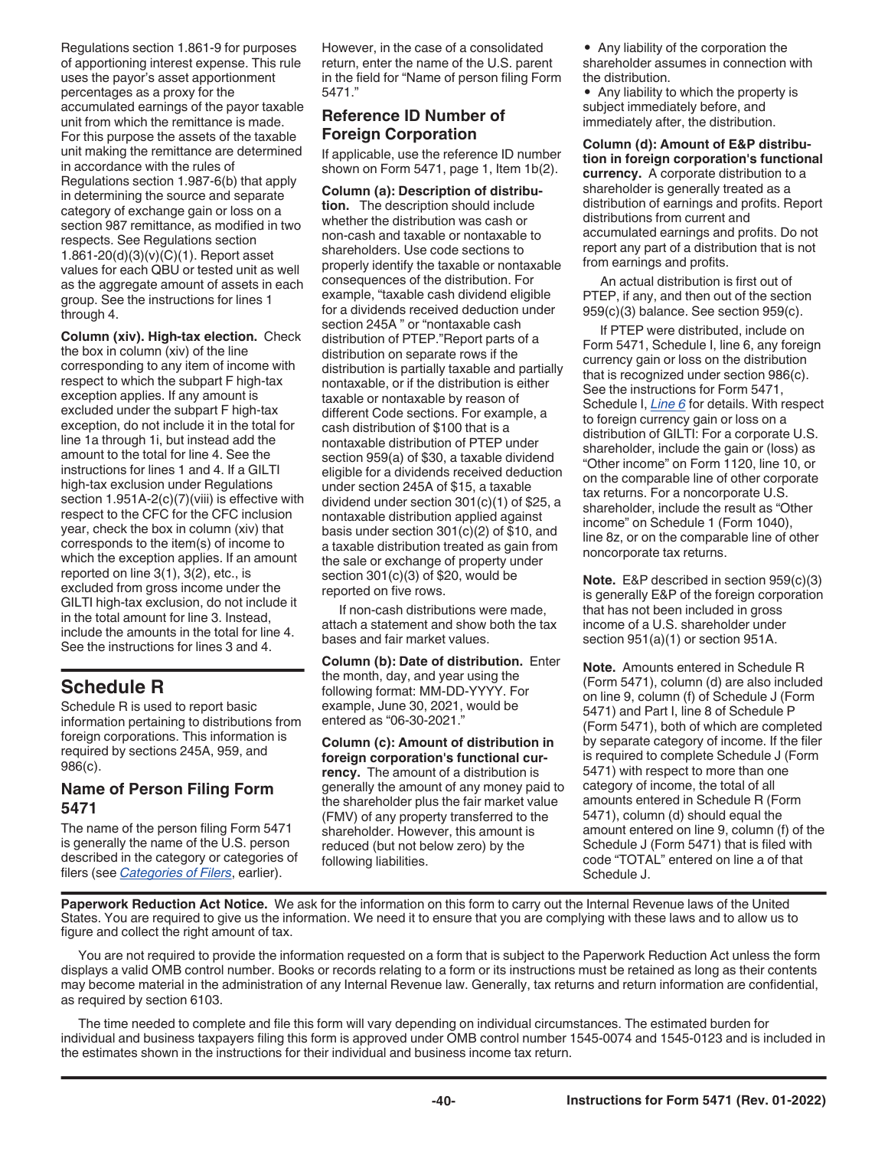<span id="page-39-0"></span>Regulations section 1.861-9 for purposes of apportioning interest expense. This rule uses the payor's asset apportionment percentages as a proxy for the accumulated earnings of the payor taxable unit from which the remittance is made. For this purpose the assets of the taxable unit making the remittance are determined in accordance with the rules of Regulations section 1.987-6(b) that apply in determining the source and separate category of exchange gain or loss on a section 987 remittance, as modified in two respects. See Regulations section 1.861-20(d)(3)(v)(C)(1). Report asset values for each QBU or tested unit as well as the aggregate amount of assets in each group. See the instructions for lines 1 through 4.

**Column (xiv). High-tax election.** Check the box in column (xiv) of the line corresponding to any item of income with respect to which the subpart F high-tax exception applies. If any amount is excluded under the subpart F high-tax exception, do not include it in the total for line 1a through 1i, but instead add the amount to the total for line 4. See the instructions for lines 1 and 4. If a GILTI high-tax exclusion under Regulations section 1.951A-2(c)(7)(viii) is effective with respect to the CFC for the CFC inclusion year, check the box in column (xiv) that corresponds to the item(s) of income to which the exception applies. If an amount reported on line 3(1), 3(2), etc., is excluded from gross income under the GILTI high-tax exclusion, do not include it in the total amount for line 3. Instead, include the amounts in the total for line 4. See the instructions for lines 3 and 4.

### **Schedule R**

Schedule R is used to report basic information pertaining to distributions from foreign corporations. This information is required by sections 245A, 959, and 986(c).

#### **Name of Person Filing Form 5471**

The name of the person filing Form 5471 is generally the name of the U.S. person described in the category or categories of filers (see *[Categories of Filers](#page-2-0)*, earlier).

However, in the case of a consolidated return, enter the name of the U.S. parent in the field for "Name of person filing Form 5471."

#### **Reference ID Number of Foreign Corporation**

If applicable, use the reference ID number shown on Form 5471, page 1, Item 1b(2).

**Column (a): Description of distribution.** The description should include whether the distribution was cash or non-cash and taxable or nontaxable to shareholders. Use code sections to properly identify the taxable or nontaxable consequences of the distribution. For example, "taxable cash dividend eligible for a dividends received deduction under section 245A " or "nontaxable cash distribution of PTEP."Report parts of a distribution on separate rows if the distribution is partially taxable and partially nontaxable, or if the distribution is either taxable or nontaxable by reason of different Code sections. For example, a cash distribution of \$100 that is a nontaxable distribution of PTEP under section 959(a) of \$30, a taxable dividend eligible for a dividends received deduction under section 245A of \$15, a taxable dividend under section 301(c)(1) of \$25, a nontaxable distribution applied against basis under section 301(c)(2) of \$10, and a taxable distribution treated as gain from the sale or exchange of property under section 301(c)(3) of \$20, would be reported on five rows.

If non-cash distributions were made, attach a statement and show both the tax bases and fair market values.

**Column (b): Date of distribution.** Enter the month, day, and year using the following format: MM-DD-YYYY. For example, June 30, 2021, would be entered as "06-30-2021."

**Column (c): Amount of distribution in foreign corporation's functional currency.** The amount of a distribution is generally the amount of any money paid to the shareholder plus the fair market value (FMV) of any property transferred to the shareholder. However, this amount is reduced (but not below zero) by the following liabilities.

• Any liability of the corporation the shareholder assumes in connection with the distribution.

• Any liability to which the property is subject immediately before, and immediately after, the distribution.

**Column (d): Amount of E&P distribution in foreign corporation's functional currency.** A corporate distribution to a shareholder is generally treated as a distribution of earnings and profits. Report distributions from current and accumulated earnings and profits. Do not report any part of a distribution that is not from earnings and profits.

An actual distribution is first out of PTEP, if any, and then out of the section 959(c)(3) balance. See section 959(c).

If PTEP were distributed, include on Form 5471, Schedule I, line 6, any foreign currency gain or loss on the distribution that is recognized under section 986(c). See the instructions for Form 5471, Schedule I, *[Line 6](#page-16-0)* for details. With respect to foreign currency gain or loss on a distribution of GILTI: For a corporate U.S. shareholder, include the gain or (loss) as "Other income" on Form 1120, line 10, or on the comparable line of other corporate tax returns. For a noncorporate U.S. shareholder, include the result as "Other income" on Schedule 1 (Form 1040), line 8z, or on the comparable line of other noncorporate tax returns.

**Note.** E&P described in section 959(c)(3) is generally E&P of the foreign corporation that has not been included in gross income of a U.S. shareholder under section 951(a)(1) or section 951A.

**Note.** Amounts entered in Schedule R (Form 5471), column (d) are also included on line 9, column (f) of Schedule J (Form 5471) and Part I, line 8 of Schedule P (Form 5471), both of which are completed by separate category of income. If the filer is required to complete Schedule J (Form 5471) with respect to more than one category of income, the total of all amounts entered in Schedule R (Form 5471), column (d) should equal the amount entered on line 9, column (f) of the Schedule J (Form 5471) that is filed with code "TOTAL" entered on line a of that Schedule J.

**Paperwork Reduction Act Notice.** We ask for the information on this form to carry out the Internal Revenue laws of the United States. You are required to give us the information. We need it to ensure that you are complying with these laws and to allow us to figure and collect the right amount of tax.

You are not required to provide the information requested on a form that is subject to the Paperwork Reduction Act unless the form displays a valid OMB control number. Books or records relating to a form or its instructions must be retained as long as their contents may become material in the administration of any Internal Revenue law. Generally, tax returns and return information are confidential, as required by section 6103.

The time needed to complete and file this form will vary depending on individual circumstances. The estimated burden for individual and business taxpayers filing this form is approved under OMB control number 1545-0074 and 1545-0123 and is included in the estimates shown in the instructions for their individual and business income tax return.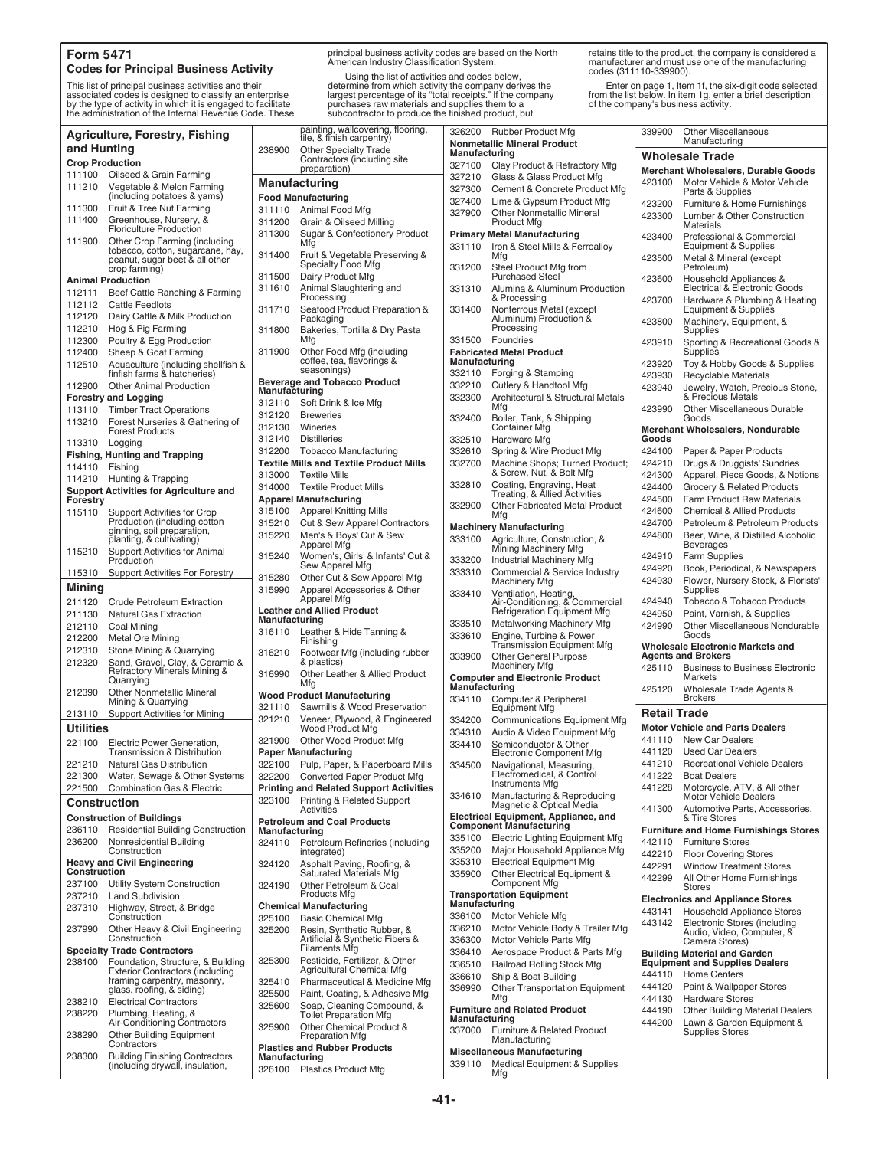#### **Form 5471 Codes for Principal Business Activity**

This list of principal business activities and their associated codes is designed to classify an enterprise by the type of activity in which it is engaged to facilitate the administration of the Internal Revenue Code. These

|                        | <b>Agriculture, Forestry, Fishing</b>                                                     |                         | <i>n</i> ainung, walicoveni<br>tile, & fínish carpent            |
|------------------------|-------------------------------------------------------------------------------------------|-------------------------|------------------------------------------------------------------|
| and Hunting            |                                                                                           | 238900                  | <b>Other Specialty Tra</b>                                       |
| <b>Crop Production</b> |                                                                                           |                         | Contractors (includi<br>preparation)                             |
| 111100                 | Oilseed & Grain Farming                                                                   |                         |                                                                  |
| 111210                 | Vegetable & Melon Farming                                                                 |                         | Manufacturing                                                    |
|                        | (including potatoes & yams)                                                               |                         | <b>Food Manufacturing</b>                                        |
| 111300<br>111400       | Fruit & Tree Nut Farming                                                                  | 311110                  | Animal Food Mfg                                                  |
|                        | Greenhouse, Nursery, &<br>Floriculture Production                                         | 311200                  | Grain & Oilseed Mill                                             |
| 111900                 | Other Crop Farming (including<br>tobacco, cotton, sugarcane, hay,                         | 311300                  | Sugar & Confection<br>Mtg                                        |
|                        | peanut, sugar beet & all other<br>crop farming)                                           | 311400<br>311500        | Fruit & Vegetable Pr<br>Specialty Food Mfg<br>Dairy Product Mfg  |
|                        | <b>Animal Production</b>                                                                  | 311610                  | Animal Slaughtering                                              |
| 112111                 | Beef Cattle Ranching & Farming                                                            |                         | Processing                                                       |
| 112112                 | <b>Cattle Feedlots</b>                                                                    | 311710                  | Seafood Product Pr                                               |
| 112120                 | Dairy Cattle & Milk Production                                                            |                         | Packaging                                                        |
| 112210                 | Hog & Pig Farming                                                                         | 311800                  | Bakeries, Tortilla & I                                           |
| 112300                 | Poultry & Egg Production                                                                  | 311900                  | Mfg                                                              |
| 112400<br>112510       | Sheep & Goat Farming<br>Aquaculture (including shellfish &<br>finfish farms & hatcheries) |                         | Other Food Mfg (ind<br>coffee, tea, flavoring<br>seasonings)     |
| 112900                 | <b>Other Animal Production</b>                                                            |                         | <b>Beverage and Tobacco Pro</b>                                  |
|                        | <b>Forestry and Logging</b>                                                               | Manufacturing           |                                                                  |
| 113110                 | <b>Timber Tract Operations</b>                                                            | 312110                  | Soft Drink & Ice Mfg                                             |
| 113210                 | Forest Nurseries & Gathering of                                                           | 312120                  | <b>Breweries</b>                                                 |
|                        | <b>Forest Products</b>                                                                    | 312130                  | Wineries                                                         |
| 113310                 | Logging                                                                                   | 312140                  | <b>Distilleries</b>                                              |
|                        | <b>Fishing, Hunting and Trapping</b>                                                      | 312200                  | Tobacco Manufactu                                                |
| 114110                 | Fishing                                                                                   |                         | <b>Textile Mills and Textile Pro</b>                             |
| 114210                 | Hunting & Trapping                                                                        | 313000                  | <b>Textile Mills</b><br><b>Textile Product Mills</b>             |
|                        | <b>Support Activities for Agriculture and</b>                                             | 314000                  | <b>Apparel Manufacturing</b>                                     |
| Forestry               |                                                                                           | 315100                  | <b>Apparel Knitting Mill</b>                                     |
| 115110                 | Support Activities for Crop<br>Production (including cotton                               | 315210                  | Cut & Sew Apparel                                                |
|                        | ginning, soil preparation,                                                                | 315220                  | Men's & Boys' Cut &                                              |
|                        | planting, & cultivating)                                                                  |                         | Apparel Mfg                                                      |
| 115210                 | Support Activities for Animal<br>Production                                               | 315240                  | Women's, Girls' & Ir<br>Sew Apparel Mfg                          |
| 115310                 | <b>Support Activities For Forestry</b>                                                    | 315280                  | Other Cut & Sew Ap                                               |
| Mining                 |                                                                                           | 315990                  | Apparel Accessorie                                               |
| 211120                 | <b>Crude Petroleum Extraction</b>                                                         |                         | Apparel Mfg                                                      |
| 211130                 | <b>Natural Gas Extraction</b>                                                             | Manufacturing           | <b>Leather and Allied Product</b>                                |
| 212110                 | Coal Mining                                                                               | 316110                  | Leather & Hide Tan                                               |
| 212200                 | <b>Metal Ore Mining</b>                                                                   |                         | Finishing                                                        |
| 212310                 | Stone Mining & Quarrying                                                                  | 316210                  | Footwear Mfg (inclu                                              |
| 212320                 | Sand, Gravel, Clay, & Ceramic &<br>Refractory Minerals Mining &<br>Quarrying              | 316990                  | & plastics)<br>Other Leather & Alli                              |
| 212390                 | <b>Other Nonmetallic Mineral</b>                                                          |                         | Mfg<br>Wood Product Manufacturii                                 |
|                        | Mining & Quarrying                                                                        | 321110                  | Sawmills & Wood P                                                |
| 213110                 | Support Activities for Mining                                                             | 321210                  | Veneer, Plywood, &                                               |
| Utilities              |                                                                                           |                         | Wood Product Mfg                                                 |
| 221100                 | Electric Power Generation,                                                                | 321900                  | Other Wood Produc                                                |
| 221210                 | Transmission & Distribution<br><b>Natural Gas Distribution</b>                            |                         | <b>Paper Manufacturing</b>                                       |
| 221300                 | Water, Sewage & Other Systems                                                             | 322100                  | Pulp, Paper, & Pape                                              |
| 221500                 | <b>Combination Gas &amp; Electric</b>                                                     | 322200                  | <b>Converted Paper Pr</b><br><b>Printing and Related Suppo</b>   |
| Construction           |                                                                                           | 323100                  | Printing & Related S                                             |
|                        |                                                                                           |                         | Activities                                                       |
|                        | <b>Construction of Buildings</b>                                                          |                         | <b>Petroleum and Coal Produc</b>                                 |
| 236110<br>236200       | <b>Residential Building Construction</b><br>Nonresidential Building                       | Manufacturing<br>324110 | Petroleum Refinerie                                              |
| Construction           | Construction<br><b>Heavy and Civil Engineering</b>                                        | 324120                  | integrated)<br>Asphalt Paving, Roo<br><b>Saturated Materials</b> |
| 237100                 | Utility System Construction                                                               | 324190                  | Other Petroleum & 0                                              |
| 237210                 | <b>Land Subdivision</b>                                                                   |                         | Products Mfg                                                     |
| 237310                 | Highway, Street, & Bridge                                                                 |                         | <b>Chemical Manufacturing</b>                                    |
|                        | Construction                                                                              | 325100                  | <b>Basic Chemical Mfg</b>                                        |
| 237990                 | Other Heavy & Civil Engineering<br>Construction                                           | 325200                  | Resin, Synthetic Ru<br>Artificial & Synthetic                    |
|                        | <b>Specialty Trade Contractors</b>                                                        |                         | Filaments Mfg                                                    |
| 238100                 | Foundation, Structure, & Building                                                         | 325300                  | Pesticide, Fertilizer,<br><b>Agricultural Chemic</b>             |
|                        | <b>Exterior Contractors (including</b><br>framing carpentry, masonry,                     | 325410                  | Pharmaceutical & M                                               |
|                        | glass, roofing, & siding)                                                                 | 325500                  | Paint, Coating, & Ad                                             |
| 238210                 | <b>Electrical Contractors</b>                                                             | 325600                  | Soap, Cleaning Cor                                               |
| 238220                 | Plumbing, Heating, &                                                                      |                         | <b>Toilet Preparation M</b>                                      |
|                        | Air-Conditioning Contractors                                                              | 325900                  | Other Chemical Pro                                               |
| 238290                 | Other Building Equipment<br>Contractors                                                   |                         | Preparation Mfg<br><b>Plastics and Rubber Produc</b>             |
| 238300                 | <b>Building Finishing Contractors</b><br>(including drywall, insulation,                  | Manufacturing           | 208100 Plactics Product Mfs                                      |

principal business activity codes are based on the North American Industry Classification System.

Using the list of activities and codes below, determine from which activity the company derives the largest percentage of its "total receipts." If the company purchases raw materials and supplies them to a subcontractor to produce the finished product, but

retains title to the product, the company is considered a manufacturer and must use one of the manufacturing codes (311110-339900).

Enter on page 1, Item 1f, the six-digit code selected from the list below. In item 1g, enter a brief description of the company's business activity.

|                         | painting, wallcovering, flooring,<br>tile, & finish carpentry)                 | 326200           | <b>Rubber Product Mfg</b>                                                              | 339900              | <b>Other Miscellaneous</b><br>Manufacturing                                 |
|-------------------------|--------------------------------------------------------------------------------|------------------|----------------------------------------------------------------------------------------|---------------------|-----------------------------------------------------------------------------|
| 238900                  | <b>Other Specialty Trade</b><br>Contractors (including site                    | Manufacturing    | <b>Nonmetallic Mineral Product</b>                                                     |                     | <b>Wholesale Trade</b>                                                      |
|                         | preparation)                                                                   | 327100           | Clay Product & Refractory Mfg                                                          |                     | <b>Merchant Wholesalers, Durable Goods</b>                                  |
|                         | Manufacturing                                                                  | 327210<br>327300 | Glass & Glass Product Mfg<br>Cement & Concrete Product Mfg                             | 423100              | Motor Vehicle & Motor Vehicle                                               |
|                         | <b>Food Manufacturing</b>                                                      | 327400           | Lime & Gypsum Product Mfg                                                              | 423200              | Parts & Supplies<br>Furniture & Home Furnishings                            |
| 311110                  | Animal Food Mfg                                                                | 327900           | <b>Other Nonmetallic Mineral</b>                                                       | 423300              | Lumber & Other Construction                                                 |
| 311200<br>311300        | Grain & Oilseed Milling                                                        |                  | <b>Product Mfg</b>                                                                     |                     | Materials                                                                   |
|                         | Sugar & Confectionery Product<br>Mfg                                           | 331110           | <b>Primary Metal Manufacturing</b><br>Iron & Steel Mills & Ferroalloy                  | 423400              | Professional & Commercial<br>Equipment & Supplies                           |
| 311400                  | Fruit & Vegetable Preserving &                                                 |                  | Mfg                                                                                    | 423500              | Metal & Mineral (except                                                     |
| 311500                  | Specialty Food Mfg<br>Dairy Product Mfg                                        | 331200           | Steel Product Mfg from<br><b>Purchased Steel</b>                                       |                     | Petroleum)                                                                  |
| 311610                  | Animal Slaughtering and                                                        | 331310           | Alumina & Aluminum Production                                                          | 423600              | Household Appliances &<br>Electrical & Electronic Goods                     |
|                         | Processing                                                                     |                  | & Processing                                                                           | 423700              | Hardware & Plumbing & Heating                                               |
| 311710                  | Seafood Product Preparation &<br>Packaging                                     | 331400           | Nonferrous Metal (except<br>Aluminum) Production &                                     |                     | <b>Equipment &amp; Supplies</b>                                             |
| 311800                  | Bakeries, Tortilla & Dry Pasta                                                 |                  | Processing                                                                             | 423800              | Machinery, Equipment, &<br>Supplies                                         |
|                         | Mfg                                                                            | 331500           | Foundries                                                                              | 423910              | Sporting & Recreational Goods &                                             |
| 311900                  | Other Food Mfg (including<br>coffee, tea, flavorings &                         | Manufacturing    | <b>Fabricated Metal Product</b>                                                        | 423920              | Supplies<br>Toy & Hobby Goods & Supplies                                    |
|                         | seasonings)                                                                    | 332110           | Forging & Stamping                                                                     | 423930              | <b>Recyclable Materials</b>                                                 |
| Manufacturing           | <b>Beverage and Tobacco Product</b>                                            | 332210           | Cutlery & Handtool Mfg                                                                 | 423940              | Jewelry, Watch, Precious Stone,                                             |
| 312110                  | Soft Drink & Ice Mfg                                                           | 332300           | Architectural & Structural Metals<br>Mfg                                               |                     | & Precious Metals                                                           |
| 312120                  | <b>Breweries</b>                                                               | 332400           | Boiler, Tank, & Shipping                                                               | 423990              | <b>Other Miscellaneous Durable</b><br>Goods                                 |
| 312130                  | Wineries                                                                       |                  | <b>Container Mfg</b>                                                                   |                     | Merchant Wholesalers, Nondurable                                            |
| 312140                  | <b>Distilleries</b>                                                            | 332510           | Hardware Mfg                                                                           | Goods               |                                                                             |
| 312200                  | <b>Tobacco Manufacturing</b><br><b>Textile Mills and Textile Product Mills</b> | 332610<br>332700 | Spring & Wire Product Mfg<br>Machine Shops; Turned Product;                            | 424100<br>424210    | Paper & Paper Products<br>Drugs & Druggists' Sundries                       |
| 313000                  | <b>Textile Mills</b>                                                           |                  | & Screw, Nut, & Bolt Mfg                                                               | 424300              | Apparel, Piece Goods, & Notions                                             |
| 314000                  | <b>Textile Product Mills</b>                                                   | 332810           | Coating, Engraving, Heat<br>Treating, & Allied Activities                              | 424400              | Grocery & Related Products                                                  |
|                         | <b>Apparel Manufacturing</b>                                                   | 332900           | <b>Other Fabricated Metal Product</b>                                                  | 424500              | Farm Product Raw Materials                                                  |
| 315100<br>315210        | <b>Apparel Knitting Mills</b>                                                  |                  | Mfg                                                                                    | 424600<br>424700    | <b>Chemical &amp; Allied Products</b><br>Petroleum & Petroleum Products     |
| 315220                  | Cut & Sew Apparel Contractors<br>Men's & Boys' Cut & Sew                       |                  | <b>Machinery Manufacturing</b>                                                         | 424800              | Beer, Wine, & Distilled Alcoholic                                           |
|                         | Apparel Mfg                                                                    | 333100           | Agriculture, Construction, &<br>Mining Machinery Mfg                                   |                     | <b>Beverages</b>                                                            |
| 315240                  | Women's, Girls' & Infants' Cut &<br>Sew Apparel Mfg                            | 333200           | Industrial Machinery Mfg                                                               | 424910              | <b>Farm Supplies</b>                                                        |
| 315280                  | Other Cut & Sew Apparel Mfg                                                    | 333310           | Commercial & Service Industry<br><b>Machinery Mfg</b>                                  | 424920<br>424930    | Book, Periodical, & Newspapers<br>Flower, Nursery Stock, & Florists'        |
| 315990                  | Apparel Accessories & Other                                                    | 333410           |                                                                                        |                     | Supplies                                                                    |
|                         | Apparel Mfg<br><b>Leather and Allied Product</b>                               |                  | Ventilation, Heating,<br>Air-Conditioning, & Commercial<br>Refrigeration Equipment Mfg | 424940              | Tobacco & Tobacco Products                                                  |
|                         |                                                                                |                  |                                                                                        | 424950              | Paint, Varnish, & Supplies                                                  |
| Manufacturing           |                                                                                |                  |                                                                                        |                     |                                                                             |
| 316110                  | Leather & Hide Tanning &                                                       | 333510<br>333610 | Metalworking Machinery Mfg<br>Engine, Turbine & Power                                  | 424990              | Other Miscellaneous Nondurable<br>Goods                                     |
|                         | Finishing                                                                      |                  | <b>Transmission Equipment Mfg</b>                                                      |                     | <b>Wholesale Electronic Markets and</b>                                     |
| 316210                  | Footwear Mfg (including rubber<br>& plastics)                                  | 333900           | <b>Other General Purpose</b><br>Machinery Mfg                                          |                     | <b>Agents and Brokers</b>                                                   |
| 316990                  | Other Leather & Allied Product                                                 |                  | <b>Computer and Electronic Product</b>                                                 | 425110              | <b>Business to Business Electronic</b><br>Markets                           |
|                         | Mfg<br><b>Wood Product Manufacturing</b>                                       | Manufacturing    |                                                                                        | 425120              | Wholesale Trade Agents &                                                    |
| 321110                  | Sawmills & Wood Preservation                                                   | 334110           | Computer & Peripheral<br><b>Equipment Mfg</b>                                          |                     | <b>Brokers</b>                                                              |
| 321210                  | Veneer, Plywood, & Engineered                                                  | 334200           | Communications Equipment Mfg                                                           | <b>Retail Trade</b> |                                                                             |
| 321900                  | Wood Product Mfg<br>Other Wood Product Mfg                                     | 334310           | Audio & Video Equipment Mfg                                                            | 441110              | <b>Motor Vehicle and Parts Dealers</b><br><b>New Car Dealers</b>            |
|                         | <b>Paper Manufacturing</b>                                                     | 334410           | Semiconductor & Other<br>Electronic Component Mfg                                      | 441120              | <b>Used Car Dealers</b>                                                     |
|                         | 322100 Pulp, Paper, & Paperboard Mills                                         | 334500           | Navigational, Measuring,                                                               | 441210              | <b>Recreational Vehicle Dealers</b>                                         |
|                         | 322200 Converted Paper Product Mfg                                             |                  | Electromedical, & Control<br>Instruments Mfg                                           | 441222              | <b>Boat Dealers</b>                                                         |
| 323100                  | <b>Printing and Related Support Activities</b>                                 | 334610           | Manufacturing & Reproducing                                                            | 441228              | Motorcycle, ATV, & All other<br><b>Motor Vehicle Dealers</b>                |
|                         | Printing & Related Support<br>Activities                                       |                  | Magnetic & Optical Media                                                               | 441300              | Automotive Parts, Accessories,                                              |
|                         | <b>Petroleum and Coal Products</b>                                             |                  | Electrical Equipment, Appliance, and<br>Component Manufacturing                        |                     | & Tire Stores                                                               |
| Manufacturing<br>324110 | Petroleum Refineries (including                                                | 335100           | <b>Electric Lighting Equipment Mfg</b>                                                 | 442110              | <b>Furniture and Home Furnishings Stores</b><br><b>Furniture Stores</b>     |
|                         | integrated)                                                                    | 335200           | Major Household Appliance Mfg                                                          | 442210              | <b>Floor Covering Stores</b>                                                |
| 324120                  | Asphalt Paving, Roofing, &<br>Saturated Materials Mfg                          | 335310           | <b>Electrical Equipment Mfg</b>                                                        | 442291              | <b>Window Treatment Stores</b>                                              |
| 324190                  | Other Petroleum & Coal                                                         | 335900           | Other Electrical Equipment &<br><b>Component Mfg</b>                                   | 442299              | All Other Home Furnishings<br><b>Stores</b>                                 |
|                         | Products Mfg                                                                   |                  | <b>Transportation Equipment</b><br>Manufacturing                                       |                     | <b>Electronics and Appliance Stores</b>                                     |
| 325100                  | <b>Chemical Manufacturing</b><br><b>Basic Chemical Mfg</b>                     | 336100           | Motor Vehicle Mfg                                                                      | 443141              | Household Appliance Stores                                                  |
| 325200                  | Resin, Synthetic Rubber, &<br>Artificial & Synthetic Fibers &                  | 336210<br>336300 | Motor Vehicle Body & Trailer Mfg<br>Motor Vehicle Parts Mfg                            | 443142              | Electronic Stores (including<br>Audio, Video, Computer, &<br>Camera Stores) |
|                         | <b>Filaments Mfg</b>                                                           | 336410           | Aerospace Product & Parts Mfg                                                          |                     | <b>Building Material and Garden</b>                                         |
| 325300                  | Pesticide, Fertilizer, & Other<br><b>Agricultural Chemical Mfg</b>             | 336510           | Railroad Rolling Stock Mfg                                                             |                     | <b>Equipment and Supplies Dealers</b>                                       |
| 325410                  | Pharmaceutical & Medicine Mfg                                                  | 336610           | Ship & Boat Building                                                                   | 444110<br>444120    | <b>Home Centers</b><br>Paint & Wallpaper Stores                             |
| 325500                  | Paint, Coating, & Adhesive Mfg                                                 | 336990           | Other Transportation Equipment<br>Mfg                                                  | 444130              | <b>Hardware Stores</b>                                                      |
| 325600                  | Soap, Cleaning Compound, &<br><b>Toilet Preparation Mfg</b>                    | Manufacturing    | <b>Furniture and Related Product</b>                                                   | 444190              | <b>Other Building Material Dealers</b>                                      |
| 325900                  | Other Chemical Product &<br><b>Preparation Mfg</b>                             | 337000           | Furniture & Related Product                                                            | 444200              | Lawn & Garden Equipment &<br><b>Supplies Stores</b>                         |
|                         | <b>Plastics and Rubber Products</b>                                            |                  | Manufacturing<br><b>Miscellaneous Manufacturing</b>                                    |                     |                                                                             |
| Manufacturing           | 326100 Plastics Product Mfg                                                    | 339110           | Medical Equipment & Supplies<br>Mfg                                                    |                     |                                                                             |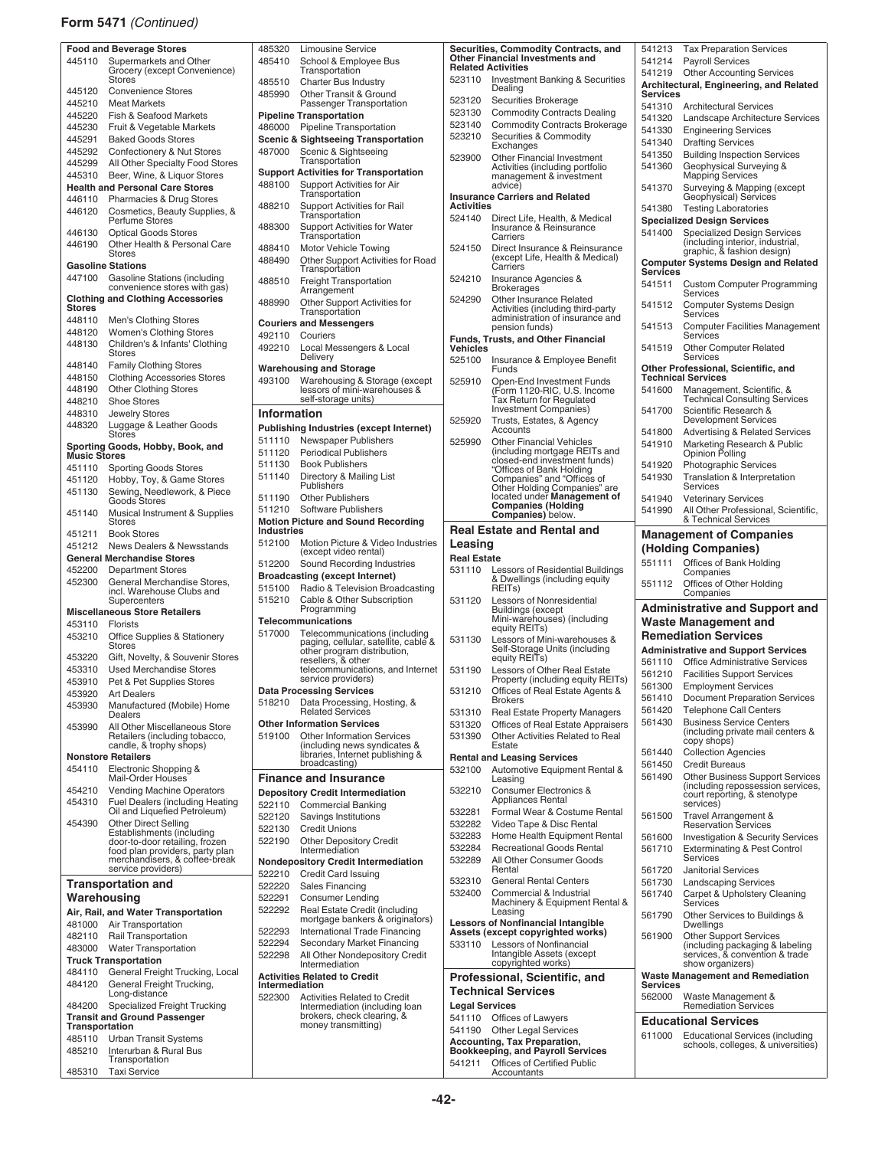#### **Form 5471** *(Continued)*

|                | <b>Food and Beverage Stores</b>               | 48532             |
|----------------|-----------------------------------------------|-------------------|
| 445110         | Supermarkets and Other                        | 4854              |
|                | Grocery (except Convenience)<br><b>Stores</b> |                   |
|                |                                               | 4855              |
| 445120         | <b>Convenience Stores</b>                     | 48599             |
| 445210         | <b>Meat Markets</b>                           |                   |
| 445220         | Fish & Seafood Markets                        | Pipel             |
| 445230         | Fruit & Vegetable Markets                     | 48600             |
| 445291         | <b>Baked Goods Stores</b>                     | Scen              |
| 445292         | Confectionery & Nut Stores                    | 48700             |
| 445299         | All Other Specialty Food Stores               |                   |
|                |                                               | Supp              |
| 445310         | Beer, Wine, & Liquor Stores                   | 48810             |
|                | <b>Health and Personal Care Stores</b>        |                   |
| 446110         | Pharmacies & Drug Stores                      |                   |
| 446120         | Cosmetics, Beauty Supplies, &                 | 4882              |
|                | Perfume Stores                                | 48830             |
| 446130         | <b>Optical Goods Stores</b>                   |                   |
| 446190         | Other Health & Personal Care                  | 4884              |
|                | Stores                                        |                   |
|                | <b>Gasoline Stations</b>                      | 48849             |
| 447100         | Gasoline Stations (including                  |                   |
|                | convenience stores with gas)                  | 4885              |
|                | <b>Clothing and Clothing Accessories</b>      |                   |
| Stores         |                                               | 48899             |
| 448110         | Men's Clothing Stores                         |                   |
|                |                                               | Cour              |
| 448120         | <b>Women's Clothing Stores</b>                | 4921              |
| 448130         | Children's & Infants' Clothing                | 4922              |
|                | <b>Stores</b>                                 |                   |
| 448140         | <b>Family Clothing Stores</b>                 | Ware              |
| 448150         | <b>Clothing Accessories Stores</b>            | 49310             |
| 448190         | <b>Other Clothing Stores</b>                  |                   |
| 448210         | <b>Shoe Stores</b>                            |                   |
| 448310         |                                               |                   |
|                | Jewelry Stores                                | Infol             |
| 448320         | Luggage & Leather Goods                       | Publi             |
|                | <b>Stores</b>                                 | 51111             |
|                | Sporting Goods, Hobby, Book, and              | 51112             |
| Music Stores   |                                               | 51110             |
| 451110         | <b>Sporting Goods Stores</b>                  |                   |
| 451120         | Hobby, Toy, & Game Stores                     | 51114             |
| 451130         | Sewing, Needlework, & Piece                   |                   |
|                | Goods Stores                                  | 51119             |
| 451140         | Musical Instrument & Supplies                 | 5112 <sup>.</sup> |
|                | Stores                                        | Motic             |
| 451211         | <b>Book Stores</b>                            | Indus             |
| 451212         | <b>News Dealers &amp; Newsstands</b>          | 51210             |
|                | <b>General Merchandise Stores</b>             |                   |
|                |                                               | 51220             |
| 452200         | <b>Department Stores</b>                      | <b>Broa</b>       |
|                |                                               |                   |
| 452300         | General Merchandise Stores,                   |                   |
|                | incl. Warehouse Clubs and                     | 51510             |
|                | Supercenters                                  | $5152 -$          |
|                | <b>Miscellaneous Store Retailers</b>          |                   |
| 453110         | <b>Florists</b>                               | Telec             |
| 453210         | Office Supplies & Stationery                  | 51700             |
|                | Stores                                        |                   |
| 453220         | Gift, Novelty, & Souvenir Stores              |                   |
| 453310         | <b>Used Merchandise Stores</b>                |                   |
|                |                                               |                   |
| 453910         | Pet & Pet Supplies Stores                     |                   |
| 453920         | <b>Art Dealers</b>                            | ata               |
| 453930         | Manufactured (Mobile) Home                    | 5182 <sup>.</sup> |
|                | Dealers                                       |                   |
| 453990         | All Other Miscellaneous Store                 | Other             |
|                | Retailers (including tobacco,                 | 51910             |
|                | candle, & trophy shops)                       |                   |
|                | <b>Nonstore Retailers</b>                     |                   |
| 454110         | Electronic Shopping &                         |                   |
|                | Mail-Order Houses                             | Fina              |
| 454210         | <b>Vending Machine Operators</b>              | Depo              |
| 454310         | <b>Fuel Dealers (including Heating</b>        | 5221              |
|                | Oil and Liquefied Petroleum)                  | 52212             |
| 454390         | <b>Other Direct Selling</b>                   |                   |
|                | Establishments (including                     | 5221:             |
|                | door-to-door retailing, frozen                | 52219             |
|                | food plan providers, party plan               |                   |
|                | merchandisers, & coffee-break                 | Nond              |
|                | service providers)                            | 52221             |
|                | <b>Transportation and</b>                     | 52222             |
| Warehousing    |                                               | 52229             |
|                |                                               | 52229             |
|                | Air, Rail, and Water Transportation           |                   |
| 481000         | Air Transportation                            | 52229             |
| 482110         | Rail Transportation                           |                   |
| 483000         | <b>Water Transportation</b>                   | 52229             |
|                | <b>Truck Transportation</b>                   | 52229             |
| 484110         | General Freight Trucking, Local               |                   |
| 484120         |                                               | Activ             |
|                | General Freight Trucking,<br>Long-distance    | Interi            |
| 484200         |                                               | 52230             |
|                | Specialized Freight Trucking                  |                   |
|                | <b>Transit and Ground Passenger</b>           |                   |
| Transportation |                                               |                   |
| 485110         | Urban Transit Systems                         |                   |
| 485210         | Interurban & Rural Bus                        |                   |
| 485310         | Transportation<br><b>Taxi Service</b>         |                   |

| 485320         | Limousine Service                                                 | Securities,                              |           |
|----------------|-------------------------------------------------------------------|------------------------------------------|-----------|
| 485410         | School & Employee Bus                                             | <b>Other Finar</b><br><b>Related Act</b> |           |
|                | Transportation                                                    | 523110                                   | ln        |
| 485510         | <b>Charter Bus Industry</b>                                       |                                          | D٥        |
| 485990         | Other Transit & Ground<br>Passenger Transportation                | 523120                                   | Sε        |
|                | <b>Pipeline Transportation</b>                                    | 523130                                   | C٥        |
| 486000         | <b>Pipeline Transportation</b>                                    | 523140                                   | C٥        |
|                | <b>Scenic &amp; Sightseeing Transportation</b>                    | 523210                                   | S6        |
| 487000         | Scenic & Sightseeing                                              |                                          | E         |
|                | Transportation                                                    | 523900                                   | O۱<br>A٥  |
|                | <b>Support Activities for Transportation</b>                      |                                          | m         |
| 488100         | Support Activities for Air                                        |                                          | ac        |
|                | Transportation                                                    | Insurance (                              |           |
| 488210         | <b>Support Activities for Rail</b><br>Transportation              | <b>Activities</b>                        |           |
| 488300         | <b>Support Activities for Water</b>                               | 524140                                   | Di<br>ln: |
|                | Transportation                                                    |                                          | Сć        |
| 488410         | Motor Vehicle Towing                                              | 524150                                   | Di        |
| 488490         | Other Support Activities for Road                                 |                                          | (e        |
|                | Transportation                                                    |                                          | Сć        |
| 488510         | <b>Freight Transportation</b>                                     | 524210                                   | ln:<br>Br |
|                | Arrangement                                                       | 524290                                   | O۱        |
| 488990         | Other Support Activities for<br>Transportation                    |                                          | A٥        |
|                | <b>Couriers and Messengers</b>                                    |                                          | ac        |
| 492110         | Couriers                                                          | Funds, Trus                              | pe        |
| 492210         | Local Messengers & Local                                          | Vehicles                                 |           |
|                | Delivery                                                          | 525100                                   | ln:       |
|                | <b>Warehousing and Storage</b>                                    |                                          | Fι        |
| 493100         | Warehousing & Storage (except                                     | 525910                                   | OI<br>(F  |
|                | lessors of mini-warehouses &<br>self-storage units)               |                                          | Ťε        |
|                |                                                                   |                                          | ln'       |
| Information    |                                                                   | 525920                                   | Tr        |
|                | Publishing Industries (except Internet)                           |                                          | A٥        |
| 511110         | Newspaper Publishers                                              | 525990                                   | O۱        |
| 511120         | <b>Periodical Publishers</b>                                      |                                          | (ir<br>cl |
| 511130         | <b>Book Publishers</b>                                            |                                          | "C        |
| 511140         | Directory & Mailing List<br>Publishers                            |                                          | C٥        |
| 511190         | <b>Other Publishers</b>                                           |                                          | O۱<br>l٥  |
| 511210         | Software Publishers                                               |                                          | C٥        |
|                | <b>Motion Picture and Sound Recording</b>                         |                                          | C٥        |
| Industries     |                                                                   | <b>Real Esta</b>                         |           |
| 512100         | Motion Picture & Video Industries                                 | Leasing                                  |           |
|                | (except video rental)                                             | <b>Real Estate</b>                       |           |
| 512200         | Sound Recording Industries                                        | 531110                                   | Lε        |
|                | <b>Broadcasting (except Internet)</b>                             |                                          | &         |
| 515100         | Radio & Television Broadcasting                                   |                                          | RI        |
| 515210         | Cable & Other Subscription<br>Programming                         | 531120                                   | Lε<br>Βι  |
|                | Telecommunications                                                |                                          | Μ         |
| 517000         | Telecommunications (including                                     |                                          | ec        |
|                | paging, cellular, satellite, cable &                              | 531130                                   | Le<br>S6  |
|                | other program distribution,<br>resellers, & other                 |                                          | ec        |
|                | telecommunications, and Internet                                  | 531190                                   | Lε        |
|                | service providers)                                                |                                          | Pr        |
|                | <b>Data Processing Service</b>                                    | 531210                                   | O         |
| 518210         | Data Processing, Hosting, &                                       |                                          | Br        |
|                | <b>Related Services</b>                                           | 531310                                   | R٥        |
| 519100         | <b>Other Information Services</b>                                 | 531320                                   | Oi        |
|                | <b>Other Information Services</b><br>(including news syndicates & | 531390                                   | Oi<br>E٤  |
|                | libraries, Internet publishing &                                  | <b>Rental and</b>                        |           |
|                | broadcasting)                                                     | 532100                                   | Aι        |
|                | <b>Finance and Insurance</b>                                      |                                          | Lε        |
|                | <b>Depository Credit Intermediation</b>                           | 532210                                   | C٥        |
| 522110         | <b>Commercial Banking</b>                                         |                                          | Ap        |
| 522120         | Savings Institutions                                              | 532281                                   | Fo        |
| 522130         | <b>Credit Unions</b>                                              | 532282                                   | Vi        |
| 522190         | <b>Other Depository Credit</b>                                    | 532283                                   | H         |
|                | Intermediation                                                    | 532284                                   | R٥        |
|                | <b>Nondepository Credit Intermediation</b>                        | 532289                                   | Al<br>R6  |
| 522210         | Credit Card Issuing                                               | 532310                                   | G۱        |
| 522220         | <b>Sales Financing</b>                                            | 532400                                   | C٥        |
| 522291         | Consumer Lending                                                  |                                          | M         |
| 522292         | Real Estate Credit (including<br>mortgage bankers & originators)  |                                          | Lε        |
| 522293         | International Trade Financing                                     | Lessors of                               |           |
| 522294         | Secondary Market Financing                                        | Assets (exc<br>533110                    | Lε        |
| 522298         | All Other Nondepository Credit                                    |                                          | In        |
|                | Intermediation                                                    |                                          | СC        |
|                | <b>Activities Related to Credit</b>                               | Professic                                |           |
| Intermediation |                                                                   | Technica                                 |           |
| 522300         | <b>Activities Related to Credit</b>                               | <b>Legal Servi</b>                       |           |
|                | Intermediation (including loan<br>brokers, check clearing, &      | 541110                                   | O         |
|                | money transmitting)                                               | 541190                                   | Oi        |
|                |                                                                   | Accounting                               |           |
|                |                                                                   |                                          |           |

|                    | Securities, Commodity Contracts, and<br>Other Financial Investments and                                 | 541213<br>541214   | <b>Tax Preparation Services</b><br><b>Payroll Services</b>                                           |
|--------------------|---------------------------------------------------------------------------------------------------------|--------------------|------------------------------------------------------------------------------------------------------|
|                    | <b>Related Activities</b>                                                                               | 541219             | <b>Other Accounting Services</b>                                                                     |
| 523110             | <b>Investment Banking &amp; Securities</b><br>Dealing                                                   | Services           | Architectural, Engineering, and Related                                                              |
| 523120             | Securities Brokerage                                                                                    | 541310             | <b>Architectural Services</b>                                                                        |
| 523130             | <b>Commodity Contracts Dealing</b>                                                                      | 541320             | Landscape Architecture Services                                                                      |
| 523140             | <b>Commodity Contracts Brokerage</b>                                                                    | 541330             | <b>Engineering Services</b>                                                                          |
| 523210             | Securities & Commodity<br>Exchanges                                                                     | 541340             | <b>Drafting Services</b>                                                                             |
| 523900             | <b>Other Financial Investment</b>                                                                       | 541350             | <b>Building Inspection Services</b>                                                                  |
|                    | Activities (including portfolio<br>management & investment                                              | 541360             | Geophysical Surveying &<br><b>Mapping Services</b>                                                   |
|                    | advice)<br><b>Insurance Carriers and Related</b>                                                        | 541370             | Surveying & Mapping (except<br>Geophysical) Services                                                 |
| Activities         |                                                                                                         | 541380             | <b>Testing Laboratories</b>                                                                          |
| 524140             | Direct Life, Health, & Medical                                                                          |                    | <b>Specialized Design Services</b>                                                                   |
| 524150             | Insurance & Reinsurance<br>Carriers<br>Direct Insurance & Reinsurance                                   | 541400             | <b>Specialized Design Services</b><br>(including interior, industrial,<br>graphic, & fashion design) |
|                    | (except Life, Health & Medical)<br>Carriers                                                             | Services           | <b>Computer Systems Design and Related</b>                                                           |
| 524210             | Insurance Agencies &<br>Brokerages                                                                      | 541511             | Custom Computer Programming<br>Services                                                              |
| 524290             | Other Insurance Related<br>Activities (including third-party                                            | 541512             | Computer Systems Design<br>Services                                                                  |
|                    | administration of insurance and<br>pension funds)                                                       | 541513             | <b>Computer Facilities Management</b><br>Services                                                    |
| Vehicles           | <b>Funds, Trusts, and Other Financial</b>                                                               | 541519             | <b>Other Computer Related</b><br>Services                                                            |
| 525100             | Insurance & Employee Benefit<br>Funds                                                                   |                    | Other Professional, Scientific, and<br><b>Technical Services</b>                                     |
| 525910             | Open-End Investment Funds<br>(Form 1120-RIC, U.S. Income                                                | 541600             | Management, Scientific, &                                                                            |
|                    | Tax Return for Regulated<br>Investment Companies)                                                       | 541700             | <b>Technical Consulting Services</b><br>Scientific Research &                                        |
| 525920             | Trusts, Estates, & Agency                                                                               |                    | <b>Development Services</b>                                                                          |
|                    | Accounts                                                                                                | 541800             | <b>Advertising &amp; Related Services</b>                                                            |
| 525990             | <b>Other Financial Vehicles</b><br>(including mortgage REITs and<br>closed-end investment funds)        | 541910             | Marketing Research & Public<br>Opinion Polling                                                       |
|                    | "Offices of Bank Holding                                                                                | 541920             | <b>Photographic Services</b>                                                                         |
|                    | Companies" and "Offices of<br>Other Holding Companies" are                                              | 541930             | Translation & Interpretation<br>Services                                                             |
|                    | located under Management of                                                                             | 541940             | <b>Veterinary Services</b>                                                                           |
|                    | <b>Companies (Holding</b><br><b>Companies</b> ) below.                                                  | 541990             | All Other Professional, Scientific,<br>& Technical Services                                          |
|                    | <b>Real Estate and Rental and</b>                                                                       |                    | <b>Management of Companies</b>                                                                       |
| Leasing            |                                                                                                         |                    | (Holding Companies)                                                                                  |
| <b>Real Estate</b> |                                                                                                         | 551111             | Offices of Bank Holding                                                                              |
| 531110             | Lessors of Residential Buildings<br>& Dwellings (including equity                                       | 551112             | Companies<br>Offices of Other Holding                                                                |
| 531120             | REITs)<br>Lessors of Nonresidential                                                                     |                    | Companies                                                                                            |
|                    | Buildings (except<br>Mini-warehouses) (including                                                        |                    | <b>Administrative and Support and</b><br>Waste Management and                                        |
|                    | equity REITs)                                                                                           |                    | <b>Remediation Services</b>                                                                          |
| 531130             | Lessors of Mini-warehouses &<br>Self-Storage Units (including                                           |                    | <b>Administrative and Support Services</b>                                                           |
|                    | equity REITs)                                                                                           | 561110             | <b>Office Administrative Services</b>                                                                |
| 531190             | Lessors of Other Real Estate                                                                            | 561210             | <b>Facilities Support Services</b>                                                                   |
|                    | Property (including equity REITs)                                                                       | 561300             | <b>Employment Services</b>                                                                           |
| 531210             | Offices of Heal Estate Agents &<br><b>Brokers</b>                                                       | 561410             | <b>Document Preparation Services</b>                                                                 |
| 531310             | Real Estate Property Managers                                                                           | 561420             | <b>Telephone Call Centers</b>                                                                        |
| 531320             | Offices of Real Estate Appraisers                                                                       | 561430             | <b>Business Service Centers</b>                                                                      |
| 531390             | Other Activities Related to Real<br>Estate                                                              | 561440             | (including private mail centers &<br>copy shops)<br><b>Collection Agencies</b>                       |
|                    | <b>Rental and Leasing Services</b>                                                                      | 561450             | Credit Bureaus                                                                                       |
| 532100             | Automotive Equipment Rental &<br>Leasing                                                                | 561490             | <b>Other Business Support Services</b><br>(including repossession services,                          |
| 532210             | Consumer Electronics &<br>Appliances Rental                                                             |                    | court reporting, & stenotype<br>services)                                                            |
| 532281             | Formal Wear & Costume Rental                                                                            | 561500             | Travel Arrangement &                                                                                 |
| 532282             | Video Tape & Disc Rental                                                                                |                    | <b>Reservation Services</b>                                                                          |
| 532283<br>532284   | Home Health Equipment Rental<br><b>Recreational Goods Rental</b>                                        | 561600<br>561710   | <b>Investigation &amp; Security Services</b>                                                         |
| 532289             | All Other Consumer Goods<br>Rental                                                                      |                    | <b>Exterminating &amp; Pest Control</b><br>Services                                                  |
| 532310             | General Rental Centers                                                                                  | 561720<br>561730   | <b>Janitorial Services</b><br><b>Landscaping Services</b>                                            |
| 532400             | Commercial & Industrial<br>Machinery & Equipment Rental &                                               | 561740             | Carpet & Upholstery Cleaning                                                                         |
|                    | Leasing<br>Lessors of Nonfinancial Intangible                                                           | 561790             | Services<br>Other Services to Buildings &                                                            |
|                    | Assets (except copyrighted works)                                                                       | 561900             | Dwellings<br><b>Other Support Services</b>                                                           |
| 533110             | Lessors of Nonfinancial<br>Intangible Assets (except                                                    |                    | (including packaging & labeling<br>services, & convention & trade                                    |
|                    | copyrighted works)<br>Professional, Scientific, and                                                     |                    | show organizers)<br><b>Waste Management and Remediation</b>                                          |
|                    | <b>Technical Services</b>                                                                               | Services<br>562000 | Waste Management &                                                                                   |
| Legal Services     |                                                                                                         |                    | <b>Remediation Services</b>                                                                          |
| 541110             | Offices of Lawyers                                                                                      |                    | <b>Educational Services</b>                                                                          |
| 541190             | <b>Other Legal Services</b><br><b>Accounting, Tax Preparation,</b><br>Bookkeeping, and Payroll Services | 611000             | <b>Educational Services (including</b><br>schools, colleges, & universities)                         |
|                    |                                                                                                         |                    |                                                                                                      |

541211 Offices of Certified Public Accountants